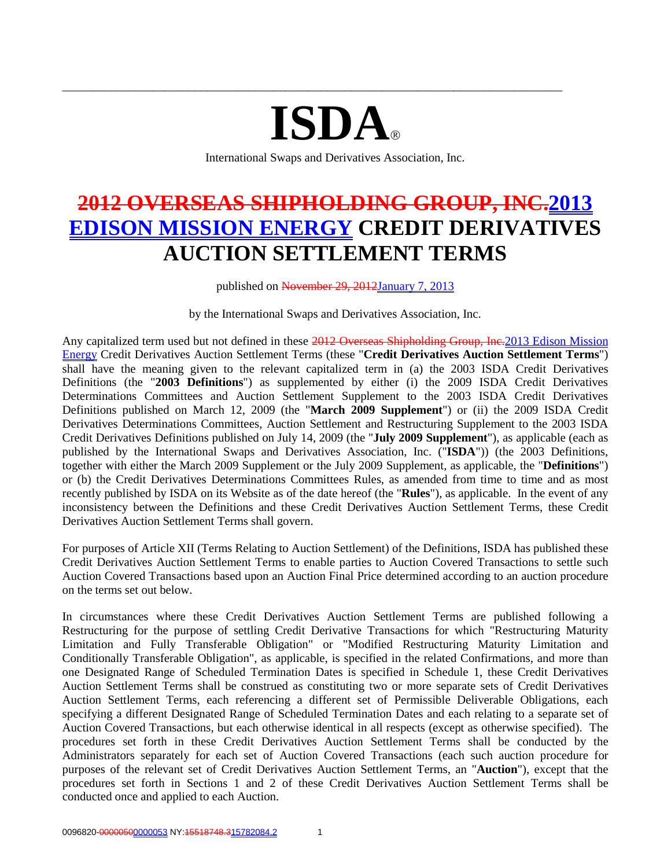# **ISDA**

\_\_\_\_\_\_\_\_\_\_\_\_\_\_\_\_\_\_\_\_\_\_\_\_\_\_\_\_\_\_\_\_\_\_\_\_\_\_\_\_\_\_\_\_\_\_\_\_\_\_\_\_\_\_\_\_\_\_\_\_\_\_\_\_\_\_\_\_\_\_\_\_\_\_\_\_\_\_\_\_\_\_\_

International Swaps and Derivatives Association, Inc.

# **2012 OVERSEAS SHIPHOLDING GROUP, INC.2013 EDISON MISSION ENERGY CREDIT DERIVATIVES AUCTION SETTLEMENT TERMS**

published on November 29, 2012January 7, 2013

by the International Swaps and Derivatives Association, Inc.

Any capitalized term used but not defined in these 2012 Overseas Shipholding Group, Inc. 2013 Edison Mission Energy Credit Derivatives Auction Settlement Terms (these "**Credit Derivatives Auction Settlement Terms**") shall have the meaning given to the relevant capitalized term in (a) the 2003 ISDA Credit Derivatives Definitions (the "**2003 Definitions**") as supplemented by either (i) the 2009 ISDA Credit Derivatives Determinations Committees and Auction Settlement Supplement to the 2003 ISDA Credit Derivatives Definitions published on March 12, 2009 (the "**March 2009 Supplement**") or (ii) the 2009 ISDA Credit Derivatives Determinations Committees, Auction Settlement and Restructuring Supplement to the 2003 ISDA Credit Derivatives Definitions published on July 14, 2009 (the "**July 2009 Supplement**"), as applicable (each as published by the International Swaps and Derivatives Association, Inc. ("**ISDA**")) (the 2003 Definitions, together with either the March 2009 Supplement or the July 2009 Supplement, as applicable, the "**Definitions**") or (b) the Credit Derivatives Determinations Committees Rules, as amended from time to time and as most recently published by ISDA on its Website as of the date hereof (the "**Rules**"), as applicable. In the event of any inconsistency between the Definitions and these Credit Derivatives Auction Settlement Terms, these Credit Derivatives Auction Settlement Terms shall govern.

For purposes of Article XII (Terms Relating to Auction Settlement) of the Definitions, ISDA has published these Credit Derivatives Auction Settlement Terms to enable parties to Auction Covered Transactions to settle such Auction Covered Transactions based upon an Auction Final Price determined according to an auction procedure on the terms set out below.

In circumstances where these Credit Derivatives Auction Settlement Terms are published following a Restructuring for the purpose of settling Credit Derivative Transactions for which "Restructuring Maturity Limitation and Fully Transferable Obligation" or "Modified Restructuring Maturity Limitation and Conditionally Transferable Obligation", as applicable, is specified in the related Confirmations, and more than one Designated Range of Scheduled Termination Dates is specified in Schedule 1, these Credit Derivatives Auction Settlement Terms shall be construed as constituting two or more separate sets of Credit Derivatives Auction Settlement Terms, each referencing a different set of Permissible Deliverable Obligations, each specifying a different Designated Range of Scheduled Termination Dates and each relating to a separate set of Auction Covered Transactions, but each otherwise identical in all respects (except as otherwise specified). The procedures set forth in these Credit Derivatives Auction Settlement Terms shall be conducted by the Administrators separately for each set of Auction Covered Transactions (each such auction procedure for purposes of the relevant set of Credit Derivatives Auction Settlement Terms, an "**Auction**"), except that the procedures set forth in Sections 1 and 2 of these Credit Derivatives Auction Settlement Terms shall be conducted once and applied to each Auction.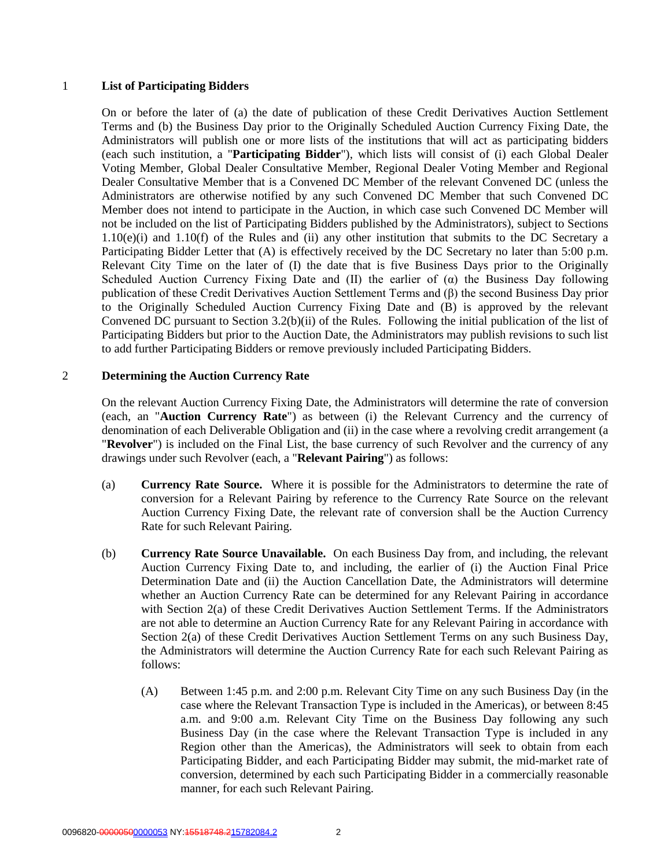#### 1 **List of Participating Bidders**

On or before the later of (a) the date of publication of these Credit Derivatives Auction Settlement Terms and (b) the Business Day prior to the Originally Scheduled Auction Currency Fixing Date, the Administrators will publish one or more lists of the institutions that will act as participating bidders (each such institution, a "**Participating Bidder**"), which lists will consist of (i) each Global Dealer Voting Member, Global Dealer Consultative Member, Regional Dealer Voting Member and Regional Dealer Consultative Member that is a Convened DC Member of the relevant Convened DC (unless the Administrators are otherwise notified by any such Convened DC Member that such Convened DC Member does not intend to participate in the Auction, in which case such Convened DC Member will not be included on the list of Participating Bidders published by the Administrators), subject to Sections 1.10(e)(i) and 1.10(f) of the Rules and (ii) any other institution that submits to the DC Secretary a Participating Bidder Letter that (A) is effectively received by the DC Secretary no later than 5:00 p.m. Relevant City Time on the later of (I) the date that is five Business Days prior to the Originally Scheduled Auction Currency Fixing Date and (II) the earlier of  $(\alpha)$  the Business Day following publication of these Credit Derivatives Auction Settlement Terms and (β) the second Business Day prior to the Originally Scheduled Auction Currency Fixing Date and (B) is approved by the relevant Convened DC pursuant to Section 3.2(b)(ii) of the Rules. Following the initial publication of the list of Participating Bidders but prior to the Auction Date, the Administrators may publish revisions to such list to add further Participating Bidders or remove previously included Participating Bidders.

#### 2 **Determining the Auction Currency Rate**

On the relevant Auction Currency Fixing Date, the Administrators will determine the rate of conversion (each, an "**Auction Currency Rate**") as between (i) the Relevant Currency and the currency of denomination of each Deliverable Obligation and (ii) in the case where a revolving credit arrangement (a "**Revolver**") is included on the Final List, the base currency of such Revolver and the currency of any drawings under such Revolver (each, a "**Relevant Pairing**") as follows:

- (a) **Currency Rate Source.** Where it is possible for the Administrators to determine the rate of conversion for a Relevant Pairing by reference to the Currency Rate Source on the relevant Auction Currency Fixing Date, the relevant rate of conversion shall be the Auction Currency Rate for such Relevant Pairing.
- (b) **Currency Rate Source Unavailable.** On each Business Day from, and including, the relevant Auction Currency Fixing Date to, and including, the earlier of (i) the Auction Final Price Determination Date and (ii) the Auction Cancellation Date, the Administrators will determine whether an Auction Currency Rate can be determined for any Relevant Pairing in accordance with Section 2(a) of these Credit Derivatives Auction Settlement Terms. If the Administrators are not able to determine an Auction Currency Rate for any Relevant Pairing in accordance with Section 2(a) of these Credit Derivatives Auction Settlement Terms on any such Business Day, the Administrators will determine the Auction Currency Rate for each such Relevant Pairing as follows:
	- (A) Between 1:45 p.m. and 2:00 p.m. Relevant City Time on any such Business Day (in the case where the Relevant Transaction Type is included in the Americas), or between 8:45 a.m. and 9:00 a.m. Relevant City Time on the Business Day following any such Business Day (in the case where the Relevant Transaction Type is included in any Region other than the Americas), the Administrators will seek to obtain from each Participating Bidder, and each Participating Bidder may submit, the mid-market rate of conversion, determined by each such Participating Bidder in a commercially reasonable manner, for each such Relevant Pairing.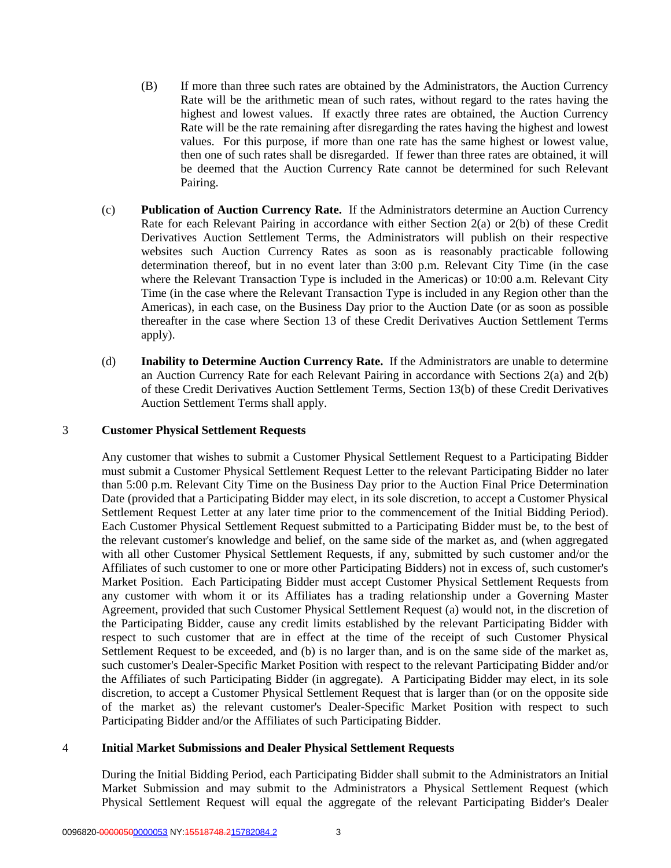- (B) If more than three such rates are obtained by the Administrators, the Auction Currency Rate will be the arithmetic mean of such rates, without regard to the rates having the highest and lowest values. If exactly three rates are obtained, the Auction Currency Rate will be the rate remaining after disregarding the rates having the highest and lowest values. For this purpose, if more than one rate has the same highest or lowest value, then one of such rates shall be disregarded. If fewer than three rates are obtained, it will be deemed that the Auction Currency Rate cannot be determined for such Relevant Pairing.
- (c) **Publication of Auction Currency Rate.** If the Administrators determine an Auction Currency Rate for each Relevant Pairing in accordance with either Section 2(a) or 2(b) of these Credit Derivatives Auction Settlement Terms, the Administrators will publish on their respective websites such Auction Currency Rates as soon as is reasonably practicable following determination thereof, but in no event later than 3:00 p.m. Relevant City Time (in the case where the Relevant Transaction Type is included in the Americas) or 10:00 a.m. Relevant City Time (in the case where the Relevant Transaction Type is included in any Region other than the Americas), in each case, on the Business Day prior to the Auction Date (or as soon as possible thereafter in the case where Section 13 of these Credit Derivatives Auction Settlement Terms apply).
- (d) **Inability to Determine Auction Currency Rate.** If the Administrators are unable to determine an Auction Currency Rate for each Relevant Pairing in accordance with Sections 2(a) and 2(b) of these Credit Derivatives Auction Settlement Terms, Section 13(b) of these Credit Derivatives Auction Settlement Terms shall apply.

#### 3 **Customer Physical Settlement Requests**

Any customer that wishes to submit a Customer Physical Settlement Request to a Participating Bidder must submit a Customer Physical Settlement Request Letter to the relevant Participating Bidder no later than 5:00 p.m. Relevant City Time on the Business Day prior to the Auction Final Price Determination Date (provided that a Participating Bidder may elect, in its sole discretion, to accept a Customer Physical Settlement Request Letter at any later time prior to the commencement of the Initial Bidding Period). Each Customer Physical Settlement Request submitted to a Participating Bidder must be, to the best of the relevant customer's knowledge and belief, on the same side of the market as, and (when aggregated with all other Customer Physical Settlement Requests, if any, submitted by such customer and/or the Affiliates of such customer to one or more other Participating Bidders) not in excess of, such customer's Market Position. Each Participating Bidder must accept Customer Physical Settlement Requests from any customer with whom it or its Affiliates has a trading relationship under a Governing Master Agreement, provided that such Customer Physical Settlement Request (a) would not, in the discretion of the Participating Bidder, cause any credit limits established by the relevant Participating Bidder with respect to such customer that are in effect at the time of the receipt of such Customer Physical Settlement Request to be exceeded, and (b) is no larger than, and is on the same side of the market as, such customer's Dealer-Specific Market Position with respect to the relevant Participating Bidder and/or the Affiliates of such Participating Bidder (in aggregate). A Participating Bidder may elect, in its sole discretion, to accept a Customer Physical Settlement Request that is larger than (or on the opposite side of the market as) the relevant customer's Dealer-Specific Market Position with respect to such Participating Bidder and/or the Affiliates of such Participating Bidder.

#### 4 **Initial Market Submissions and Dealer Physical Settlement Requests**

During the Initial Bidding Period, each Participating Bidder shall submit to the Administrators an Initial Market Submission and may submit to the Administrators a Physical Settlement Request (which Physical Settlement Request will equal the aggregate of the relevant Participating Bidder's Dealer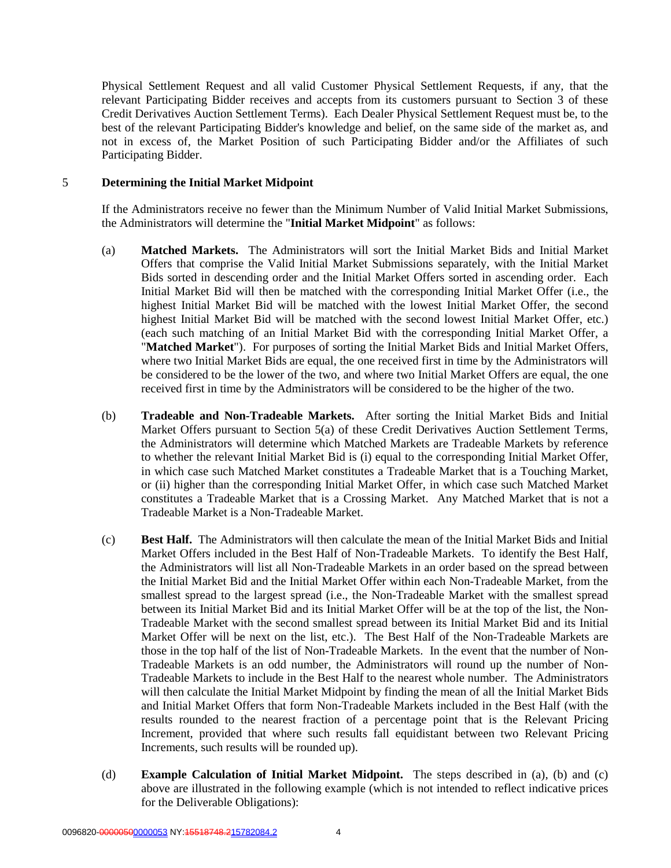Physical Settlement Request and all valid Customer Physical Settlement Requests, if any, that the relevant Participating Bidder receives and accepts from its customers pursuant to Section 3 of these Credit Derivatives Auction Settlement Terms). Each Dealer Physical Settlement Request must be, to the best of the relevant Participating Bidder's knowledge and belief, on the same side of the market as, and not in excess of, the Market Position of such Participating Bidder and/or the Affiliates of such Participating Bidder.

#### 5 **Determining the Initial Market Midpoint**

If the Administrators receive no fewer than the Minimum Number of Valid Initial Market Submissions, the Administrators will determine the "**Initial Market Midpoint**" as follows:

- (a) **Matched Markets.** The Administrators will sort the Initial Market Bids and Initial Market Offers that comprise the Valid Initial Market Submissions separately, with the Initial Market Bids sorted in descending order and the Initial Market Offers sorted in ascending order. Each Initial Market Bid will then be matched with the corresponding Initial Market Offer (i.e., the highest Initial Market Bid will be matched with the lowest Initial Market Offer, the second highest Initial Market Bid will be matched with the second lowest Initial Market Offer, etc.) (each such matching of an Initial Market Bid with the corresponding Initial Market Offer, a "**Matched Market**"). For purposes of sorting the Initial Market Bids and Initial Market Offers, where two Initial Market Bids are equal, the one received first in time by the Administrators will be considered to be the lower of the two, and where two Initial Market Offers are equal, the one received first in time by the Administrators will be considered to be the higher of the two.
- (b) **Tradeable and Non-Tradeable Markets.** After sorting the Initial Market Bids and Initial Market Offers pursuant to Section 5(a) of these Credit Derivatives Auction Settlement Terms, the Administrators will determine which Matched Markets are Tradeable Markets by reference to whether the relevant Initial Market Bid is (i) equal to the corresponding Initial Market Offer, in which case such Matched Market constitutes a Tradeable Market that is a Touching Market, or (ii) higher than the corresponding Initial Market Offer, in which case such Matched Market constitutes a Tradeable Market that is a Crossing Market. Any Matched Market that is not a Tradeable Market is a Non-Tradeable Market.
- (c) **Best Half.** The Administrators will then calculate the mean of the Initial Market Bids and Initial Market Offers included in the Best Half of Non-Tradeable Markets. To identify the Best Half, the Administrators will list all Non-Tradeable Markets in an order based on the spread between the Initial Market Bid and the Initial Market Offer within each Non-Tradeable Market, from the smallest spread to the largest spread (i.e., the Non-Tradeable Market with the smallest spread between its Initial Market Bid and its Initial Market Offer will be at the top of the list, the Non-Tradeable Market with the second smallest spread between its Initial Market Bid and its Initial Market Offer will be next on the list, etc.). The Best Half of the Non-Tradeable Markets are those in the top half of the list of Non-Tradeable Markets. In the event that the number of Non-Tradeable Markets is an odd number, the Administrators will round up the number of Non-Tradeable Markets to include in the Best Half to the nearest whole number. The Administrators will then calculate the Initial Market Midpoint by finding the mean of all the Initial Market Bids and Initial Market Offers that form Non-Tradeable Markets included in the Best Half (with the results rounded to the nearest fraction of a percentage point that is the Relevant Pricing Increment, provided that where such results fall equidistant between two Relevant Pricing Increments, such results will be rounded up).
- (d) **Example Calculation of Initial Market Midpoint.** The steps described in (a), (b) and (c) above are illustrated in the following example (which is not intended to reflect indicative prices for the Deliverable Obligations):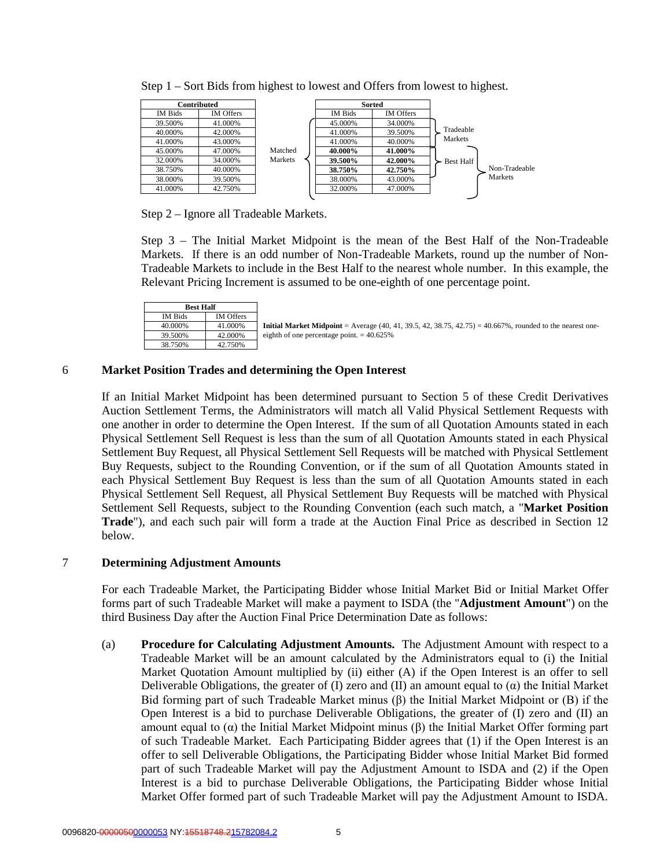| Contributed          |         |         | <b>Sorted</b> |                  |
|----------------------|---------|---------|---------------|------------------|
| IM Offers<br>IM Bids |         | IM Bids | IM Offers     |                  |
| 41.000%<br>39.500%   |         | 45.000% | 34.000%       |                  |
| 42.000%<br>40.000%   |         | 41.000% | 39.500%       | Tradeable        |
| 43.000%<br>41.000%   |         | 41.000% | 40.000%       | Markets          |
| 45.000%<br>47.000%   | Matched | 40.000% | 41.000%       |                  |
| 32.000%<br>34.000%   | Markets | 39.500% | 42.000%       | <b>Best Half</b> |
| 40.000%<br>38.750%   |         | 38.750% | 42.750%       | Non-Tradeable    |
| 38.000%<br>39.500%   |         | 38.000% | 43.000%       | Markets          |
| 41.000%<br>42.750%   |         | 32.000% | 47.000%       |                  |

Step 1 – Sort Bids from highest to lowest and Offers from lowest to highest.

Step 2 – Ignore all Tradeable Markets.

Step 3 – The Initial Market Midpoint is the mean of the Best Half of the Non-Tradeable Markets. If there is an odd number of Non-Tradeable Markets, round up the number of Non-Tradeable Markets to include in the Best Half to the nearest whole number. In this example, the Relevant Pricing Increment is assumed to be one-eighth of one percentage point.

| <b>Best Half</b> |                  |
|------------------|------------------|
| <b>IM Bids</b>   | <b>IM</b> Offers |
| 40.000%          | 41.000%          |
| 39.500%          | 42.000%          |
| 38.750%          | 42.750%          |

**Initial Market Midpoint** = Average (40, 41, 39.5, 42, 38.75, 42.75) = 40.667%, rounded to the nearest oneeighth of one percentage point.  $= 40.625\%$ 

#### 6 **Market Position Trades and determining the Open Interest**

If an Initial Market Midpoint has been determined pursuant to Section 5 of these Credit Derivatives Auction Settlement Terms, the Administrators will match all Valid Physical Settlement Requests with one another in order to determine the Open Interest. If the sum of all Quotation Amounts stated in each Physical Settlement Sell Request is less than the sum of all Quotation Amounts stated in each Physical Settlement Buy Request, all Physical Settlement Sell Requests will be matched with Physical Settlement Buy Requests, subject to the Rounding Convention, or if the sum of all Quotation Amounts stated in each Physical Settlement Buy Request is less than the sum of all Quotation Amounts stated in each Physical Settlement Sell Request, all Physical Settlement Buy Requests will be matched with Physical Settlement Sell Requests, subject to the Rounding Convention (each such match, a "**Market Position Trade**"), and each such pair will form a trade at the Auction Final Price as described in Section 12 below.

#### 7 **Determining Adjustment Amounts**

For each Tradeable Market, the Participating Bidder whose Initial Market Bid or Initial Market Offer forms part of such Tradeable Market will make a payment to ISDA (the "**Adjustment Amount**") on the third Business Day after the Auction Final Price Determination Date as follows:

(a) **Procedure for Calculating Adjustment Amounts.** The Adjustment Amount with respect to a Tradeable Market will be an amount calculated by the Administrators equal to (i) the Initial Market Quotation Amount multiplied by (ii) either (A) if the Open Interest is an offer to sell Deliverable Obligations, the greater of (I) zero and (II) an amount equal to  $(\alpha)$  the Initial Market Bid forming part of such Tradeable Market minus (β) the Initial Market Midpoint or (B) if the Open Interest is a bid to purchase Deliverable Obligations, the greater of (I) zero and (II) an amount equal to (α) the Initial Market Midpoint minus (β) the Initial Market Offer forming part of such Tradeable Market. Each Participating Bidder agrees that (1) if the Open Interest is an offer to sell Deliverable Obligations, the Participating Bidder whose Initial Market Bid formed part of such Tradeable Market will pay the Adjustment Amount to ISDA and (2) if the Open Interest is a bid to purchase Deliverable Obligations, the Participating Bidder whose Initial Market Offer formed part of such Tradeable Market will pay the Adjustment Amount to ISDA.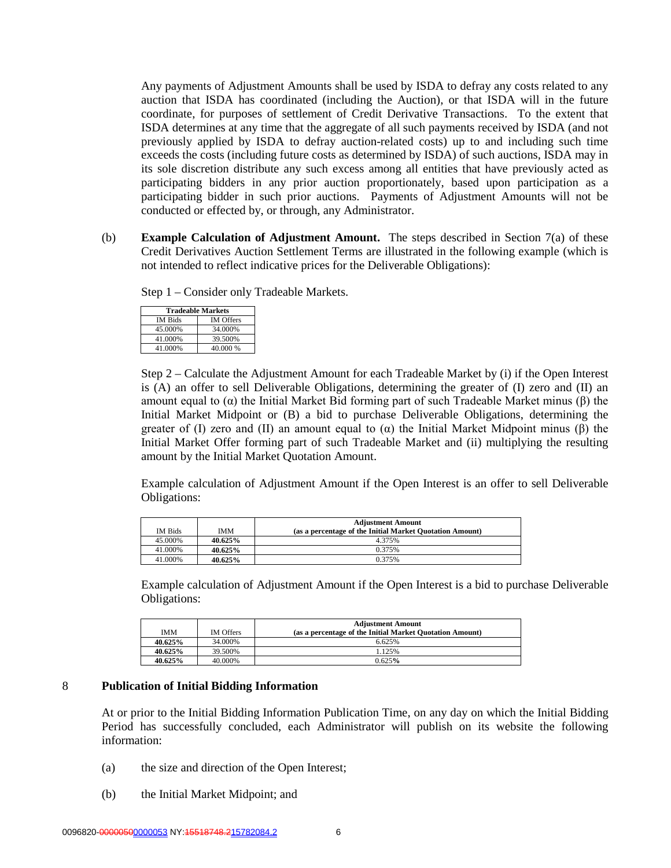Any payments of Adjustment Amounts shall be used by ISDA to defray any costs related to any auction that ISDA has coordinated (including the Auction), or that ISDA will in the future coordinate, for purposes of settlement of Credit Derivative Transactions. To the extent that ISDA determines at any time that the aggregate of all such payments received by ISDA (and not previously applied by ISDA to defray auction-related costs) up to and including such time exceeds the costs (including future costs as determined by ISDA) of such auctions, ISDA may in its sole discretion distribute any such excess among all entities that have previously acted as participating bidders in any prior auction proportionately, based upon participation as a participating bidder in such prior auctions. Payments of Adjustment Amounts will not be conducted or effected by, or through, any Administrator.

(b) **Example Calculation of Adjustment Amount.** The steps described in Section 7(a) of these Credit Derivatives Auction Settlement Terms are illustrated in the following example (which is not intended to reflect indicative prices for the Deliverable Obligations):

Step 1 – Consider only Tradeable Markets.

| <b>Tradeable Markets</b> |                  |
|--------------------------|------------------|
| <b>IM Bids</b>           | <b>IM Offers</b> |
| 45.000%                  | 34.000%          |
| 41.000%                  | 39.500%          |
| 41.000%                  | 40.000 %         |

Step 2 – Calculate the Adjustment Amount for each Tradeable Market by (i) if the Open Interest is (A) an offer to sell Deliverable Obligations, determining the greater of (I) zero and (II) an amount equal to (α) the Initial Market Bid forming part of such Tradeable Market minus (β) the Initial Market Midpoint or (B) a bid to purchase Deliverable Obligations, determining the greater of (I) zero and (II) an amount equal to  $(\alpha)$  the Initial Market Midpoint minus ( $\beta$ ) the Initial Market Offer forming part of such Tradeable Market and (ii) multiplying the resulting amount by the Initial Market Quotation Amount.

Example calculation of Adjustment Amount if the Open Interest is an offer to sell Deliverable Obligations:

|                |         | <b>Adjustment Amount</b>                                 |
|----------------|---------|----------------------------------------------------------|
| <b>IM Bids</b> | IMM     | (as a percentage of the Initial Market Quotation Amount) |
| 45.000%        | 40.625% | 4.375%                                                   |
| 41.000%        | 40.625% | 0.375%                                                   |
| 41.000%        | 40.625% | 0.375%                                                   |

Example calculation of Adjustment Amount if the Open Interest is a bid to purchase Deliverable Obligations:

| <b>IMM</b> | <b>IM Offers</b> | <b>Adjustment Amount</b><br>(as a percentage of the Initial Market Quotation Amount) |
|------------|------------------|--------------------------------------------------------------------------------------|
| 40.625%    | 34.000%          | 6.625%                                                                               |
| 40.625%    | 39.500%          | 1.125%                                                                               |
| 40.625%    | 40.000%          | 0.625%                                                                               |

#### 8 **Publication of Initial Bidding Information**

At or prior to the Initial Bidding Information Publication Time, on any day on which the Initial Bidding Period has successfully concluded, each Administrator will publish on its website the following information:

- (a) the size and direction of the Open Interest;
- (b) the Initial Market Midpoint; and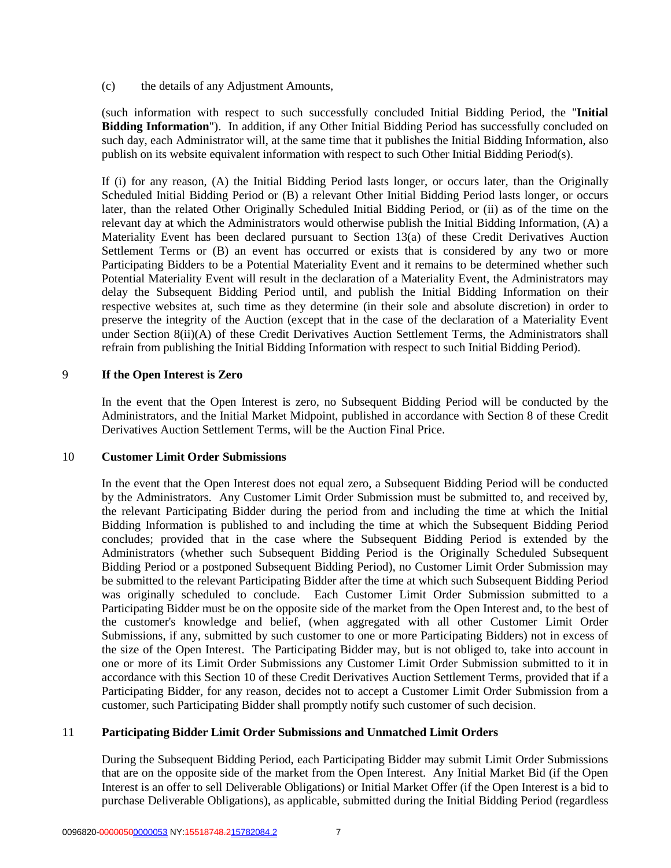(c) the details of any Adjustment Amounts,

(such information with respect to such successfully concluded Initial Bidding Period, the "**Initial Bidding Information**"). In addition, if any Other Initial Bidding Period has successfully concluded on such day, each Administrator will, at the same time that it publishes the Initial Bidding Information, also publish on its website equivalent information with respect to such Other Initial Bidding Period(s).

If (i) for any reason, (A) the Initial Bidding Period lasts longer, or occurs later, than the Originally Scheduled Initial Bidding Period or (B) a relevant Other Initial Bidding Period lasts longer, or occurs later, than the related Other Originally Scheduled Initial Bidding Period, or (ii) as of the time on the relevant day at which the Administrators would otherwise publish the Initial Bidding Information, (A) a Materiality Event has been declared pursuant to Section 13(a) of these Credit Derivatives Auction Settlement Terms or (B) an event has occurred or exists that is considered by any two or more Participating Bidders to be a Potential Materiality Event and it remains to be determined whether such Potential Materiality Event will result in the declaration of a Materiality Event, the Administrators may delay the Subsequent Bidding Period until, and publish the Initial Bidding Information on their respective websites at, such time as they determine (in their sole and absolute discretion) in order to preserve the integrity of the Auction (except that in the case of the declaration of a Materiality Event under Section 8(ii)(A) of these Credit Derivatives Auction Settlement Terms, the Administrators shall refrain from publishing the Initial Bidding Information with respect to such Initial Bidding Period).

#### 9 **If the Open Interest is Zero**

In the event that the Open Interest is zero, no Subsequent Bidding Period will be conducted by the Administrators, and the Initial Market Midpoint, published in accordance with Section 8 of these Credit Derivatives Auction Settlement Terms, will be the Auction Final Price.

#### 10 **Customer Limit Order Submissions**

In the event that the Open Interest does not equal zero, a Subsequent Bidding Period will be conducted by the Administrators. Any Customer Limit Order Submission must be submitted to, and received by, the relevant Participating Bidder during the period from and including the time at which the Initial Bidding Information is published to and including the time at which the Subsequent Bidding Period concludes; provided that in the case where the Subsequent Bidding Period is extended by the Administrators (whether such Subsequent Bidding Period is the Originally Scheduled Subsequent Bidding Period or a postponed Subsequent Bidding Period), no Customer Limit Order Submission may be submitted to the relevant Participating Bidder after the time at which such Subsequent Bidding Period was originally scheduled to conclude. Each Customer Limit Order Submission submitted to a Participating Bidder must be on the opposite side of the market from the Open Interest and, to the best of the customer's knowledge and belief, (when aggregated with all other Customer Limit Order Submissions, if any, submitted by such customer to one or more Participating Bidders) not in excess of the size of the Open Interest. The Participating Bidder may, but is not obliged to, take into account in one or more of its Limit Order Submissions any Customer Limit Order Submission submitted to it in accordance with this Section 10 of these Credit Derivatives Auction Settlement Terms, provided that if a Participating Bidder, for any reason, decides not to accept a Customer Limit Order Submission from a customer, such Participating Bidder shall promptly notify such customer of such decision.

#### 11 **Participating Bidder Limit Order Submissions and Unmatched Limit Orders**

During the Subsequent Bidding Period, each Participating Bidder may submit Limit Order Submissions that are on the opposite side of the market from the Open Interest. Any Initial Market Bid (if the Open Interest is an offer to sell Deliverable Obligations) or Initial Market Offer (if the Open Interest is a bid to purchase Deliverable Obligations), as applicable, submitted during the Initial Bidding Period (regardless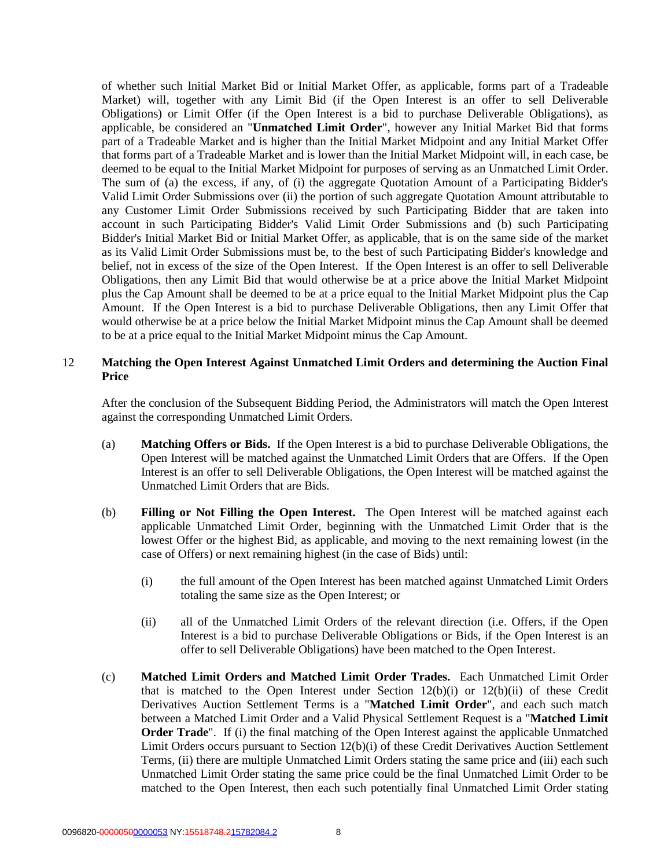of whether such Initial Market Bid or Initial Market Offer, as applicable, forms part of a Tradeable Market) will, together with any Limit Bid (if the Open Interest is an offer to sell Deliverable Obligations) or Limit Offer (if the Open Interest is a bid to purchase Deliverable Obligations), as applicable, be considered an "**Unmatched Limit Order**", however any Initial Market Bid that forms part of a Tradeable Market and is higher than the Initial Market Midpoint and any Initial Market Offer that forms part of a Tradeable Market and is lower than the Initial Market Midpoint will, in each case, be deemed to be equal to the Initial Market Midpoint for purposes of serving as an Unmatched Limit Order. The sum of (a) the excess, if any, of (i) the aggregate Quotation Amount of a Participating Bidder's Valid Limit Order Submissions over (ii) the portion of such aggregate Quotation Amount attributable to any Customer Limit Order Submissions received by such Participating Bidder that are taken into account in such Participating Bidder's Valid Limit Order Submissions and (b) such Participating Bidder's Initial Market Bid or Initial Market Offer, as applicable, that is on the same side of the market as its Valid Limit Order Submissions must be, to the best of such Participating Bidder's knowledge and belief, not in excess of the size of the Open Interest. If the Open Interest is an offer to sell Deliverable Obligations, then any Limit Bid that would otherwise be at a price above the Initial Market Midpoint plus the Cap Amount shall be deemed to be at a price equal to the Initial Market Midpoint plus the Cap Amount. If the Open Interest is a bid to purchase Deliverable Obligations, then any Limit Offer that would otherwise be at a price below the Initial Market Midpoint minus the Cap Amount shall be deemed to be at a price equal to the Initial Market Midpoint minus the Cap Amount.

## 12 **Matching the Open Interest Against Unmatched Limit Orders and determining the Auction Final Price**

After the conclusion of the Subsequent Bidding Period, the Administrators will match the Open Interest against the corresponding Unmatched Limit Orders.

- (a) **Matching Offers or Bids.** If the Open Interest is a bid to purchase Deliverable Obligations, the Open Interest will be matched against the Unmatched Limit Orders that are Offers. If the Open Interest is an offer to sell Deliverable Obligations, the Open Interest will be matched against the Unmatched Limit Orders that are Bids.
- (b) **Filling or Not Filling the Open Interest.** The Open Interest will be matched against each applicable Unmatched Limit Order, beginning with the Unmatched Limit Order that is the lowest Offer or the highest Bid, as applicable, and moving to the next remaining lowest (in the case of Offers) or next remaining highest (in the case of Bids) until:
	- (i) the full amount of the Open Interest has been matched against Unmatched Limit Orders totaling the same size as the Open Interest; or
	- (ii) all of the Unmatched Limit Orders of the relevant direction (i.e. Offers, if the Open Interest is a bid to purchase Deliverable Obligations or Bids, if the Open Interest is an offer to sell Deliverable Obligations) have been matched to the Open Interest.
- (c) **Matched Limit Orders and Matched Limit Order Trades.** Each Unmatched Limit Order that is matched to the Open Interest under Section 12(b)(i) or 12(b)(ii) of these Credit Derivatives Auction Settlement Terms is a "**Matched Limit Order**", and each such match between a Matched Limit Order and a Valid Physical Settlement Request is a "**Matched Limit Order Trade**". If (i) the final matching of the Open Interest against the applicable Unmatched Limit Orders occurs pursuant to Section 12(b)(i) of these Credit Derivatives Auction Settlement Terms, (ii) there are multiple Unmatched Limit Orders stating the same price and (iii) each such Unmatched Limit Order stating the same price could be the final Unmatched Limit Order to be matched to the Open Interest, then each such potentially final Unmatched Limit Order stating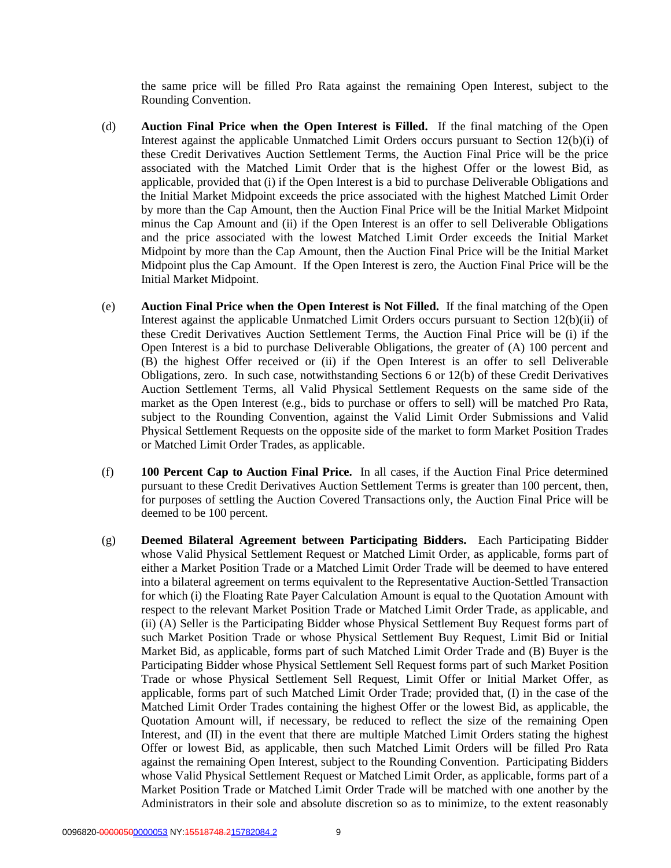the same price will be filled Pro Rata against the remaining Open Interest, subject to the Rounding Convention.

- (d) **Auction Final Price when the Open Interest is Filled.** If the final matching of the Open Interest against the applicable Unmatched Limit Orders occurs pursuant to Section 12(b)(i) of these Credit Derivatives Auction Settlement Terms, the Auction Final Price will be the price associated with the Matched Limit Order that is the highest Offer or the lowest Bid, as applicable, provided that (i) if the Open Interest is a bid to purchase Deliverable Obligations and the Initial Market Midpoint exceeds the price associated with the highest Matched Limit Order by more than the Cap Amount, then the Auction Final Price will be the Initial Market Midpoint minus the Cap Amount and (ii) if the Open Interest is an offer to sell Deliverable Obligations and the price associated with the lowest Matched Limit Order exceeds the Initial Market Midpoint by more than the Cap Amount, then the Auction Final Price will be the Initial Market Midpoint plus the Cap Amount. If the Open Interest is zero, the Auction Final Price will be the Initial Market Midpoint.
- (e) **Auction Final Price when the Open Interest is Not Filled.** If the final matching of the Open Interest against the applicable Unmatched Limit Orders occurs pursuant to Section 12(b)(ii) of these Credit Derivatives Auction Settlement Terms, the Auction Final Price will be (i) if the Open Interest is a bid to purchase Deliverable Obligations, the greater of (A) 100 percent and (B) the highest Offer received or (ii) if the Open Interest is an offer to sell Deliverable Obligations, zero. In such case, notwithstanding Sections 6 or 12(b) of these Credit Derivatives Auction Settlement Terms, all Valid Physical Settlement Requests on the same side of the market as the Open Interest (e.g., bids to purchase or offers to sell) will be matched Pro Rata, subject to the Rounding Convention, against the Valid Limit Order Submissions and Valid Physical Settlement Requests on the opposite side of the market to form Market Position Trades or Matched Limit Order Trades, as applicable.
- (f) **100 Percent Cap to Auction Final Price.** In all cases, if the Auction Final Price determined pursuant to these Credit Derivatives Auction Settlement Terms is greater than 100 percent, then, for purposes of settling the Auction Covered Transactions only, the Auction Final Price will be deemed to be 100 percent.
- (g) **Deemed Bilateral Agreement between Participating Bidders.** Each Participating Bidder whose Valid Physical Settlement Request or Matched Limit Order, as applicable, forms part of either a Market Position Trade or a Matched Limit Order Trade will be deemed to have entered into a bilateral agreement on terms equivalent to the Representative Auction-Settled Transaction for which (i) the Floating Rate Payer Calculation Amount is equal to the Quotation Amount with respect to the relevant Market Position Trade or Matched Limit Order Trade, as applicable, and (ii) (A) Seller is the Participating Bidder whose Physical Settlement Buy Request forms part of such Market Position Trade or whose Physical Settlement Buy Request, Limit Bid or Initial Market Bid, as applicable, forms part of such Matched Limit Order Trade and (B) Buyer is the Participating Bidder whose Physical Settlement Sell Request forms part of such Market Position Trade or whose Physical Settlement Sell Request, Limit Offer or Initial Market Offer, as applicable, forms part of such Matched Limit Order Trade; provided that, (I) in the case of the Matched Limit Order Trades containing the highest Offer or the lowest Bid, as applicable, the Quotation Amount will, if necessary, be reduced to reflect the size of the remaining Open Interest, and (II) in the event that there are multiple Matched Limit Orders stating the highest Offer or lowest Bid, as applicable, then such Matched Limit Orders will be filled Pro Rata against the remaining Open Interest, subject to the Rounding Convention. Participating Bidders whose Valid Physical Settlement Request or Matched Limit Order, as applicable, forms part of a Market Position Trade or Matched Limit Order Trade will be matched with one another by the Administrators in their sole and absolute discretion so as to minimize, to the extent reasonably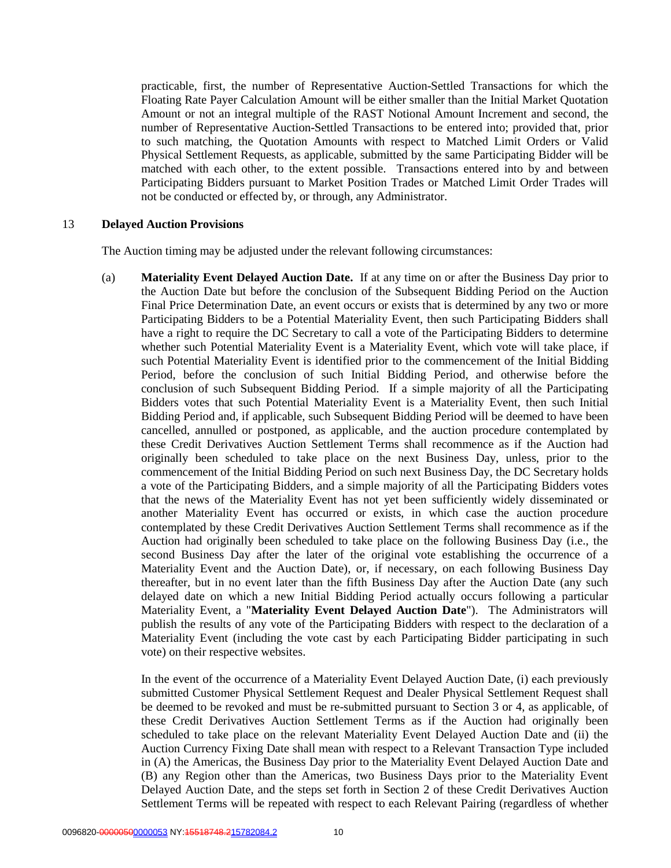practicable, first, the number of Representative Auction-Settled Transactions for which the Floating Rate Payer Calculation Amount will be either smaller than the Initial Market Quotation Amount or not an integral multiple of the RAST Notional Amount Increment and second, the number of Representative Auction-Settled Transactions to be entered into; provided that, prior to such matching, the Quotation Amounts with respect to Matched Limit Orders or Valid Physical Settlement Requests, as applicable, submitted by the same Participating Bidder will be matched with each other, to the extent possible. Transactions entered into by and between Participating Bidders pursuant to Market Position Trades or Matched Limit Order Trades will not be conducted or effected by, or through, any Administrator.

#### 13 **Delayed Auction Provisions**

The Auction timing may be adjusted under the relevant following circumstances:

(a) **Materiality Event Delayed Auction Date.** If at any time on or after the Business Day prior to the Auction Date but before the conclusion of the Subsequent Bidding Period on the Auction Final Price Determination Date, an event occurs or exists that is determined by any two or more Participating Bidders to be a Potential Materiality Event, then such Participating Bidders shall have a right to require the DC Secretary to call a vote of the Participating Bidders to determine whether such Potential Materiality Event is a Materiality Event, which vote will take place, if such Potential Materiality Event is identified prior to the commencement of the Initial Bidding Period, before the conclusion of such Initial Bidding Period, and otherwise before the conclusion of such Subsequent Bidding Period. If a simple majority of all the Participating Bidders votes that such Potential Materiality Event is a Materiality Event, then such Initial Bidding Period and, if applicable, such Subsequent Bidding Period will be deemed to have been cancelled, annulled or postponed, as applicable, and the auction procedure contemplated by these Credit Derivatives Auction Settlement Terms shall recommence as if the Auction had originally been scheduled to take place on the next Business Day, unless, prior to the commencement of the Initial Bidding Period on such next Business Day, the DC Secretary holds a vote of the Participating Bidders, and a simple majority of all the Participating Bidders votes that the news of the Materiality Event has not yet been sufficiently widely disseminated or another Materiality Event has occurred or exists, in which case the auction procedure contemplated by these Credit Derivatives Auction Settlement Terms shall recommence as if the Auction had originally been scheduled to take place on the following Business Day (i.e., the second Business Day after the later of the original vote establishing the occurrence of a Materiality Event and the Auction Date), or, if necessary, on each following Business Day thereafter, but in no event later than the fifth Business Day after the Auction Date (any such delayed date on which a new Initial Bidding Period actually occurs following a particular Materiality Event, a "**Materiality Event Delayed Auction Date**"). The Administrators will publish the results of any vote of the Participating Bidders with respect to the declaration of a Materiality Event (including the vote cast by each Participating Bidder participating in such vote) on their respective websites.

In the event of the occurrence of a Materiality Event Delayed Auction Date, (i) each previously submitted Customer Physical Settlement Request and Dealer Physical Settlement Request shall be deemed to be revoked and must be re-submitted pursuant to Section 3 or 4, as applicable, of these Credit Derivatives Auction Settlement Terms as if the Auction had originally been scheduled to take place on the relevant Materiality Event Delayed Auction Date and (ii) the Auction Currency Fixing Date shall mean with respect to a Relevant Transaction Type included in (A) the Americas, the Business Day prior to the Materiality Event Delayed Auction Date and (B) any Region other than the Americas, two Business Days prior to the Materiality Event Delayed Auction Date, and the steps set forth in Section 2 of these Credit Derivatives Auction Settlement Terms will be repeated with respect to each Relevant Pairing (regardless of whether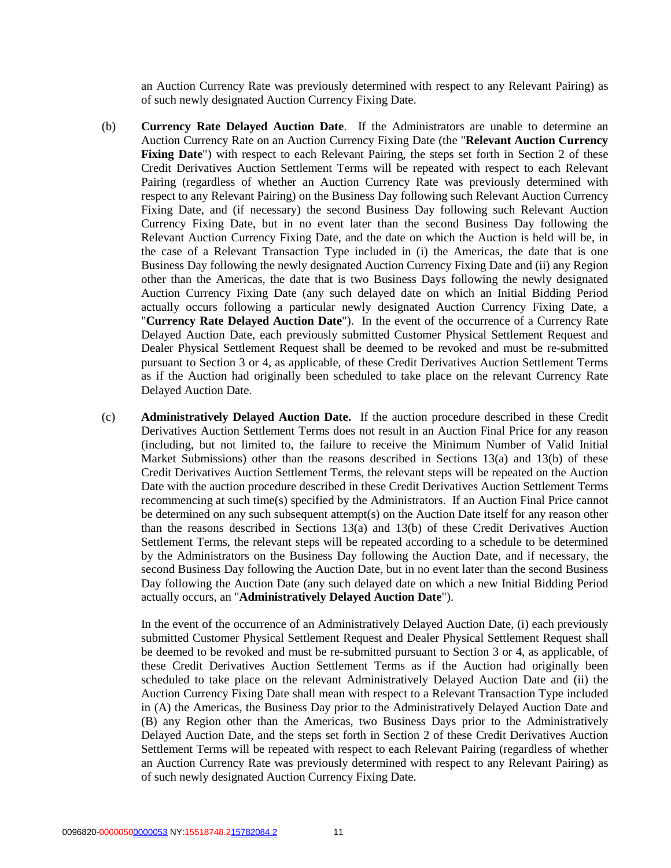an Auction Currency Rate was previously determined with respect to any Relevant Pairing) as of such newly designated Auction Currency Fixing Date.

- (b) **Currency Rate Delayed Auction Date**. If the Administrators are unable to determine an Auction Currency Rate on an Auction Currency Fixing Date (the "**Relevant Auction Currency Fixing Date**") with respect to each Relevant Pairing, the steps set forth in Section 2 of these Credit Derivatives Auction Settlement Terms will be repeated with respect to each Relevant Pairing (regardless of whether an Auction Currency Rate was previously determined with respect to any Relevant Pairing) on the Business Day following such Relevant Auction Currency Fixing Date, and (if necessary) the second Business Day following such Relevant Auction Currency Fixing Date, but in no event later than the second Business Day following the Relevant Auction Currency Fixing Date, and the date on which the Auction is held will be, in the case of a Relevant Transaction Type included in (i) the Americas, the date that is one Business Day following the newly designated Auction Currency Fixing Date and (ii) any Region other than the Americas, the date that is two Business Days following the newly designated Auction Currency Fixing Date (any such delayed date on which an Initial Bidding Period actually occurs following a particular newly designated Auction Currency Fixing Date, a "**Currency Rate Delayed Auction Date**"). In the event of the occurrence of a Currency Rate Delayed Auction Date, each previously submitted Customer Physical Settlement Request and Dealer Physical Settlement Request shall be deemed to be revoked and must be re-submitted pursuant to Section 3 or 4, as applicable, of these Credit Derivatives Auction Settlement Terms as if the Auction had originally been scheduled to take place on the relevant Currency Rate Delayed Auction Date.
- (c) **Administratively Delayed Auction Date.** If the auction procedure described in these Credit Derivatives Auction Settlement Terms does not result in an Auction Final Price for any reason (including, but not limited to, the failure to receive the Minimum Number of Valid Initial Market Submissions) other than the reasons described in Sections  $13(a)$  and  $13(b)$  of these Credit Derivatives Auction Settlement Terms, the relevant steps will be repeated on the Auction Date with the auction procedure described in these Credit Derivatives Auction Settlement Terms recommencing at such time(s) specified by the Administrators. If an Auction Final Price cannot be determined on any such subsequent attempt(s) on the Auction Date itself for any reason other than the reasons described in Sections 13(a) and 13(b) of these Credit Derivatives Auction Settlement Terms, the relevant steps will be repeated according to a schedule to be determined by the Administrators on the Business Day following the Auction Date, and if necessary, the second Business Day following the Auction Date, but in no event later than the second Business Day following the Auction Date (any such delayed date on which a new Initial Bidding Period actually occurs, an "**Administratively Delayed Auction Date**").

In the event of the occurrence of an Administratively Delayed Auction Date, (i) each previously submitted Customer Physical Settlement Request and Dealer Physical Settlement Request shall be deemed to be revoked and must be re-submitted pursuant to Section 3 or 4, as applicable, of these Credit Derivatives Auction Settlement Terms as if the Auction had originally been scheduled to take place on the relevant Administratively Delayed Auction Date and (ii) the Auction Currency Fixing Date shall mean with respect to a Relevant Transaction Type included in (A) the Americas, the Business Day prior to the Administratively Delayed Auction Date and (B) any Region other than the Americas, two Business Days prior to the Administratively Delayed Auction Date, and the steps set forth in Section 2 of these Credit Derivatives Auction Settlement Terms will be repeated with respect to each Relevant Pairing (regardless of whether an Auction Currency Rate was previously determined with respect to any Relevant Pairing) as of such newly designated Auction Currency Fixing Date.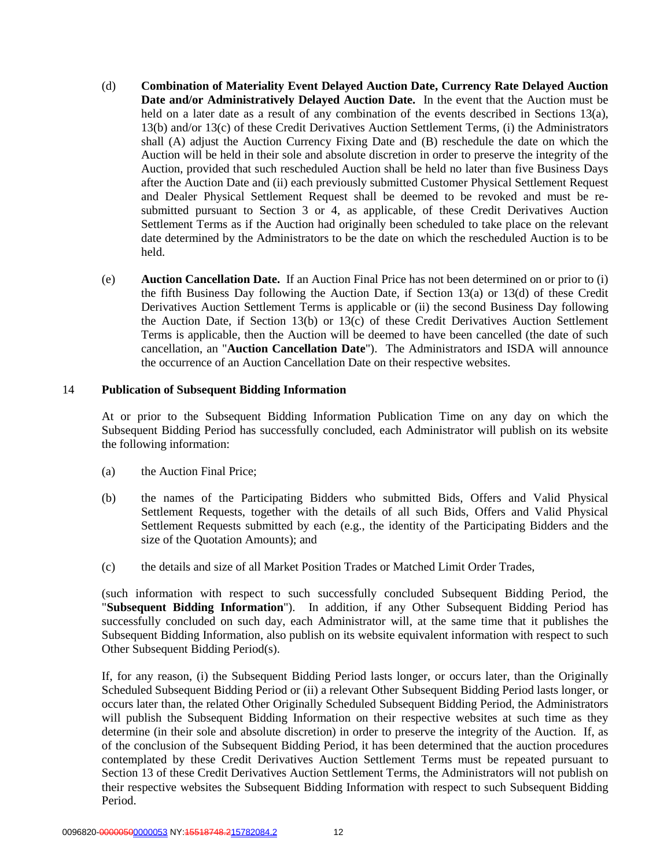- (d) **Combination of Materiality Event Delayed Auction Date, Currency Rate Delayed Auction Date and/or Administratively Delayed Auction Date.** In the event that the Auction must be held on a later date as a result of any combination of the events described in Sections 13(a), 13(b) and/or 13(c) of these Credit Derivatives Auction Settlement Terms, (i) the Administrators shall (A) adjust the Auction Currency Fixing Date and (B) reschedule the date on which the Auction will be held in their sole and absolute discretion in order to preserve the integrity of the Auction, provided that such rescheduled Auction shall be held no later than five Business Days after the Auction Date and (ii) each previously submitted Customer Physical Settlement Request and Dealer Physical Settlement Request shall be deemed to be revoked and must be resubmitted pursuant to Section 3 or 4, as applicable, of these Credit Derivatives Auction Settlement Terms as if the Auction had originally been scheduled to take place on the relevant date determined by the Administrators to be the date on which the rescheduled Auction is to be held.
- (e) **Auction Cancellation Date.** If an Auction Final Price has not been determined on or prior to (i) the fifth Business Day following the Auction Date, if Section 13(a) or 13(d) of these Credit Derivatives Auction Settlement Terms is applicable or (ii) the second Business Day following the Auction Date, if Section 13(b) or 13(c) of these Credit Derivatives Auction Settlement Terms is applicable, then the Auction will be deemed to have been cancelled (the date of such cancellation, an "**Auction Cancellation Date**"). The Administrators and ISDA will announce the occurrence of an Auction Cancellation Date on their respective websites.

#### 14 **Publication of Subsequent Bidding Information**

At or prior to the Subsequent Bidding Information Publication Time on any day on which the Subsequent Bidding Period has successfully concluded, each Administrator will publish on its website the following information:

- (a) the Auction Final Price;
- (b) the names of the Participating Bidders who submitted Bids, Offers and Valid Physical Settlement Requests, together with the details of all such Bids, Offers and Valid Physical Settlement Requests submitted by each (e.g., the identity of the Participating Bidders and the size of the Quotation Amounts); and
- (c) the details and size of all Market Position Trades or Matched Limit Order Trades,

(such information with respect to such successfully concluded Subsequent Bidding Period, the "**Subsequent Bidding Information**"). In addition, if any Other Subsequent Bidding Period has successfully concluded on such day, each Administrator will, at the same time that it publishes the Subsequent Bidding Information, also publish on its website equivalent information with respect to such Other Subsequent Bidding Period(s).

If, for any reason, (i) the Subsequent Bidding Period lasts longer, or occurs later, than the Originally Scheduled Subsequent Bidding Period or (ii) a relevant Other Subsequent Bidding Period lasts longer, or occurs later than, the related Other Originally Scheduled Subsequent Bidding Period, the Administrators will publish the Subsequent Bidding Information on their respective websites at such time as they determine (in their sole and absolute discretion) in order to preserve the integrity of the Auction. If, as of the conclusion of the Subsequent Bidding Period, it has been determined that the auction procedures contemplated by these Credit Derivatives Auction Settlement Terms must be repeated pursuant to Section 13 of these Credit Derivatives Auction Settlement Terms, the Administrators will not publish on their respective websites the Subsequent Bidding Information with respect to such Subsequent Bidding Period.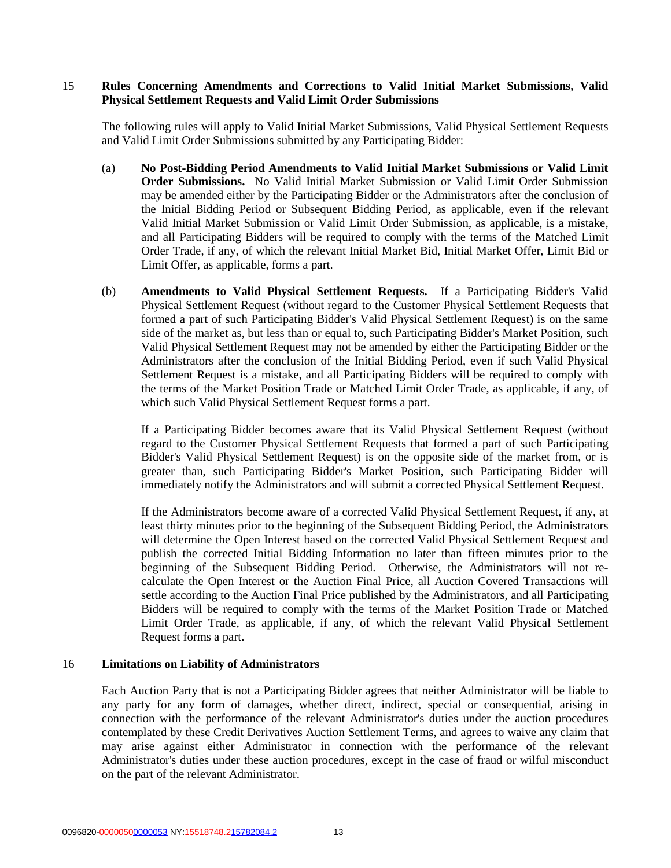#### 15 **Rules Concerning Amendments and Corrections to Valid Initial Market Submissions, Valid Physical Settlement Requests and Valid Limit Order Submissions**

The following rules will apply to Valid Initial Market Submissions, Valid Physical Settlement Requests and Valid Limit Order Submissions submitted by any Participating Bidder:

- (a) **No Post-Bidding Period Amendments to Valid Initial Market Submissions or Valid Limit Order Submissions.** No Valid Initial Market Submission or Valid Limit Order Submission may be amended either by the Participating Bidder or the Administrators after the conclusion of the Initial Bidding Period or Subsequent Bidding Period, as applicable, even if the relevant Valid Initial Market Submission or Valid Limit Order Submission, as applicable, is a mistake, and all Participating Bidders will be required to comply with the terms of the Matched Limit Order Trade, if any, of which the relevant Initial Market Bid, Initial Market Offer, Limit Bid or Limit Offer, as applicable, forms a part.
- (b) **Amendments to Valid Physical Settlement Requests.** If a Participating Bidder's Valid Physical Settlement Request (without regard to the Customer Physical Settlement Requests that formed a part of such Participating Bidder's Valid Physical Settlement Request) is on the same side of the market as, but less than or equal to, such Participating Bidder's Market Position, such Valid Physical Settlement Request may not be amended by either the Participating Bidder or the Administrators after the conclusion of the Initial Bidding Period, even if such Valid Physical Settlement Request is a mistake, and all Participating Bidders will be required to comply with the terms of the Market Position Trade or Matched Limit Order Trade, as applicable, if any, of which such Valid Physical Settlement Request forms a part.

If a Participating Bidder becomes aware that its Valid Physical Settlement Request (without regard to the Customer Physical Settlement Requests that formed a part of such Participating Bidder's Valid Physical Settlement Request) is on the opposite side of the market from, or is greater than, such Participating Bidder's Market Position, such Participating Bidder will immediately notify the Administrators and will submit a corrected Physical Settlement Request.

If the Administrators become aware of a corrected Valid Physical Settlement Request, if any, at least thirty minutes prior to the beginning of the Subsequent Bidding Period, the Administrators will determine the Open Interest based on the corrected Valid Physical Settlement Request and publish the corrected Initial Bidding Information no later than fifteen minutes prior to the beginning of the Subsequent Bidding Period. Otherwise, the Administrators will not recalculate the Open Interest or the Auction Final Price, all Auction Covered Transactions will settle according to the Auction Final Price published by the Administrators, and all Participating Bidders will be required to comply with the terms of the Market Position Trade or Matched Limit Order Trade, as applicable, if any, of which the relevant Valid Physical Settlement Request forms a part.

#### 16 **Limitations on Liability of Administrators**

Each Auction Party that is not a Participating Bidder agrees that neither Administrator will be liable to any party for any form of damages, whether direct, indirect, special or consequential, arising in connection with the performance of the relevant Administrator's duties under the auction procedures contemplated by these Credit Derivatives Auction Settlement Terms, and agrees to waive any claim that may arise against either Administrator in connection with the performance of the relevant Administrator's duties under these auction procedures, except in the case of fraud or wilful misconduct on the part of the relevant Administrator.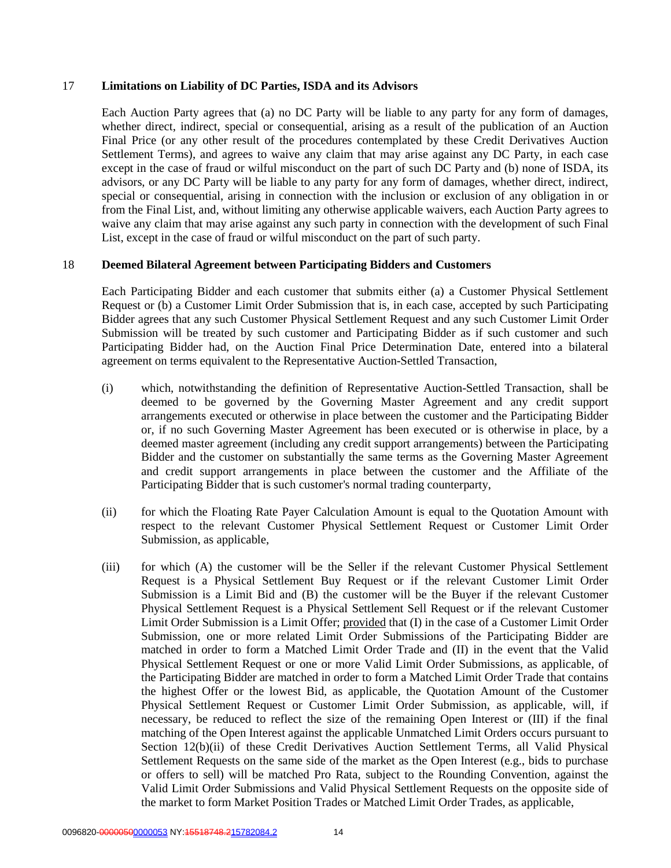#### 17 **Limitations on Liability of DC Parties, ISDA and its Advisors**

Each Auction Party agrees that (a) no DC Party will be liable to any party for any form of damages, whether direct, indirect, special or consequential, arising as a result of the publication of an Auction Final Price (or any other result of the procedures contemplated by these Credit Derivatives Auction Settlement Terms), and agrees to waive any claim that may arise against any DC Party, in each case except in the case of fraud or wilful misconduct on the part of such DC Party and (b) none of ISDA, its advisors, or any DC Party will be liable to any party for any form of damages, whether direct, indirect, special or consequential, arising in connection with the inclusion or exclusion of any obligation in or from the Final List, and, without limiting any otherwise applicable waivers, each Auction Party agrees to waive any claim that may arise against any such party in connection with the development of such Final List, except in the case of fraud or wilful misconduct on the part of such party.

#### 18 **Deemed Bilateral Agreement between Participating Bidders and Customers**

Each Participating Bidder and each customer that submits either (a) a Customer Physical Settlement Request or (b) a Customer Limit Order Submission that is, in each case, accepted by such Participating Bidder agrees that any such Customer Physical Settlement Request and any such Customer Limit Order Submission will be treated by such customer and Participating Bidder as if such customer and such Participating Bidder had, on the Auction Final Price Determination Date, entered into a bilateral agreement on terms equivalent to the Representative Auction-Settled Transaction,

- (i) which, notwithstanding the definition of Representative Auction-Settled Transaction, shall be deemed to be governed by the Governing Master Agreement and any credit support arrangements executed or otherwise in place between the customer and the Participating Bidder or, if no such Governing Master Agreement has been executed or is otherwise in place, by a deemed master agreement (including any credit support arrangements) between the Participating Bidder and the customer on substantially the same terms as the Governing Master Agreement and credit support arrangements in place between the customer and the Affiliate of the Participating Bidder that is such customer's normal trading counterparty,
- (ii) for which the Floating Rate Payer Calculation Amount is equal to the Quotation Amount with respect to the relevant Customer Physical Settlement Request or Customer Limit Order Submission, as applicable,
- (iii) for which (A) the customer will be the Seller if the relevant Customer Physical Settlement Request is a Physical Settlement Buy Request or if the relevant Customer Limit Order Submission is a Limit Bid and (B) the customer will be the Buyer if the relevant Customer Physical Settlement Request is a Physical Settlement Sell Request or if the relevant Customer Limit Order Submission is a Limit Offer; provided that (I) in the case of a Customer Limit Order Submission, one or more related Limit Order Submissions of the Participating Bidder are matched in order to form a Matched Limit Order Trade and (II) in the event that the Valid Physical Settlement Request or one or more Valid Limit Order Submissions, as applicable, of the Participating Bidder are matched in order to form a Matched Limit Order Trade that contains the highest Offer or the lowest Bid, as applicable, the Quotation Amount of the Customer Physical Settlement Request or Customer Limit Order Submission, as applicable, will, if necessary, be reduced to reflect the size of the remaining Open Interest or (III) if the final matching of the Open Interest against the applicable Unmatched Limit Orders occurs pursuant to Section 12(b)(ii) of these Credit Derivatives Auction Settlement Terms, all Valid Physical Settlement Requests on the same side of the market as the Open Interest (e.g., bids to purchase or offers to sell) will be matched Pro Rata, subject to the Rounding Convention, against the Valid Limit Order Submissions and Valid Physical Settlement Requests on the opposite side of the market to form Market Position Trades or Matched Limit Order Trades, as applicable,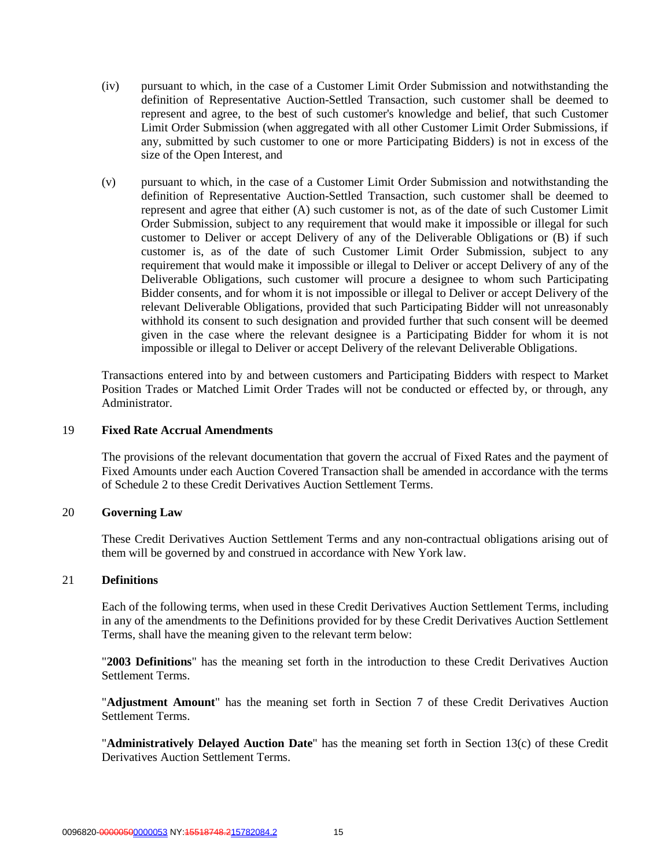- (iv) pursuant to which, in the case of a Customer Limit Order Submission and notwithstanding the definition of Representative Auction-Settled Transaction, such customer shall be deemed to represent and agree, to the best of such customer's knowledge and belief, that such Customer Limit Order Submission (when aggregated with all other Customer Limit Order Submissions, if any, submitted by such customer to one or more Participating Bidders) is not in excess of the size of the Open Interest, and
- (v) pursuant to which, in the case of a Customer Limit Order Submission and notwithstanding the definition of Representative Auction-Settled Transaction, such customer shall be deemed to represent and agree that either (A) such customer is not, as of the date of such Customer Limit Order Submission, subject to any requirement that would make it impossible or illegal for such customer to Deliver or accept Delivery of any of the Deliverable Obligations or (B) if such customer is, as of the date of such Customer Limit Order Submission, subject to any requirement that would make it impossible or illegal to Deliver or accept Delivery of any of the Deliverable Obligations, such customer will procure a designee to whom such Participating Bidder consents, and for whom it is not impossible or illegal to Deliver or accept Delivery of the relevant Deliverable Obligations, provided that such Participating Bidder will not unreasonably withhold its consent to such designation and provided further that such consent will be deemed given in the case where the relevant designee is a Participating Bidder for whom it is not impossible or illegal to Deliver or accept Delivery of the relevant Deliverable Obligations.

Transactions entered into by and between customers and Participating Bidders with respect to Market Position Trades or Matched Limit Order Trades will not be conducted or effected by, or through, any Administrator.

#### 19 **Fixed Rate Accrual Amendments**

The provisions of the relevant documentation that govern the accrual of Fixed Rates and the payment of Fixed Amounts under each Auction Covered Transaction shall be amended in accordance with the terms of Schedule 2 to these Credit Derivatives Auction Settlement Terms.

#### 20 **Governing Law**

These Credit Derivatives Auction Settlement Terms and any non-contractual obligations arising out of them will be governed by and construed in accordance with New York law.

#### 21 **Definitions**

Each of the following terms, when used in these Credit Derivatives Auction Settlement Terms, including in any of the amendments to the Definitions provided for by these Credit Derivatives Auction Settlement Terms, shall have the meaning given to the relevant term below:

"**2003 Definitions**" has the meaning set forth in the introduction to these Credit Derivatives Auction Settlement Terms.

"**Adjustment Amount**" has the meaning set forth in Section 7 of these Credit Derivatives Auction Settlement Terms.

"**Administratively Delayed Auction Date**" has the meaning set forth in Section 13(c) of these Credit Derivatives Auction Settlement Terms.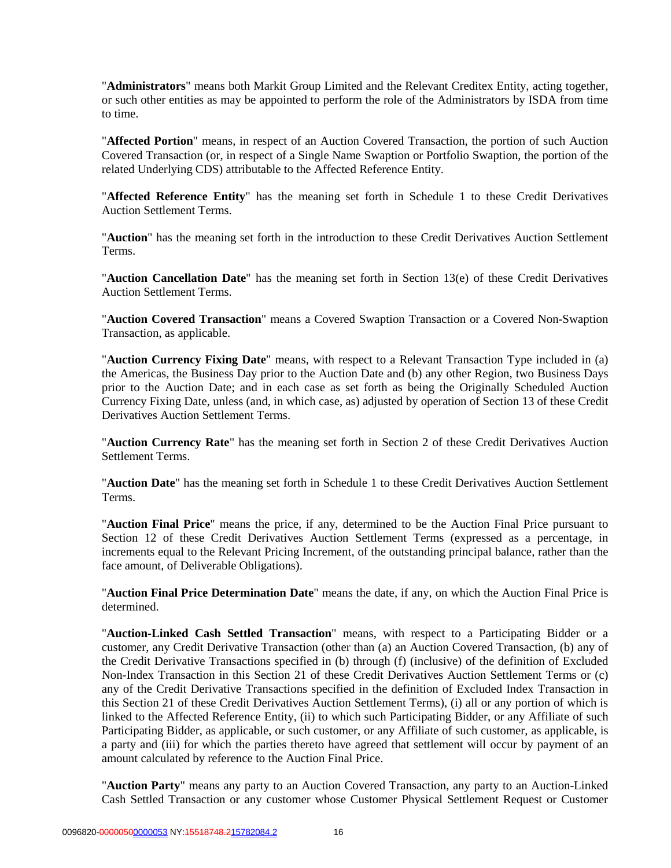"**Administrators**" means both Markit Group Limited and the Relevant Creditex Entity, acting together, or such other entities as may be appointed to perform the role of the Administrators by ISDA from time to time.

"**Affected Portion**" means, in respect of an Auction Covered Transaction, the portion of such Auction Covered Transaction (or, in respect of a Single Name Swaption or Portfolio Swaption, the portion of the related Underlying CDS) attributable to the Affected Reference Entity.

"**Affected Reference Entity**" has the meaning set forth in Schedule 1 to these Credit Derivatives Auction Settlement Terms.

"**Auction**" has the meaning set forth in the introduction to these Credit Derivatives Auction Settlement Terms.

"**Auction Cancellation Date**" has the meaning set forth in Section 13(e) of these Credit Derivatives Auction Settlement Terms.

"**Auction Covered Transaction**" means a Covered Swaption Transaction or a Covered Non-Swaption Transaction, as applicable.

"**Auction Currency Fixing Date**" means, with respect to a Relevant Transaction Type included in (a) the Americas, the Business Day prior to the Auction Date and (b) any other Region, two Business Days prior to the Auction Date; and in each case as set forth as being the Originally Scheduled Auction Currency Fixing Date, unless (and, in which case, as) adjusted by operation of Section 13 of these Credit Derivatives Auction Settlement Terms.

"**Auction Currency Rate**" has the meaning set forth in Section 2 of these Credit Derivatives Auction Settlement Terms.

"**Auction Date**" has the meaning set forth in Schedule 1 to these Credit Derivatives Auction Settlement Terms.

"**Auction Final Price**" means the price, if any, determined to be the Auction Final Price pursuant to Section 12 of these Credit Derivatives Auction Settlement Terms (expressed as a percentage, in increments equal to the Relevant Pricing Increment, of the outstanding principal balance, rather than the face amount, of Deliverable Obligations).

"**Auction Final Price Determination Date**" means the date, if any, on which the Auction Final Price is determined.

"**Auction-Linked Cash Settled Transaction**" means, with respect to a Participating Bidder or a customer, any Credit Derivative Transaction (other than (a) an Auction Covered Transaction, (b) any of the Credit Derivative Transactions specified in (b) through (f) (inclusive) of the definition of Excluded Non-Index Transaction in this Section 21 of these Credit Derivatives Auction Settlement Terms or (c) any of the Credit Derivative Transactions specified in the definition of Excluded Index Transaction in this Section 21 of these Credit Derivatives Auction Settlement Terms), (i) all or any portion of which is linked to the Affected Reference Entity, (ii) to which such Participating Bidder, or any Affiliate of such Participating Bidder, as applicable, or such customer, or any Affiliate of such customer, as applicable, is a party and (iii) for which the parties thereto have agreed that settlement will occur by payment of an amount calculated by reference to the Auction Final Price.

"**Auction Party**" means any party to an Auction Covered Transaction, any party to an Auction-Linked Cash Settled Transaction or any customer whose Customer Physical Settlement Request or Customer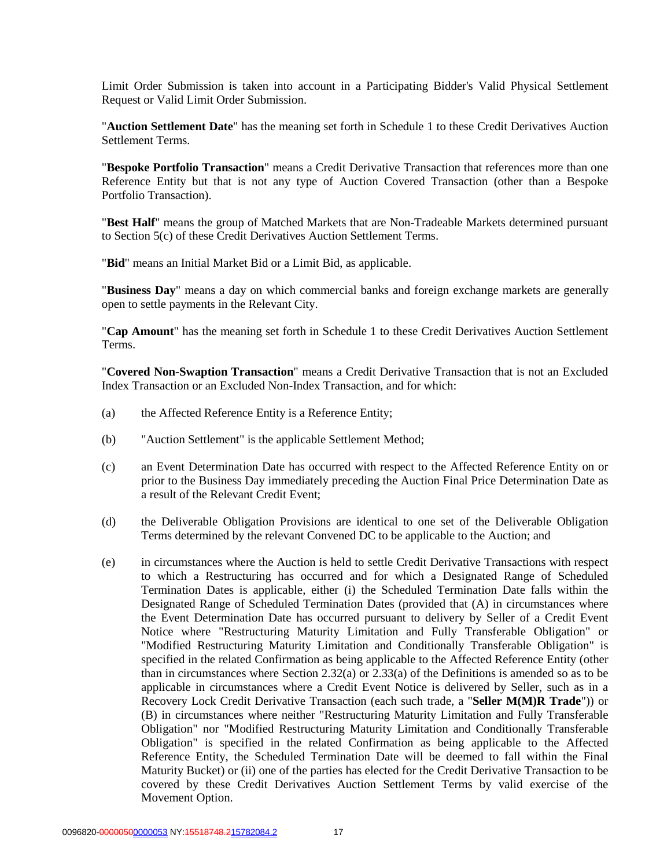Limit Order Submission is taken into account in a Participating Bidder's Valid Physical Settlement Request or Valid Limit Order Submission.

"**Auction Settlement Date**" has the meaning set forth in Schedule 1 to these Credit Derivatives Auction Settlement Terms.

"**Bespoke Portfolio Transaction**" means a Credit Derivative Transaction that references more than one Reference Entity but that is not any type of Auction Covered Transaction (other than a Bespoke Portfolio Transaction).

"**Best Half**" means the group of Matched Markets that are Non-Tradeable Markets determined pursuant to Section 5(c) of these Credit Derivatives Auction Settlement Terms.

"**Bid**" means an Initial Market Bid or a Limit Bid, as applicable.

"**Business Day**" means a day on which commercial banks and foreign exchange markets are generally open to settle payments in the Relevant City.

"**Cap Amount**" has the meaning set forth in Schedule 1 to these Credit Derivatives Auction Settlement Terms.

"**Covered Non-Swaption Transaction**" means a Credit Derivative Transaction that is not an Excluded Index Transaction or an Excluded Non-Index Transaction, and for which:

- (a) the Affected Reference Entity is a Reference Entity;
- (b) "Auction Settlement" is the applicable Settlement Method;
- (c) an Event Determination Date has occurred with respect to the Affected Reference Entity on or prior to the Business Day immediately preceding the Auction Final Price Determination Date as a result of the Relevant Credit Event;
- (d) the Deliverable Obligation Provisions are identical to one set of the Deliverable Obligation Terms determined by the relevant Convened DC to be applicable to the Auction; and
- (e) in circumstances where the Auction is held to settle Credit Derivative Transactions with respect to which a Restructuring has occurred and for which a Designated Range of Scheduled Termination Dates is applicable, either (i) the Scheduled Termination Date falls within the Designated Range of Scheduled Termination Dates (provided that (A) in circumstances where the Event Determination Date has occurred pursuant to delivery by Seller of a Credit Event Notice where "Restructuring Maturity Limitation and Fully Transferable Obligation" or "Modified Restructuring Maturity Limitation and Conditionally Transferable Obligation" is specified in the related Confirmation as being applicable to the Affected Reference Entity (other than in circumstances where Section 2.32(a) or 2.33(a) of the Definitions is amended so as to be applicable in circumstances where a Credit Event Notice is delivered by Seller, such as in a Recovery Lock Credit Derivative Transaction (each such trade, a "**Seller M(M)R Trade**")) or (B) in circumstances where neither "Restructuring Maturity Limitation and Fully Transferable Obligation" nor "Modified Restructuring Maturity Limitation and Conditionally Transferable Obligation" is specified in the related Confirmation as being applicable to the Affected Reference Entity, the Scheduled Termination Date will be deemed to fall within the Final Maturity Bucket) or (ii) one of the parties has elected for the Credit Derivative Transaction to be covered by these Credit Derivatives Auction Settlement Terms by valid exercise of the Movement Option.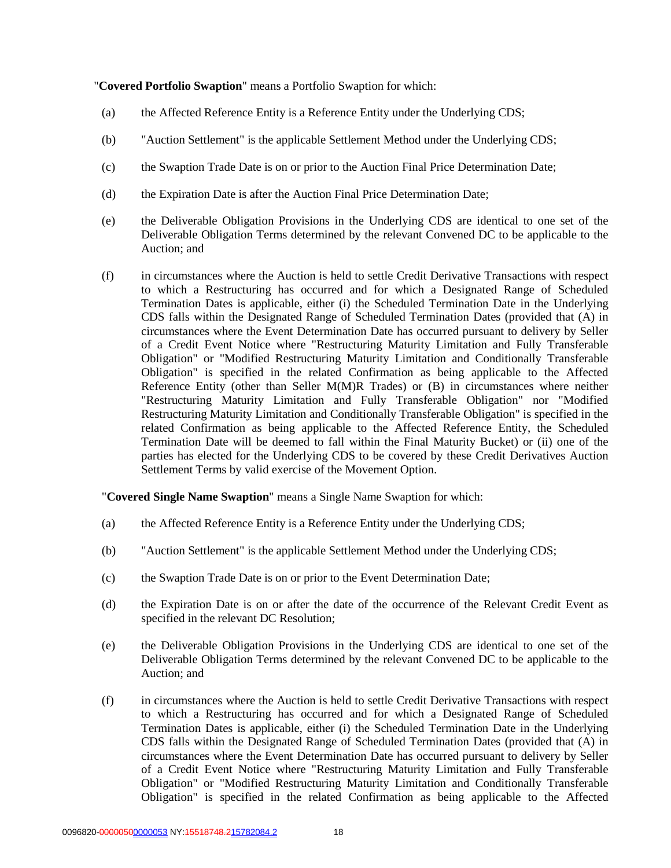"**Covered Portfolio Swaption**" means a Portfolio Swaption for which:

- (a) the Affected Reference Entity is a Reference Entity under the Underlying CDS;
- (b) "Auction Settlement" is the applicable Settlement Method under the Underlying CDS;
- (c) the Swaption Trade Date is on or prior to the Auction Final Price Determination Date;
- (d) the Expiration Date is after the Auction Final Price Determination Date;
- (e) the Deliverable Obligation Provisions in the Underlying CDS are identical to one set of the Deliverable Obligation Terms determined by the relevant Convened DC to be applicable to the Auction; and
- (f) in circumstances where the Auction is held to settle Credit Derivative Transactions with respect to which a Restructuring has occurred and for which a Designated Range of Scheduled Termination Dates is applicable, either (i) the Scheduled Termination Date in the Underlying CDS falls within the Designated Range of Scheduled Termination Dates (provided that (A) in circumstances where the Event Determination Date has occurred pursuant to delivery by Seller of a Credit Event Notice where "Restructuring Maturity Limitation and Fully Transferable Obligation" or "Modified Restructuring Maturity Limitation and Conditionally Transferable Obligation" is specified in the related Confirmation as being applicable to the Affected Reference Entity (other than Seller M(M)R Trades) or (B) in circumstances where neither "Restructuring Maturity Limitation and Fully Transferable Obligation" nor "Modified Restructuring Maturity Limitation and Conditionally Transferable Obligation" is specified in the related Confirmation as being applicable to the Affected Reference Entity, the Scheduled Termination Date will be deemed to fall within the Final Maturity Bucket) or (ii) one of the parties has elected for the Underlying CDS to be covered by these Credit Derivatives Auction Settlement Terms by valid exercise of the Movement Option.

"**Covered Single Name Swaption**" means a Single Name Swaption for which:

- (a) the Affected Reference Entity is a Reference Entity under the Underlying CDS;
- (b) "Auction Settlement" is the applicable Settlement Method under the Underlying CDS;
- (c) the Swaption Trade Date is on or prior to the Event Determination Date;
- (d) the Expiration Date is on or after the date of the occurrence of the Relevant Credit Event as specified in the relevant DC Resolution;
- (e) the Deliverable Obligation Provisions in the Underlying CDS are identical to one set of the Deliverable Obligation Terms determined by the relevant Convened DC to be applicable to the Auction; and
- (f) in circumstances where the Auction is held to settle Credit Derivative Transactions with respect to which a Restructuring has occurred and for which a Designated Range of Scheduled Termination Dates is applicable, either (i) the Scheduled Termination Date in the Underlying CDS falls within the Designated Range of Scheduled Termination Dates (provided that (A) in circumstances where the Event Determination Date has occurred pursuant to delivery by Seller of a Credit Event Notice where "Restructuring Maturity Limitation and Fully Transferable Obligation" or "Modified Restructuring Maturity Limitation and Conditionally Transferable Obligation" is specified in the related Confirmation as being applicable to the Affected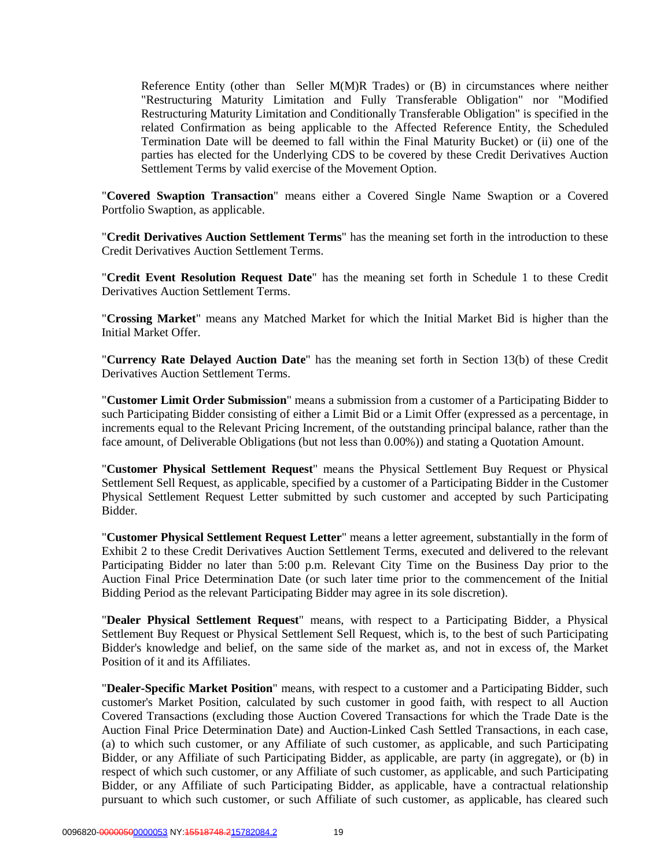Reference Entity (other than Seller M(M)R Trades) or (B) in circumstances where neither "Restructuring Maturity Limitation and Fully Transferable Obligation" nor "Modified Restructuring Maturity Limitation and Conditionally Transferable Obligation" is specified in the related Confirmation as being applicable to the Affected Reference Entity, the Scheduled Termination Date will be deemed to fall within the Final Maturity Bucket) or (ii) one of the parties has elected for the Underlying CDS to be covered by these Credit Derivatives Auction Settlement Terms by valid exercise of the Movement Option.

"**Covered Swaption Transaction**" means either a Covered Single Name Swaption or a Covered Portfolio Swaption, as applicable.

"**Credit Derivatives Auction Settlement Terms**" has the meaning set forth in the introduction to these Credit Derivatives Auction Settlement Terms.

"**Credit Event Resolution Request Date**" has the meaning set forth in Schedule 1 to these Credit Derivatives Auction Settlement Terms.

"**Crossing Market**" means any Matched Market for which the Initial Market Bid is higher than the Initial Market Offer.

"**Currency Rate Delayed Auction Date**" has the meaning set forth in Section 13(b) of these Credit Derivatives Auction Settlement Terms.

"**Customer Limit Order Submission**" means a submission from a customer of a Participating Bidder to such Participating Bidder consisting of either a Limit Bid or a Limit Offer (expressed as a percentage, in increments equal to the Relevant Pricing Increment, of the outstanding principal balance, rather than the face amount, of Deliverable Obligations (but not less than 0.00%)) and stating a Quotation Amount.

"**Customer Physical Settlement Request**" means the Physical Settlement Buy Request or Physical Settlement Sell Request, as applicable, specified by a customer of a Participating Bidder in the Customer Physical Settlement Request Letter submitted by such customer and accepted by such Participating Bidder.

"**Customer Physical Settlement Request Letter**" means a letter agreement, substantially in the form of Exhibit 2 to these Credit Derivatives Auction Settlement Terms, executed and delivered to the relevant Participating Bidder no later than 5:00 p.m. Relevant City Time on the Business Day prior to the Auction Final Price Determination Date (or such later time prior to the commencement of the Initial Bidding Period as the relevant Participating Bidder may agree in its sole discretion).

"**Dealer Physical Settlement Request**" means, with respect to a Participating Bidder, a Physical Settlement Buy Request or Physical Settlement Sell Request, which is, to the best of such Participating Bidder's knowledge and belief, on the same side of the market as, and not in excess of, the Market Position of it and its Affiliates.

"**Dealer-Specific Market Position**" means, with respect to a customer and a Participating Bidder, such customer's Market Position, calculated by such customer in good faith, with respect to all Auction Covered Transactions (excluding those Auction Covered Transactions for which the Trade Date is the Auction Final Price Determination Date) and Auction-Linked Cash Settled Transactions, in each case, (a) to which such customer, or any Affiliate of such customer, as applicable, and such Participating Bidder, or any Affiliate of such Participating Bidder, as applicable, are party (in aggregate), or (b) in respect of which such customer, or any Affiliate of such customer, as applicable, and such Participating Bidder, or any Affiliate of such Participating Bidder, as applicable, have a contractual relationship pursuant to which such customer, or such Affiliate of such customer, as applicable, has cleared such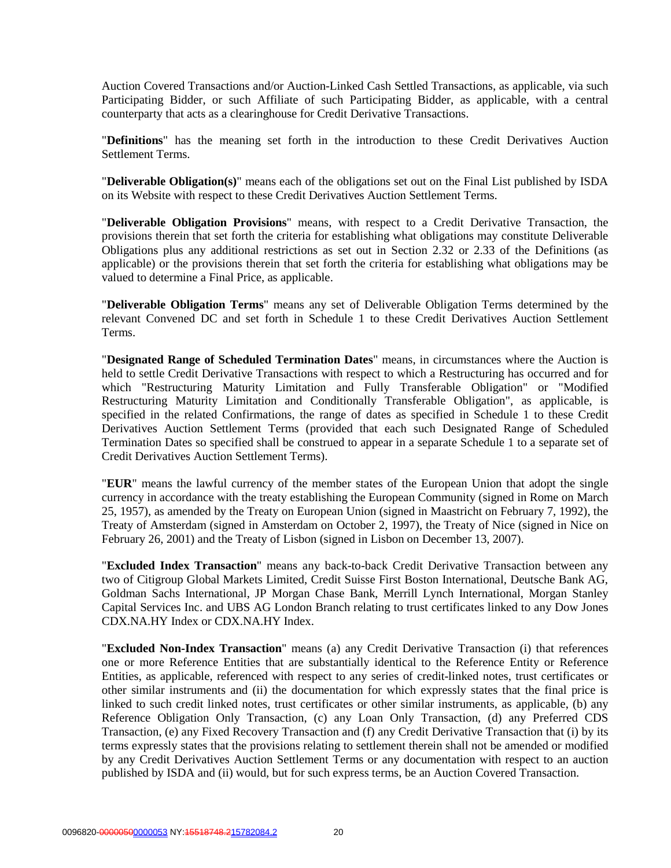Auction Covered Transactions and/or Auction-Linked Cash Settled Transactions, as applicable, via such Participating Bidder, or such Affiliate of such Participating Bidder, as applicable, with a central counterparty that acts as a clearinghouse for Credit Derivative Transactions.

"**Definitions**" has the meaning set forth in the introduction to these Credit Derivatives Auction Settlement Terms.

"**Deliverable Obligation(s)**" means each of the obligations set out on the Final List published by ISDA on its Website with respect to these Credit Derivatives Auction Settlement Terms.

"**Deliverable Obligation Provisions**" means, with respect to a Credit Derivative Transaction, the provisions therein that set forth the criteria for establishing what obligations may constitute Deliverable Obligations plus any additional restrictions as set out in Section 2.32 or 2.33 of the Definitions (as applicable) or the provisions therein that set forth the criteria for establishing what obligations may be valued to determine a Final Price, as applicable.

"**Deliverable Obligation Terms**" means any set of Deliverable Obligation Terms determined by the relevant Convened DC and set forth in Schedule 1 to these Credit Derivatives Auction Settlement Terms.

"**Designated Range of Scheduled Termination Dates**" means, in circumstances where the Auction is held to settle Credit Derivative Transactions with respect to which a Restructuring has occurred and for which "Restructuring Maturity Limitation and Fully Transferable Obligation" or "Modified Restructuring Maturity Limitation and Conditionally Transferable Obligation", as applicable, is specified in the related Confirmations, the range of dates as specified in Schedule 1 to these Credit Derivatives Auction Settlement Terms (provided that each such Designated Range of Scheduled Termination Dates so specified shall be construed to appear in a separate Schedule 1 to a separate set of Credit Derivatives Auction Settlement Terms).

"**EUR**" means the lawful currency of the member states of the European Union that adopt the single currency in accordance with the treaty establishing the European Community (signed in Rome on March 25, 1957), as amended by the Treaty on European Union (signed in Maastricht on February 7, 1992), the Treaty of Amsterdam (signed in Amsterdam on October 2, 1997), the Treaty of Nice (signed in Nice on February 26, 2001) and the Treaty of Lisbon (signed in Lisbon on December 13, 2007).

"**Excluded Index Transaction**" means any back-to-back Credit Derivative Transaction between any two of Citigroup Global Markets Limited, Credit Suisse First Boston International, Deutsche Bank AG, Goldman Sachs International, JP Morgan Chase Bank, Merrill Lynch International, Morgan Stanley Capital Services Inc. and UBS AG London Branch relating to trust certificates linked to any Dow Jones CDX.NA.HY Index or CDX.NA.HY Index.

"**Excluded Non-Index Transaction**" means (a) any Credit Derivative Transaction (i) that references one or more Reference Entities that are substantially identical to the Reference Entity or Reference Entities, as applicable, referenced with respect to any series of credit-linked notes, trust certificates or other similar instruments and (ii) the documentation for which expressly states that the final price is linked to such credit linked notes, trust certificates or other similar instruments, as applicable, (b) any Reference Obligation Only Transaction, (c) any Loan Only Transaction, (d) any Preferred CDS Transaction, (e) any Fixed Recovery Transaction and (f) any Credit Derivative Transaction that (i) by its terms expressly states that the provisions relating to settlement therein shall not be amended or modified by any Credit Derivatives Auction Settlement Terms or any documentation with respect to an auction published by ISDA and (ii) would, but for such express terms, be an Auction Covered Transaction.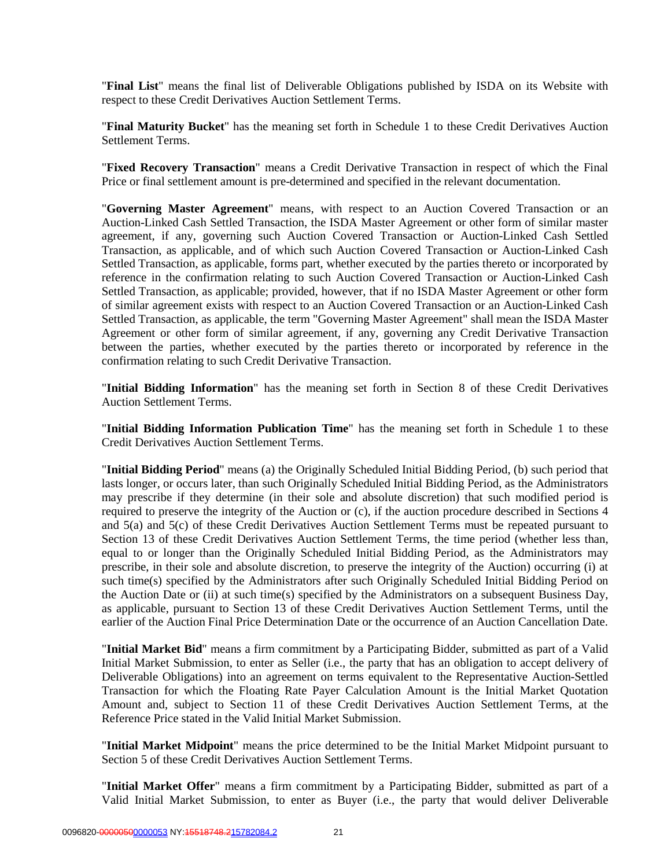"**Final List**" means the final list of Deliverable Obligations published by ISDA on its Website with respect to these Credit Derivatives Auction Settlement Terms.

"**Final Maturity Bucket**" has the meaning set forth in Schedule 1 to these Credit Derivatives Auction Settlement Terms.

"**Fixed Recovery Transaction**" means a Credit Derivative Transaction in respect of which the Final Price or final settlement amount is pre-determined and specified in the relevant documentation.

"**Governing Master Agreement**" means, with respect to an Auction Covered Transaction or an Auction-Linked Cash Settled Transaction, the ISDA Master Agreement or other form of similar master agreement, if any, governing such Auction Covered Transaction or Auction-Linked Cash Settled Transaction, as applicable, and of which such Auction Covered Transaction or Auction-Linked Cash Settled Transaction, as applicable, forms part, whether executed by the parties thereto or incorporated by reference in the confirmation relating to such Auction Covered Transaction or Auction-Linked Cash Settled Transaction, as applicable; provided, however, that if no ISDA Master Agreement or other form of similar agreement exists with respect to an Auction Covered Transaction or an Auction-Linked Cash Settled Transaction, as applicable, the term "Governing Master Agreement" shall mean the ISDA Master Agreement or other form of similar agreement, if any, governing any Credit Derivative Transaction between the parties, whether executed by the parties thereto or incorporated by reference in the confirmation relating to such Credit Derivative Transaction.

"**Initial Bidding Information**" has the meaning set forth in Section 8 of these Credit Derivatives Auction Settlement Terms.

"**Initial Bidding Information Publication Time**" has the meaning set forth in Schedule 1 to these Credit Derivatives Auction Settlement Terms.

"**Initial Bidding Period**" means (a) the Originally Scheduled Initial Bidding Period, (b) such period that lasts longer, or occurs later, than such Originally Scheduled Initial Bidding Period, as the Administrators may prescribe if they determine (in their sole and absolute discretion) that such modified period is required to preserve the integrity of the Auction or (c), if the auction procedure described in Sections 4 and 5(a) and 5(c) of these Credit Derivatives Auction Settlement Terms must be repeated pursuant to Section 13 of these Credit Derivatives Auction Settlement Terms, the time period (whether less than, equal to or longer than the Originally Scheduled Initial Bidding Period, as the Administrators may prescribe, in their sole and absolute discretion, to preserve the integrity of the Auction) occurring (i) at such time(s) specified by the Administrators after such Originally Scheduled Initial Bidding Period on the Auction Date or (ii) at such time(s) specified by the Administrators on a subsequent Business Day, as applicable, pursuant to Section 13 of these Credit Derivatives Auction Settlement Terms, until the earlier of the Auction Final Price Determination Date or the occurrence of an Auction Cancellation Date.

"**Initial Market Bid**" means a firm commitment by a Participating Bidder, submitted as part of a Valid Initial Market Submission, to enter as Seller (i.e., the party that has an obligation to accept delivery of Deliverable Obligations) into an agreement on terms equivalent to the Representative Auction-Settled Transaction for which the Floating Rate Payer Calculation Amount is the Initial Market Quotation Amount and, subject to Section 11 of these Credit Derivatives Auction Settlement Terms, at the Reference Price stated in the Valid Initial Market Submission.

"**Initial Market Midpoint**" means the price determined to be the Initial Market Midpoint pursuant to Section 5 of these Credit Derivatives Auction Settlement Terms.

"**Initial Market Offer**" means a firm commitment by a Participating Bidder, submitted as part of a Valid Initial Market Submission, to enter as Buyer (i.e., the party that would deliver Deliverable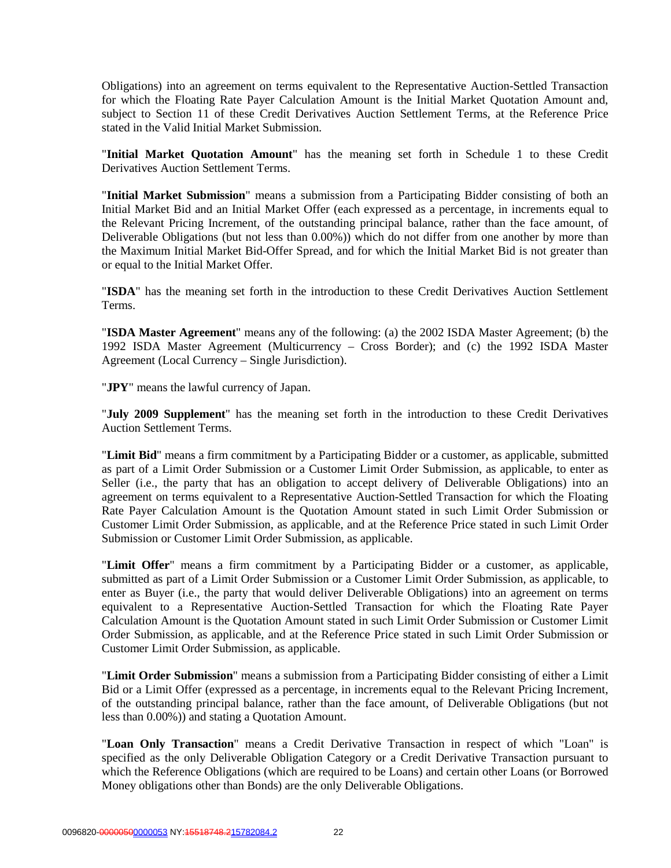Obligations) into an agreement on terms equivalent to the Representative Auction-Settled Transaction for which the Floating Rate Payer Calculation Amount is the Initial Market Quotation Amount and, subject to Section 11 of these Credit Derivatives Auction Settlement Terms, at the Reference Price stated in the Valid Initial Market Submission.

"**Initial Market Quotation Amount**" has the meaning set forth in Schedule 1 to these Credit Derivatives Auction Settlement Terms.

"**Initial Market Submission**" means a submission from a Participating Bidder consisting of both an Initial Market Bid and an Initial Market Offer (each expressed as a percentage, in increments equal to the Relevant Pricing Increment, of the outstanding principal balance, rather than the face amount, of Deliverable Obligations (but not less than 0.00%)) which do not differ from one another by more than the Maximum Initial Market Bid-Offer Spread, and for which the Initial Market Bid is not greater than or equal to the Initial Market Offer.

"**ISDA**" has the meaning set forth in the introduction to these Credit Derivatives Auction Settlement Terms.

"**ISDA Master Agreement**" means any of the following: (a) the 2002 ISDA Master Agreement; (b) the 1992 ISDA Master Agreement (Multicurrency – Cross Border); and (c) the 1992 ISDA Master Agreement (Local Currency – Single Jurisdiction).

"**JPY**" means the lawful currency of Japan.

"**July 2009 Supplement**" has the meaning set forth in the introduction to these Credit Derivatives Auction Settlement Terms.

"**Limit Bid**" means a firm commitment by a Participating Bidder or a customer, as applicable, submitted as part of a Limit Order Submission or a Customer Limit Order Submission, as applicable, to enter as Seller (i.e., the party that has an obligation to accept delivery of Deliverable Obligations) into an agreement on terms equivalent to a Representative Auction-Settled Transaction for which the Floating Rate Payer Calculation Amount is the Quotation Amount stated in such Limit Order Submission or Customer Limit Order Submission, as applicable, and at the Reference Price stated in such Limit Order Submission or Customer Limit Order Submission, as applicable.

"**Limit Offer**" means a firm commitment by a Participating Bidder or a customer, as applicable, submitted as part of a Limit Order Submission or a Customer Limit Order Submission, as applicable, to enter as Buyer (i.e., the party that would deliver Deliverable Obligations) into an agreement on terms equivalent to a Representative Auction-Settled Transaction for which the Floating Rate Payer Calculation Amount is the Quotation Amount stated in such Limit Order Submission or Customer Limit Order Submission, as applicable, and at the Reference Price stated in such Limit Order Submission or Customer Limit Order Submission, as applicable.

"**Limit Order Submission**" means a submission from a Participating Bidder consisting of either a Limit Bid or a Limit Offer (expressed as a percentage, in increments equal to the Relevant Pricing Increment, of the outstanding principal balance, rather than the face amount, of Deliverable Obligations (but not less than 0.00%)) and stating a Quotation Amount.

"**Loan Only Transaction**" means a Credit Derivative Transaction in respect of which "Loan" is specified as the only Deliverable Obligation Category or a Credit Derivative Transaction pursuant to which the Reference Obligations (which are required to be Loans) and certain other Loans (or Borrowed Money obligations other than Bonds) are the only Deliverable Obligations.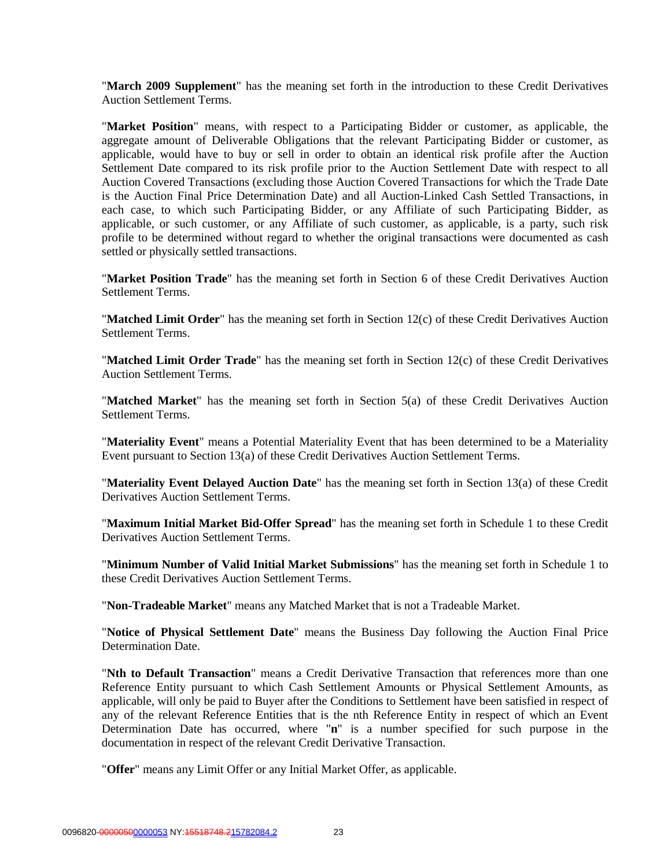"**March 2009 Supplement**" has the meaning set forth in the introduction to these Credit Derivatives Auction Settlement Terms.

"**Market Position**" means, with respect to a Participating Bidder or customer, as applicable, the aggregate amount of Deliverable Obligations that the relevant Participating Bidder or customer, as applicable, would have to buy or sell in order to obtain an identical risk profile after the Auction Settlement Date compared to its risk profile prior to the Auction Settlement Date with respect to all Auction Covered Transactions (excluding those Auction Covered Transactions for which the Trade Date is the Auction Final Price Determination Date) and all Auction-Linked Cash Settled Transactions, in each case, to which such Participating Bidder, or any Affiliate of such Participating Bidder, as applicable, or such customer, or any Affiliate of such customer, as applicable, is a party, such risk profile to be determined without regard to whether the original transactions were documented as cash settled or physically settled transactions.

"**Market Position Trade**" has the meaning set forth in Section 6 of these Credit Derivatives Auction Settlement Terms.

"**Matched Limit Order**" has the meaning set forth in Section 12(c) of these Credit Derivatives Auction Settlement Terms.

"**Matched Limit Order Trade**" has the meaning set forth in Section 12(c) of these Credit Derivatives Auction Settlement Terms.

"**Matched Market**" has the meaning set forth in Section 5(a) of these Credit Derivatives Auction Settlement Terms.

"**Materiality Event**" means a Potential Materiality Event that has been determined to be a Materiality Event pursuant to Section 13(a) of these Credit Derivatives Auction Settlement Terms.

"**Materiality Event Delayed Auction Date**" has the meaning set forth in Section 13(a) of these Credit Derivatives Auction Settlement Terms.

"**Maximum Initial Market Bid-Offer Spread**" has the meaning set forth in Schedule 1 to these Credit Derivatives Auction Settlement Terms.

"**Minimum Number of Valid Initial Market Submissions**" has the meaning set forth in Schedule 1 to these Credit Derivatives Auction Settlement Terms.

"**Non-Tradeable Market**" means any Matched Market that is not a Tradeable Market.

"**Notice of Physical Settlement Date**" means the Business Day following the Auction Final Price Determination Date.

"**Nth to Default Transaction**" means a Credit Derivative Transaction that references more than one Reference Entity pursuant to which Cash Settlement Amounts or Physical Settlement Amounts, as applicable, will only be paid to Buyer after the Conditions to Settlement have been satisfied in respect of any of the relevant Reference Entities that is the nth Reference Entity in respect of which an Event Determination Date has occurred, where "**n**" is a number specified for such purpose in the documentation in respect of the relevant Credit Derivative Transaction.

"**Offer**" means any Limit Offer or any Initial Market Offer, as applicable.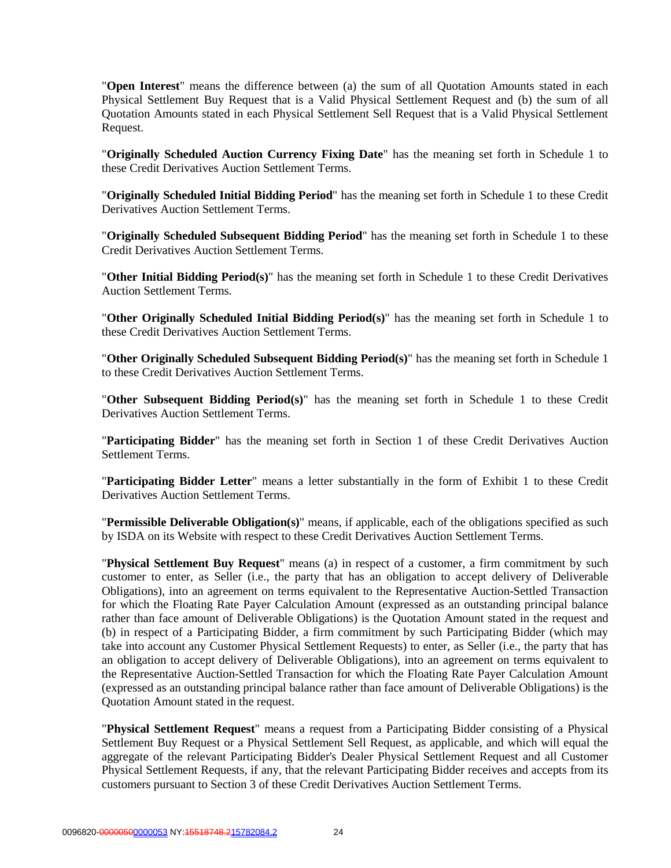"**Open Interest**" means the difference between (a) the sum of all Quotation Amounts stated in each Physical Settlement Buy Request that is a Valid Physical Settlement Request and (b) the sum of all Quotation Amounts stated in each Physical Settlement Sell Request that is a Valid Physical Settlement Request.

"**Originally Scheduled Auction Currency Fixing Date**" has the meaning set forth in Schedule 1 to these Credit Derivatives Auction Settlement Terms.

"**Originally Scheduled Initial Bidding Period**" has the meaning set forth in Schedule 1 to these Credit Derivatives Auction Settlement Terms.

"**Originally Scheduled Subsequent Bidding Period**" has the meaning set forth in Schedule 1 to these Credit Derivatives Auction Settlement Terms.

"**Other Initial Bidding Period(s)**" has the meaning set forth in Schedule 1 to these Credit Derivatives Auction Settlement Terms.

"**Other Originally Scheduled Initial Bidding Period(s)**" has the meaning set forth in Schedule 1 to these Credit Derivatives Auction Settlement Terms.

"**Other Originally Scheduled Subsequent Bidding Period(s)**" has the meaning set forth in Schedule 1 to these Credit Derivatives Auction Settlement Terms.

"**Other Subsequent Bidding Period(s)**" has the meaning set forth in Schedule 1 to these Credit Derivatives Auction Settlement Terms.

"**Participating Bidder**" has the meaning set forth in Section 1 of these Credit Derivatives Auction Settlement Terms.

"**Participating Bidder Letter**" means a letter substantially in the form of Exhibit 1 to these Credit Derivatives Auction Settlement Terms.

"**Permissible Deliverable Obligation(s)**" means, if applicable, each of the obligations specified as such by ISDA on its Website with respect to these Credit Derivatives Auction Settlement Terms.

"**Physical Settlement Buy Request**" means (a) in respect of a customer, a firm commitment by such customer to enter, as Seller (i.e., the party that has an obligation to accept delivery of Deliverable Obligations), into an agreement on terms equivalent to the Representative Auction-Settled Transaction for which the Floating Rate Payer Calculation Amount (expressed as an outstanding principal balance rather than face amount of Deliverable Obligations) is the Quotation Amount stated in the request and (b) in respect of a Participating Bidder, a firm commitment by such Participating Bidder (which may take into account any Customer Physical Settlement Requests) to enter, as Seller (i.e., the party that has an obligation to accept delivery of Deliverable Obligations), into an agreement on terms equivalent to the Representative Auction-Settled Transaction for which the Floating Rate Payer Calculation Amount (expressed as an outstanding principal balance rather than face amount of Deliverable Obligations) is the Quotation Amount stated in the request.

"**Physical Settlement Request**" means a request from a Participating Bidder consisting of a Physical Settlement Buy Request or a Physical Settlement Sell Request, as applicable, and which will equal the aggregate of the relevant Participating Bidder's Dealer Physical Settlement Request and all Customer Physical Settlement Requests, if any, that the relevant Participating Bidder receives and accepts from its customers pursuant to Section 3 of these Credit Derivatives Auction Settlement Terms.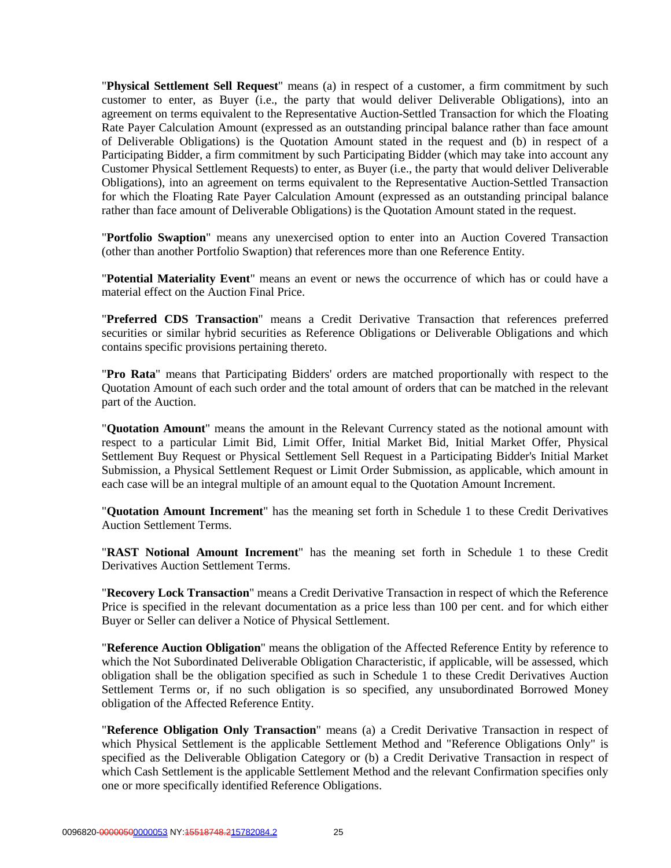"**Physical Settlement Sell Request**" means (a) in respect of a customer, a firm commitment by such customer to enter, as Buyer (i.e., the party that would deliver Deliverable Obligations), into an agreement on terms equivalent to the Representative Auction-Settled Transaction for which the Floating Rate Payer Calculation Amount (expressed as an outstanding principal balance rather than face amount of Deliverable Obligations) is the Quotation Amount stated in the request and (b) in respect of a Participating Bidder, a firm commitment by such Participating Bidder (which may take into account any Customer Physical Settlement Requests) to enter, as Buyer (i.e., the party that would deliver Deliverable Obligations), into an agreement on terms equivalent to the Representative Auction-Settled Transaction for which the Floating Rate Payer Calculation Amount (expressed as an outstanding principal balance rather than face amount of Deliverable Obligations) is the Quotation Amount stated in the request.

"**Portfolio Swaption**" means any unexercised option to enter into an Auction Covered Transaction (other than another Portfolio Swaption) that references more than one Reference Entity.

"**Potential Materiality Event**" means an event or news the occurrence of which has or could have a material effect on the Auction Final Price.

"**Preferred CDS Transaction**" means a Credit Derivative Transaction that references preferred securities or similar hybrid securities as Reference Obligations or Deliverable Obligations and which contains specific provisions pertaining thereto.

"**Pro Rata**" means that Participating Bidders' orders are matched proportionally with respect to the Quotation Amount of each such order and the total amount of orders that can be matched in the relevant part of the Auction.

"**Quotation Amount**" means the amount in the Relevant Currency stated as the notional amount with respect to a particular Limit Bid, Limit Offer, Initial Market Bid, Initial Market Offer, Physical Settlement Buy Request or Physical Settlement Sell Request in a Participating Bidder's Initial Market Submission, a Physical Settlement Request or Limit Order Submission, as applicable, which amount in each case will be an integral multiple of an amount equal to the Quotation Amount Increment.

"**Quotation Amount Increment**" has the meaning set forth in Schedule 1 to these Credit Derivatives Auction Settlement Terms.

"**RAST Notional Amount Increment**" has the meaning set forth in Schedule 1 to these Credit Derivatives Auction Settlement Terms.

"**Recovery Lock Transaction**" means a Credit Derivative Transaction in respect of which the Reference Price is specified in the relevant documentation as a price less than 100 per cent. and for which either Buyer or Seller can deliver a Notice of Physical Settlement.

"**Reference Auction Obligation**" means the obligation of the Affected Reference Entity by reference to which the Not Subordinated Deliverable Obligation Characteristic, if applicable, will be assessed, which obligation shall be the obligation specified as such in Schedule 1 to these Credit Derivatives Auction Settlement Terms or, if no such obligation is so specified, any unsubordinated Borrowed Money obligation of the Affected Reference Entity.

"**Reference Obligation Only Transaction**" means (a) a Credit Derivative Transaction in respect of which Physical Settlement is the applicable Settlement Method and "Reference Obligations Only" is specified as the Deliverable Obligation Category or (b) a Credit Derivative Transaction in respect of which Cash Settlement is the applicable Settlement Method and the relevant Confirmation specifies only one or more specifically identified Reference Obligations.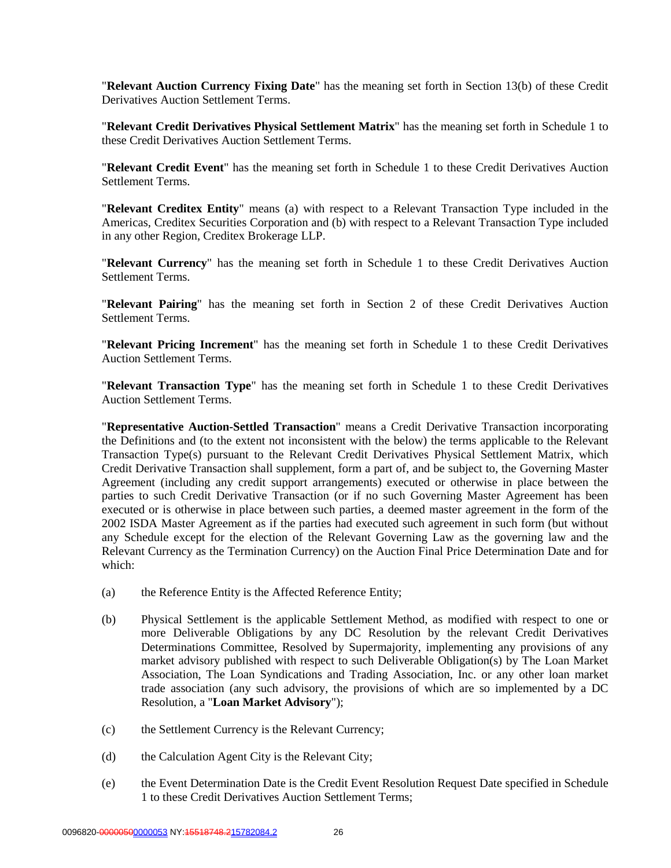"**Relevant Auction Currency Fixing Date**" has the meaning set forth in Section 13(b) of these Credit Derivatives Auction Settlement Terms.

"**Relevant Credit Derivatives Physical Settlement Matrix**" has the meaning set forth in Schedule 1 to these Credit Derivatives Auction Settlement Terms.

"**Relevant Credit Event**" has the meaning set forth in Schedule 1 to these Credit Derivatives Auction Settlement Terms.

"**Relevant Creditex Entity**" means (a) with respect to a Relevant Transaction Type included in the Americas, Creditex Securities Corporation and (b) with respect to a Relevant Transaction Type included in any other Region, Creditex Brokerage LLP.

"**Relevant Currency**" has the meaning set forth in Schedule 1 to these Credit Derivatives Auction Settlement Terms.

"**Relevant Pairing**" has the meaning set forth in Section 2 of these Credit Derivatives Auction Settlement Terms.

"**Relevant Pricing Increment**" has the meaning set forth in Schedule 1 to these Credit Derivatives Auction Settlement Terms.

"**Relevant Transaction Type**" has the meaning set forth in Schedule 1 to these Credit Derivatives Auction Settlement Terms.

"**Representative Auction-Settled Transaction**" means a Credit Derivative Transaction incorporating the Definitions and (to the extent not inconsistent with the below) the terms applicable to the Relevant Transaction Type(s) pursuant to the Relevant Credit Derivatives Physical Settlement Matrix, which Credit Derivative Transaction shall supplement, form a part of, and be subject to, the Governing Master Agreement (including any credit support arrangements) executed or otherwise in place between the parties to such Credit Derivative Transaction (or if no such Governing Master Agreement has been executed or is otherwise in place between such parties, a deemed master agreement in the form of the 2002 ISDA Master Agreement as if the parties had executed such agreement in such form (but without any Schedule except for the election of the Relevant Governing Law as the governing law and the Relevant Currency as the Termination Currency) on the Auction Final Price Determination Date and for which:

- (a) the Reference Entity is the Affected Reference Entity;
- (b) Physical Settlement is the applicable Settlement Method, as modified with respect to one or more Deliverable Obligations by any DC Resolution by the relevant Credit Derivatives Determinations Committee, Resolved by Supermajority, implementing any provisions of any market advisory published with respect to such Deliverable Obligation(s) by The Loan Market Association, The Loan Syndications and Trading Association, Inc. or any other loan market trade association (any such advisory, the provisions of which are so implemented by a DC Resolution, a "**Loan Market Advisory**");
- (c) the Settlement Currency is the Relevant Currency;
- (d) the Calculation Agent City is the Relevant City;
- (e) the Event Determination Date is the Credit Event Resolution Request Date specified in Schedule 1 to these Credit Derivatives Auction Settlement Terms;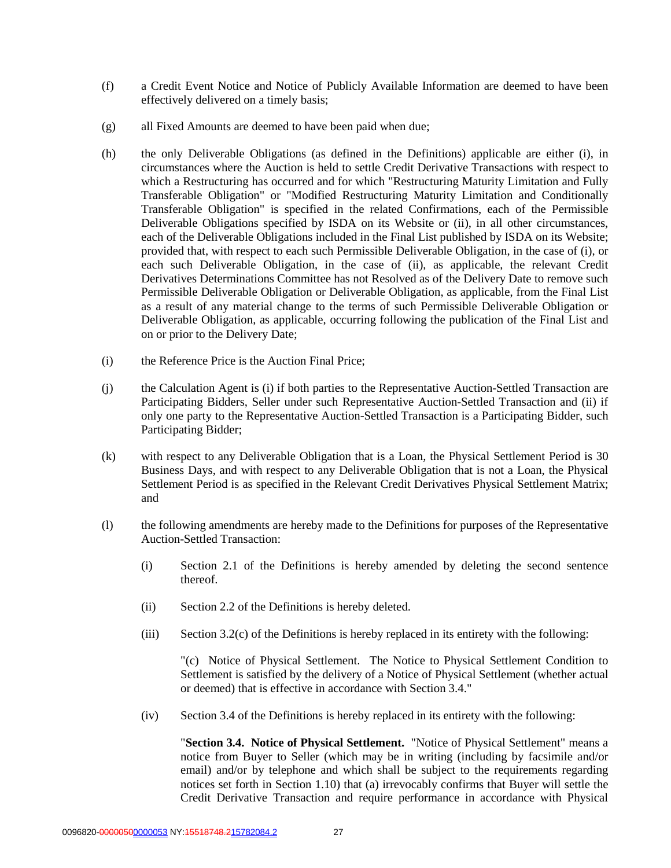- (f) a Credit Event Notice and Notice of Publicly Available Information are deemed to have been effectively delivered on a timely basis;
- (g) all Fixed Amounts are deemed to have been paid when due;
- (h) the only Deliverable Obligations (as defined in the Definitions) applicable are either (i), in circumstances where the Auction is held to settle Credit Derivative Transactions with respect to which a Restructuring has occurred and for which "Restructuring Maturity Limitation and Fully Transferable Obligation" or "Modified Restructuring Maturity Limitation and Conditionally Transferable Obligation" is specified in the related Confirmations, each of the Permissible Deliverable Obligations specified by ISDA on its Website or (ii), in all other circumstances, each of the Deliverable Obligations included in the Final List published by ISDA on its Website; provided that, with respect to each such Permissible Deliverable Obligation, in the case of (i), or each such Deliverable Obligation, in the case of (ii), as applicable, the relevant Credit Derivatives Determinations Committee has not Resolved as of the Delivery Date to remove such Permissible Deliverable Obligation or Deliverable Obligation, as applicable, from the Final List as a result of any material change to the terms of such Permissible Deliverable Obligation or Deliverable Obligation, as applicable, occurring following the publication of the Final List and on or prior to the Delivery Date;
- (i) the Reference Price is the Auction Final Price;
- (j) the Calculation Agent is (i) if both parties to the Representative Auction-Settled Transaction are Participating Bidders, Seller under such Representative Auction-Settled Transaction and (ii) if only one party to the Representative Auction-Settled Transaction is a Participating Bidder, such Participating Bidder;
- (k) with respect to any Deliverable Obligation that is a Loan, the Physical Settlement Period is 30 Business Days, and with respect to any Deliverable Obligation that is not a Loan, the Physical Settlement Period is as specified in the Relevant Credit Derivatives Physical Settlement Matrix; and
- (l) the following amendments are hereby made to the Definitions for purposes of the Representative Auction-Settled Transaction:
	- (i) Section 2.1 of the Definitions is hereby amended by deleting the second sentence thereof.
	- (ii) Section 2.2 of the Definitions is hereby deleted.
	- (iii) Section 3.2(c) of the Definitions is hereby replaced in its entirety with the following:

"(c) Notice of Physical Settlement. The Notice to Physical Settlement Condition to Settlement is satisfied by the delivery of a Notice of Physical Settlement (whether actual or deemed) that is effective in accordance with Section 3.4."

(iv) Section 3.4 of the Definitions is hereby replaced in its entirety with the following:

"**Section 3.4. Notice of Physical Settlement.** "Notice of Physical Settlement" means a notice from Buyer to Seller (which may be in writing (including by facsimile and/or email) and/or by telephone and which shall be subject to the requirements regarding notices set forth in Section 1.10) that (a) irrevocably confirms that Buyer will settle the Credit Derivative Transaction and require performance in accordance with Physical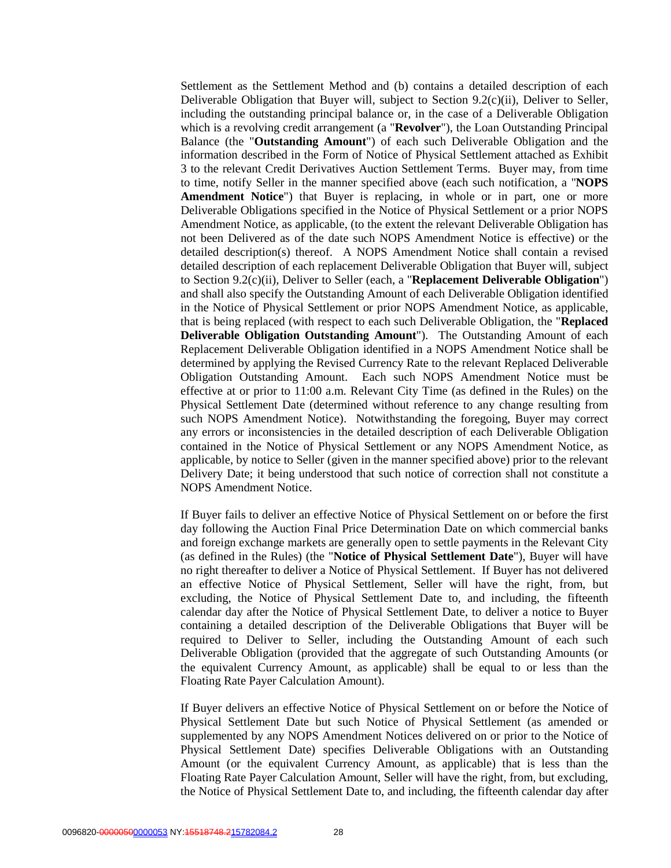Settlement as the Settlement Method and (b) contains a detailed description of each Deliverable Obligation that Buyer will, subject to Section 9.2(c)(ii), Deliver to Seller, including the outstanding principal balance or, in the case of a Deliverable Obligation which is a revolving credit arrangement (a "**Revolver**"), the Loan Outstanding Principal Balance (the "**Outstanding Amount**") of each such Deliverable Obligation and the information described in the Form of Notice of Physical Settlement attached as Exhibit 3 to the relevant Credit Derivatives Auction Settlement Terms. Buyer may, from time to time, notify Seller in the manner specified above (each such notification, a "**NOPS Amendment Notice**") that Buyer is replacing, in whole or in part, one or more Deliverable Obligations specified in the Notice of Physical Settlement or a prior NOPS Amendment Notice, as applicable, (to the extent the relevant Deliverable Obligation has not been Delivered as of the date such NOPS Amendment Notice is effective) or the detailed description(s) thereof. A NOPS Amendment Notice shall contain a revised detailed description of each replacement Deliverable Obligation that Buyer will, subject to Section 9.2(c)(ii), Deliver to Seller (each, a "**Replacement Deliverable Obligation**") and shall also specify the Outstanding Amount of each Deliverable Obligation identified in the Notice of Physical Settlement or prior NOPS Amendment Notice, as applicable, that is being replaced (with respect to each such Deliverable Obligation, the "**Replaced Deliverable Obligation Outstanding Amount**"). The Outstanding Amount of each Replacement Deliverable Obligation identified in a NOPS Amendment Notice shall be determined by applying the Revised Currency Rate to the relevant Replaced Deliverable Obligation Outstanding Amount. Each such NOPS Amendment Notice must be effective at or prior to 11:00 a.m. Relevant City Time (as defined in the Rules) on the Physical Settlement Date (determined without reference to any change resulting from such NOPS Amendment Notice). Notwithstanding the foregoing, Buyer may correct any errors or inconsistencies in the detailed description of each Deliverable Obligation contained in the Notice of Physical Settlement or any NOPS Amendment Notice, as applicable, by notice to Seller (given in the manner specified above) prior to the relevant Delivery Date; it being understood that such notice of correction shall not constitute a NOPS Amendment Notice.

If Buyer fails to deliver an effective Notice of Physical Settlement on or before the first day following the Auction Final Price Determination Date on which commercial banks and foreign exchange markets are generally open to settle payments in the Relevant City (as defined in the Rules) (the "**Notice of Physical Settlement Date**"), Buyer will have no right thereafter to deliver a Notice of Physical Settlement. If Buyer has not delivered an effective Notice of Physical Settlement, Seller will have the right, from, but excluding, the Notice of Physical Settlement Date to, and including, the fifteenth calendar day after the Notice of Physical Settlement Date, to deliver a notice to Buyer containing a detailed description of the Deliverable Obligations that Buyer will be required to Deliver to Seller, including the Outstanding Amount of each such Deliverable Obligation (provided that the aggregate of such Outstanding Amounts (or the equivalent Currency Amount, as applicable) shall be equal to or less than the Floating Rate Payer Calculation Amount).

If Buyer delivers an effective Notice of Physical Settlement on or before the Notice of Physical Settlement Date but such Notice of Physical Settlement (as amended or supplemented by any NOPS Amendment Notices delivered on or prior to the Notice of Physical Settlement Date) specifies Deliverable Obligations with an Outstanding Amount (or the equivalent Currency Amount, as applicable) that is less than the Floating Rate Payer Calculation Amount, Seller will have the right, from, but excluding, the Notice of Physical Settlement Date to, and including, the fifteenth calendar day after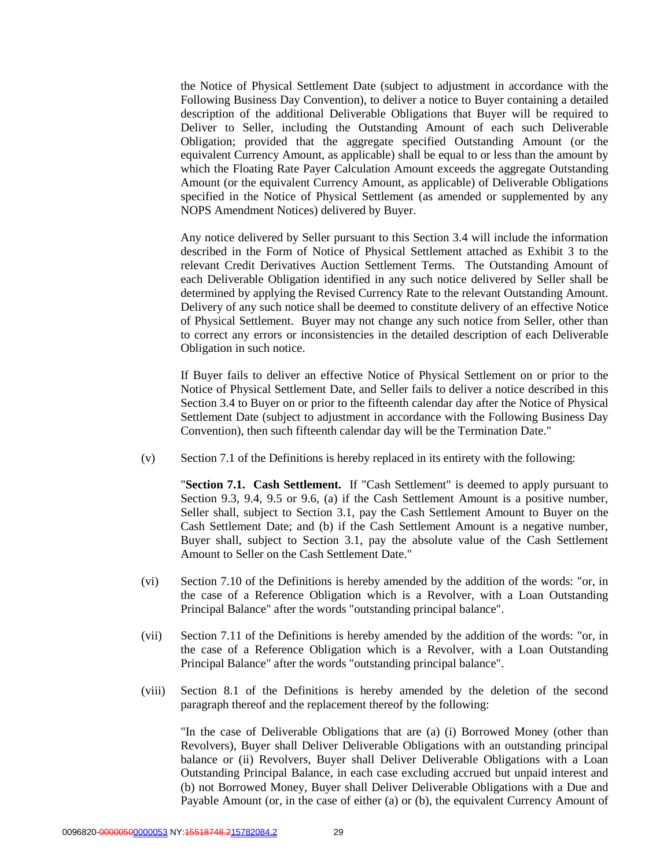the Notice of Physical Settlement Date (subject to adjustment in accordance with the Following Business Day Convention), to deliver a notice to Buyer containing a detailed description of the additional Deliverable Obligations that Buyer will be required to Deliver to Seller, including the Outstanding Amount of each such Deliverable Obligation; provided that the aggregate specified Outstanding Amount (or the equivalent Currency Amount, as applicable) shall be equal to or less than the amount by which the Floating Rate Payer Calculation Amount exceeds the aggregate Outstanding Amount (or the equivalent Currency Amount, as applicable) of Deliverable Obligations specified in the Notice of Physical Settlement (as amended or supplemented by any NOPS Amendment Notices) delivered by Buyer.

Any notice delivered by Seller pursuant to this Section 3.4 will include the information described in the Form of Notice of Physical Settlement attached as Exhibit 3 to the relevant Credit Derivatives Auction Settlement Terms. The Outstanding Amount of each Deliverable Obligation identified in any such notice delivered by Seller shall be determined by applying the Revised Currency Rate to the relevant Outstanding Amount. Delivery of any such notice shall be deemed to constitute delivery of an effective Notice of Physical Settlement. Buyer may not change any such notice from Seller, other than to correct any errors or inconsistencies in the detailed description of each Deliverable Obligation in such notice.

If Buyer fails to deliver an effective Notice of Physical Settlement on or prior to the Notice of Physical Settlement Date, and Seller fails to deliver a notice described in this Section 3.4 to Buyer on or prior to the fifteenth calendar day after the Notice of Physical Settlement Date (subject to adjustment in accordance with the Following Business Day Convention), then such fifteenth calendar day will be the Termination Date."

(v) Section 7.1 of the Definitions is hereby replaced in its entirety with the following:

"**Section 7.1. Cash Settlement.** If "Cash Settlement" is deemed to apply pursuant to Section 9.3, 9.4, 9.5 or 9.6, (a) if the Cash Settlement Amount is a positive number, Seller shall, subject to Section 3.1, pay the Cash Settlement Amount to Buyer on the Cash Settlement Date; and (b) if the Cash Settlement Amount is a negative number, Buyer shall, subject to Section 3.1, pay the absolute value of the Cash Settlement Amount to Seller on the Cash Settlement Date."

- (vi) Section 7.10 of the Definitions is hereby amended by the addition of the words: "or, in the case of a Reference Obligation which is a Revolver, with a Loan Outstanding Principal Balance" after the words "outstanding principal balance".
- (vii) Section 7.11 of the Definitions is hereby amended by the addition of the words: "or, in the case of a Reference Obligation which is a Revolver, with a Loan Outstanding Principal Balance" after the words "outstanding principal balance".
- (viii) Section 8.1 of the Definitions is hereby amended by the deletion of the second paragraph thereof and the replacement thereof by the following:

"In the case of Deliverable Obligations that are (a) (i) Borrowed Money (other than Revolvers), Buyer shall Deliver Deliverable Obligations with an outstanding principal balance or (ii) Revolvers, Buyer shall Deliver Deliverable Obligations with a Loan Outstanding Principal Balance, in each case excluding accrued but unpaid interest and (b) not Borrowed Money, Buyer shall Deliver Deliverable Obligations with a Due and Payable Amount (or, in the case of either (a) or (b), the equivalent Currency Amount of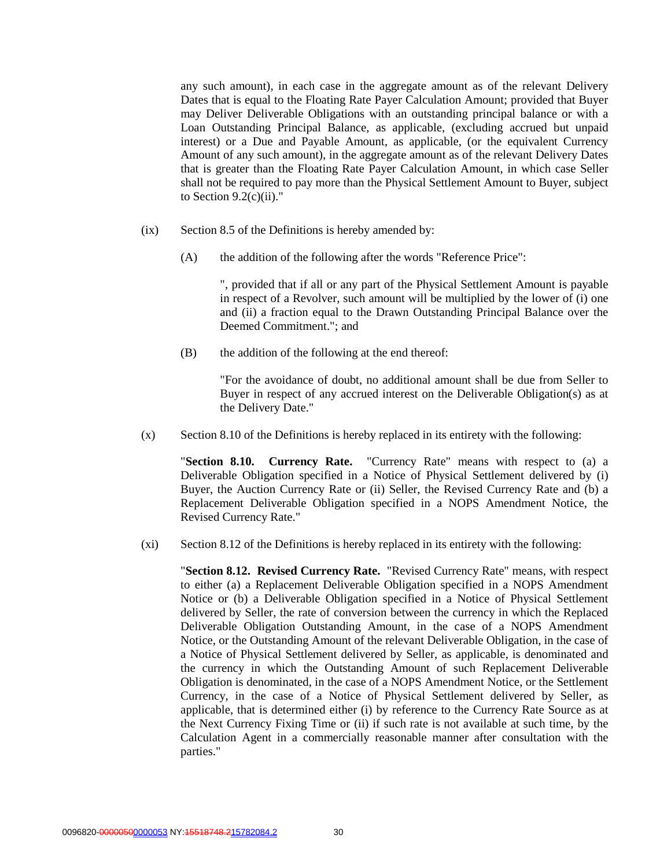any such amount), in each case in the aggregate amount as of the relevant Delivery Dates that is equal to the Floating Rate Payer Calculation Amount; provided that Buyer may Deliver Deliverable Obligations with an outstanding principal balance or with a Loan Outstanding Principal Balance, as applicable, (excluding accrued but unpaid interest) or a Due and Payable Amount, as applicable, (or the equivalent Currency Amount of any such amount), in the aggregate amount as of the relevant Delivery Dates that is greater than the Floating Rate Payer Calculation Amount, in which case Seller shall not be required to pay more than the Physical Settlement Amount to Buyer, subject to Section  $9.2(c)(ii)$ ."

- (ix) Section 8.5 of the Definitions is hereby amended by:
	- (A) the addition of the following after the words "Reference Price":

", provided that if all or any part of the Physical Settlement Amount is payable in respect of a Revolver, such amount will be multiplied by the lower of (i) one and (ii) a fraction equal to the Drawn Outstanding Principal Balance over the Deemed Commitment."; and

(B) the addition of the following at the end thereof:

"For the avoidance of doubt, no additional amount shall be due from Seller to Buyer in respect of any accrued interest on the Deliverable Obligation(s) as at the Delivery Date."

(x) Section 8.10 of the Definitions is hereby replaced in its entirety with the following:

"**Section 8.10. Currency Rate.** "Currency Rate" means with respect to (a) a Deliverable Obligation specified in a Notice of Physical Settlement delivered by (i) Buyer, the Auction Currency Rate or (ii) Seller, the Revised Currency Rate and (b) a Replacement Deliverable Obligation specified in a NOPS Amendment Notice, the Revised Currency Rate."

(xi) Section 8.12 of the Definitions is hereby replaced in its entirety with the following:

"**Section 8.12. Revised Currency Rate.** "Revised Currency Rate" means, with respect to either (a) a Replacement Deliverable Obligation specified in a NOPS Amendment Notice or (b) a Deliverable Obligation specified in a Notice of Physical Settlement delivered by Seller, the rate of conversion between the currency in which the Replaced Deliverable Obligation Outstanding Amount, in the case of a NOPS Amendment Notice, or the Outstanding Amount of the relevant Deliverable Obligation, in the case of a Notice of Physical Settlement delivered by Seller, as applicable, is denominated and the currency in which the Outstanding Amount of such Replacement Deliverable Obligation is denominated, in the case of a NOPS Amendment Notice, or the Settlement Currency, in the case of a Notice of Physical Settlement delivered by Seller, as applicable, that is determined either (i) by reference to the Currency Rate Source as at the Next Currency Fixing Time or (ii) if such rate is not available at such time, by the Calculation Agent in a commercially reasonable manner after consultation with the parties."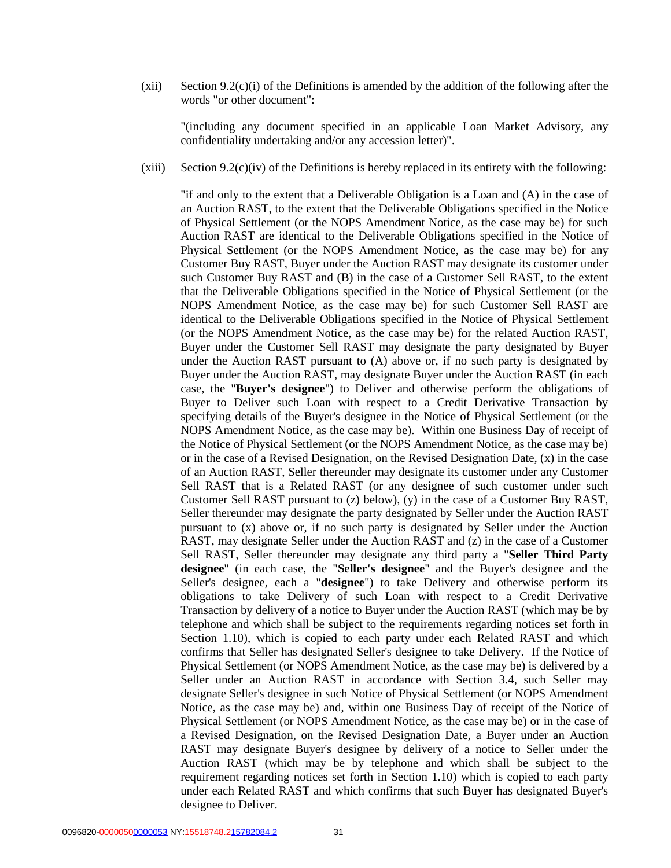(xii) Section 9.2(c)(i) of the Definitions is amended by the addition of the following after the words "or other document":

"(including any document specified in an applicable Loan Market Advisory, any confidentiality undertaking and/or any accession letter)".

 $(xiii)$  Section 9.2(c)(iv) of the Definitions is hereby replaced in its entirety with the following:

"if and only to the extent that a Deliverable Obligation is a Loan and (A) in the case of an Auction RAST, to the extent that the Deliverable Obligations specified in the Notice of Physical Settlement (or the NOPS Amendment Notice, as the case may be) for such Auction RAST are identical to the Deliverable Obligations specified in the Notice of Physical Settlement (or the NOPS Amendment Notice, as the case may be) for any Customer Buy RAST, Buyer under the Auction RAST may designate its customer under such Customer Buy RAST and (B) in the case of a Customer Sell RAST, to the extent that the Deliverable Obligations specified in the Notice of Physical Settlement (or the NOPS Amendment Notice, as the case may be) for such Customer Sell RAST are identical to the Deliverable Obligations specified in the Notice of Physical Settlement (or the NOPS Amendment Notice, as the case may be) for the related Auction RAST, Buyer under the Customer Sell RAST may designate the party designated by Buyer under the Auction RAST pursuant to (A) above or, if no such party is designated by Buyer under the Auction RAST, may designate Buyer under the Auction RAST (in each case, the "**Buyer's designee**") to Deliver and otherwise perform the obligations of Buyer to Deliver such Loan with respect to a Credit Derivative Transaction by specifying details of the Buyer's designee in the Notice of Physical Settlement (or the NOPS Amendment Notice, as the case may be). Within one Business Day of receipt of the Notice of Physical Settlement (or the NOPS Amendment Notice, as the case may be) or in the case of a Revised Designation, on the Revised Designation Date, (x) in the case of an Auction RAST, Seller thereunder may designate its customer under any Customer Sell RAST that is a Related RAST (or any designee of such customer under such Customer Sell RAST pursuant to (z) below), (y) in the case of a Customer Buy RAST, Seller thereunder may designate the party designated by Seller under the Auction RAST pursuant to (x) above or, if no such party is designated by Seller under the Auction RAST, may designate Seller under the Auction RAST and (z) in the case of a Customer Sell RAST, Seller thereunder may designate any third party a "**Seller Third Party designee**" (in each case, the "**Seller's designee**" and the Buyer's designee and the Seller's designee, each a "**designee**") to take Delivery and otherwise perform its obligations to take Delivery of such Loan with respect to a Credit Derivative Transaction by delivery of a notice to Buyer under the Auction RAST (which may be by telephone and which shall be subject to the requirements regarding notices set forth in Section 1.10), which is copied to each party under each Related RAST and which confirms that Seller has designated Seller's designee to take Delivery. If the Notice of Physical Settlement (or NOPS Amendment Notice, as the case may be) is delivered by a Seller under an Auction RAST in accordance with Section 3.4, such Seller may designate Seller's designee in such Notice of Physical Settlement (or NOPS Amendment Notice, as the case may be) and, within one Business Day of receipt of the Notice of Physical Settlement (or NOPS Amendment Notice, as the case may be) or in the case of a Revised Designation, on the Revised Designation Date, a Buyer under an Auction RAST may designate Buyer's designee by delivery of a notice to Seller under the Auction RAST (which may be by telephone and which shall be subject to the requirement regarding notices set forth in Section 1.10) which is copied to each party under each Related RAST and which confirms that such Buyer has designated Buyer's designee to Deliver.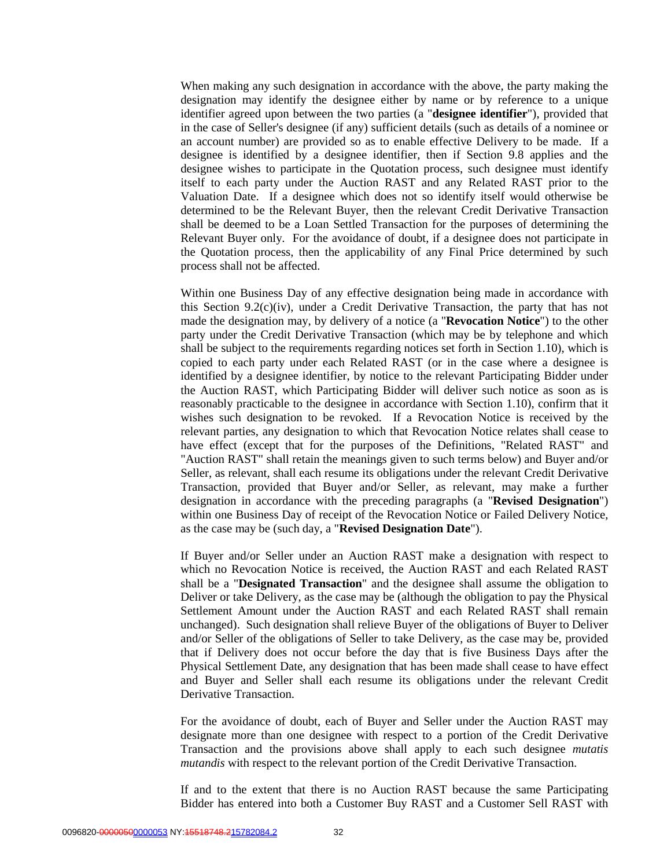When making any such designation in accordance with the above, the party making the designation may identify the designee either by name or by reference to a unique identifier agreed upon between the two parties (a "**designee identifier**"), provided that in the case of Seller's designee (if any) sufficient details (such as details of a nominee or an account number) are provided so as to enable effective Delivery to be made. If a designee is identified by a designee identifier, then if Section 9.8 applies and the designee wishes to participate in the Quotation process, such designee must identify itself to each party under the Auction RAST and any Related RAST prior to the Valuation Date. If a designee which does not so identify itself would otherwise be determined to be the Relevant Buyer, then the relevant Credit Derivative Transaction shall be deemed to be a Loan Settled Transaction for the purposes of determining the Relevant Buyer only. For the avoidance of doubt, if a designee does not participate in the Quotation process, then the applicability of any Final Price determined by such process shall not be affected.

Within one Business Day of any effective designation being made in accordance with this Section 9.2(c)(iv), under a Credit Derivative Transaction, the party that has not made the designation may, by delivery of a notice (a "**Revocation Notice**") to the other party under the Credit Derivative Transaction (which may be by telephone and which shall be subject to the requirements regarding notices set forth in Section 1.10), which is copied to each party under each Related RAST (or in the case where a designee is identified by a designee identifier, by notice to the relevant Participating Bidder under the Auction RAST, which Participating Bidder will deliver such notice as soon as is reasonably practicable to the designee in accordance with Section 1.10), confirm that it wishes such designation to be revoked. If a Revocation Notice is received by the relevant parties, any designation to which that Revocation Notice relates shall cease to have effect (except that for the purposes of the Definitions, "Related RAST" and "Auction RAST" shall retain the meanings given to such terms below) and Buyer and/or Seller, as relevant, shall each resume its obligations under the relevant Credit Derivative Transaction, provided that Buyer and/or Seller, as relevant, may make a further designation in accordance with the preceding paragraphs (a "**Revised Designation**") within one Business Day of receipt of the Revocation Notice or Failed Delivery Notice, as the case may be (such day, a "**Revised Designation Date**").

If Buyer and/or Seller under an Auction RAST make a designation with respect to which no Revocation Notice is received, the Auction RAST and each Related RAST shall be a "**Designated Transaction**" and the designee shall assume the obligation to Deliver or take Delivery, as the case may be (although the obligation to pay the Physical Settlement Amount under the Auction RAST and each Related RAST shall remain unchanged). Such designation shall relieve Buyer of the obligations of Buyer to Deliver and/or Seller of the obligations of Seller to take Delivery, as the case may be, provided that if Delivery does not occur before the day that is five Business Days after the Physical Settlement Date, any designation that has been made shall cease to have effect and Buyer and Seller shall each resume its obligations under the relevant Credit Derivative Transaction.

For the avoidance of doubt, each of Buyer and Seller under the Auction RAST may designate more than one designee with respect to a portion of the Credit Derivative Transaction and the provisions above shall apply to each such designee *mutatis mutandis* with respect to the relevant portion of the Credit Derivative Transaction.

If and to the extent that there is no Auction RAST because the same Participating Bidder has entered into both a Customer Buy RAST and a Customer Sell RAST with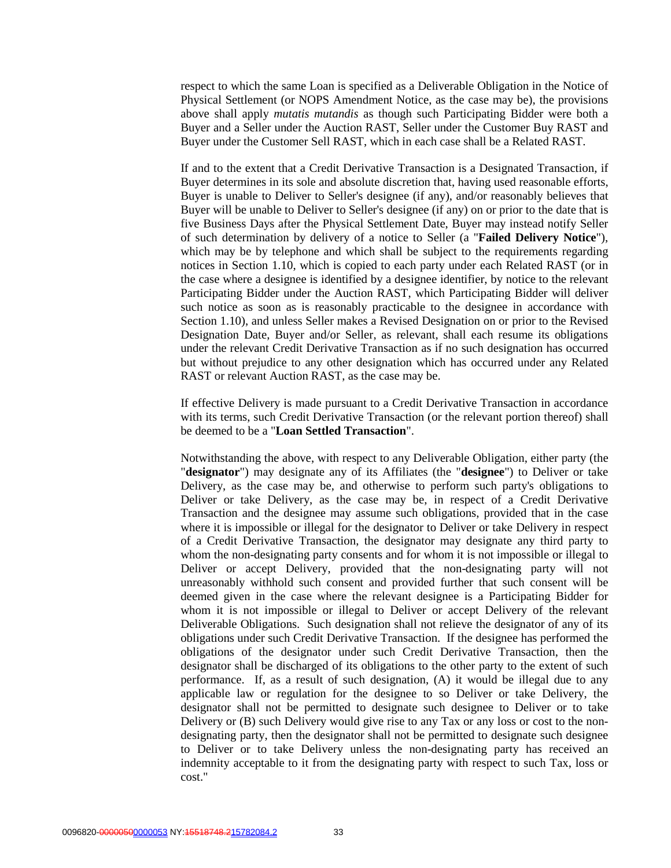respect to which the same Loan is specified as a Deliverable Obligation in the Notice of Physical Settlement (or NOPS Amendment Notice, as the case may be), the provisions above shall apply *mutatis mutandis* as though such Participating Bidder were both a Buyer and a Seller under the Auction RAST, Seller under the Customer Buy RAST and Buyer under the Customer Sell RAST, which in each case shall be a Related RAST.

If and to the extent that a Credit Derivative Transaction is a Designated Transaction, if Buyer determines in its sole and absolute discretion that, having used reasonable efforts, Buyer is unable to Deliver to Seller's designee (if any), and/or reasonably believes that Buyer will be unable to Deliver to Seller's designee (if any) on or prior to the date that is five Business Days after the Physical Settlement Date, Buyer may instead notify Seller of such determination by delivery of a notice to Seller (a "**Failed Delivery Notice**"), which may be by telephone and which shall be subject to the requirements regarding notices in Section 1.10, which is copied to each party under each Related RAST (or in the case where a designee is identified by a designee identifier, by notice to the relevant Participating Bidder under the Auction RAST, which Participating Bidder will deliver such notice as soon as is reasonably practicable to the designee in accordance with Section 1.10), and unless Seller makes a Revised Designation on or prior to the Revised Designation Date, Buyer and/or Seller, as relevant, shall each resume its obligations under the relevant Credit Derivative Transaction as if no such designation has occurred but without prejudice to any other designation which has occurred under any Related RAST or relevant Auction RAST, as the case may be.

If effective Delivery is made pursuant to a Credit Derivative Transaction in accordance with its terms, such Credit Derivative Transaction (or the relevant portion thereof) shall be deemed to be a "**Loan Settled Transaction**".

Notwithstanding the above, with respect to any Deliverable Obligation, either party (the "**designator**") may designate any of its Affiliates (the "**designee**") to Deliver or take Delivery, as the case may be, and otherwise to perform such party's obligations to Deliver or take Delivery, as the case may be, in respect of a Credit Derivative Transaction and the designee may assume such obligations, provided that in the case where it is impossible or illegal for the designator to Deliver or take Delivery in respect of a Credit Derivative Transaction, the designator may designate any third party to whom the non-designating party consents and for whom it is not impossible or illegal to Deliver or accept Delivery, provided that the non-designating party will not unreasonably withhold such consent and provided further that such consent will be deemed given in the case where the relevant designee is a Participating Bidder for whom it is not impossible or illegal to Deliver or accept Delivery of the relevant Deliverable Obligations. Such designation shall not relieve the designator of any of its obligations under such Credit Derivative Transaction. If the designee has performed the obligations of the designator under such Credit Derivative Transaction, then the designator shall be discharged of its obligations to the other party to the extent of such performance. If, as a result of such designation, (A) it would be illegal due to any applicable law or regulation for the designee to so Deliver or take Delivery, the designator shall not be permitted to designate such designee to Deliver or to take Delivery or (B) such Delivery would give rise to any Tax or any loss or cost to the nondesignating party, then the designator shall not be permitted to designate such designee to Deliver or to take Delivery unless the non-designating party has received an indemnity acceptable to it from the designating party with respect to such Tax, loss or cost."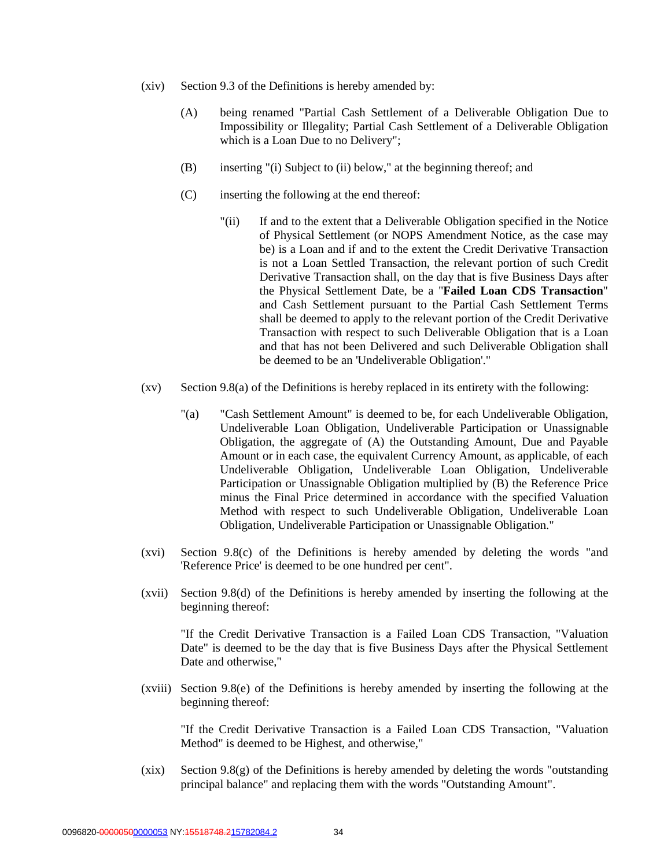- (xiv) Section 9.3 of the Definitions is hereby amended by:
	- (A) being renamed "Partial Cash Settlement of a Deliverable Obligation Due to Impossibility or Illegality; Partial Cash Settlement of a Deliverable Obligation which is a Loan Due to no Delivery";
	- (B) inserting "(i) Subject to (ii) below," at the beginning thereof; and
	- (C) inserting the following at the end thereof:
		- "(ii) If and to the extent that a Deliverable Obligation specified in the Notice of Physical Settlement (or NOPS Amendment Notice, as the case may be) is a Loan and if and to the extent the Credit Derivative Transaction is not a Loan Settled Transaction, the relevant portion of such Credit Derivative Transaction shall, on the day that is five Business Days after the Physical Settlement Date, be a "**Failed Loan CDS Transaction**" and Cash Settlement pursuant to the Partial Cash Settlement Terms shall be deemed to apply to the relevant portion of the Credit Derivative Transaction with respect to such Deliverable Obligation that is a Loan and that has not been Delivered and such Deliverable Obligation shall be deemed to be an 'Undeliverable Obligation'."
- $(xv)$  Section 9.8(a) of the Definitions is hereby replaced in its entirety with the following:
	- "(a) "Cash Settlement Amount" is deemed to be, for each Undeliverable Obligation, Undeliverable Loan Obligation, Undeliverable Participation or Unassignable Obligation, the aggregate of (A) the Outstanding Amount, Due and Payable Amount or in each case, the equivalent Currency Amount, as applicable, of each Undeliverable Obligation, Undeliverable Loan Obligation, Undeliverable Participation or Unassignable Obligation multiplied by (B) the Reference Price minus the Final Price determined in accordance with the specified Valuation Method with respect to such Undeliverable Obligation, Undeliverable Loan Obligation, Undeliverable Participation or Unassignable Obligation."
- (xvi) Section 9.8(c) of the Definitions is hereby amended by deleting the words "and 'Reference Price' is deemed to be one hundred per cent".
- (xvii) Section 9.8(d) of the Definitions is hereby amended by inserting the following at the beginning thereof:

"If the Credit Derivative Transaction is a Failed Loan CDS Transaction, "Valuation Date" is deemed to be the day that is five Business Days after the Physical Settlement Date and otherwise,"

(xviii) Section 9.8(e) of the Definitions is hereby amended by inserting the following at the beginning thereof:

"If the Credit Derivative Transaction is a Failed Loan CDS Transaction, "Valuation Method" is deemed to be Highest, and otherwise,"

(xix) Section 9.8(g) of the Definitions is hereby amended by deleting the words "outstanding principal balance" and replacing them with the words "Outstanding Amount".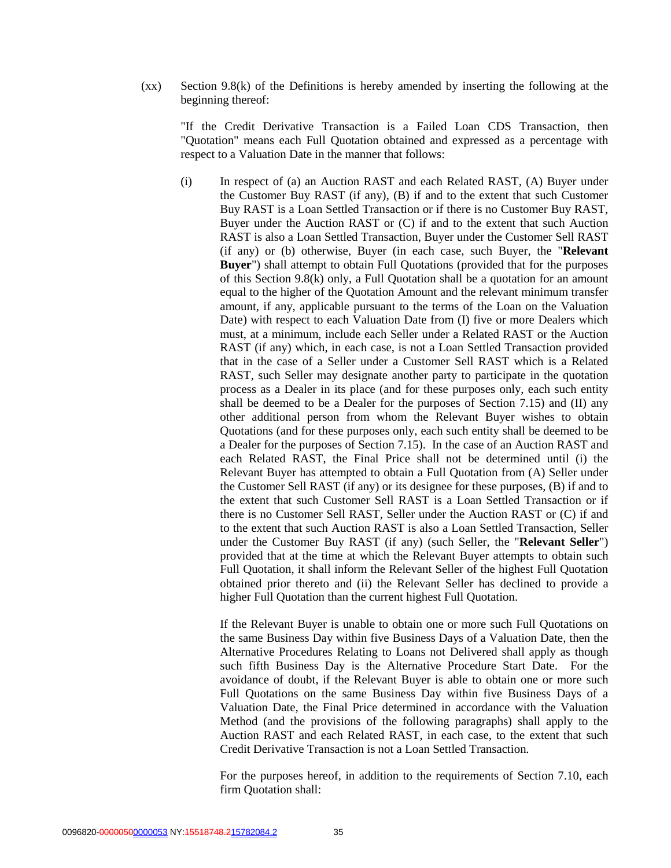(xx) Section 9.8(k) of the Definitions is hereby amended by inserting the following at the beginning thereof:

"If the Credit Derivative Transaction is a Failed Loan CDS Transaction, then "Quotation" means each Full Quotation obtained and expressed as a percentage with respect to a Valuation Date in the manner that follows:

(i) In respect of (a) an Auction RAST and each Related RAST, (A) Buyer under the Customer Buy RAST (if any), (B) if and to the extent that such Customer Buy RAST is a Loan Settled Transaction or if there is no Customer Buy RAST, Buyer under the Auction RAST or (C) if and to the extent that such Auction RAST is also a Loan Settled Transaction, Buyer under the Customer Sell RAST (if any) or (b) otherwise, Buyer (in each case, such Buyer, the "**Relevant Buyer**") shall attempt to obtain Full Quotations (provided that for the purposes of this Section 9.8(k) only, a Full Quotation shall be a quotation for an amount equal to the higher of the Quotation Amount and the relevant minimum transfer amount, if any, applicable pursuant to the terms of the Loan on the Valuation Date) with respect to each Valuation Date from (I) five or more Dealers which must, at a minimum, include each Seller under a Related RAST or the Auction RAST (if any) which, in each case, is not a Loan Settled Transaction provided that in the case of a Seller under a Customer Sell RAST which is a Related RAST, such Seller may designate another party to participate in the quotation process as a Dealer in its place (and for these purposes only, each such entity shall be deemed to be a Dealer for the purposes of Section 7.15) and (II) any other additional person from whom the Relevant Buyer wishes to obtain Quotations (and for these purposes only, each such entity shall be deemed to be a Dealer for the purposes of Section 7.15). In the case of an Auction RAST and each Related RAST, the Final Price shall not be determined until (i) the Relevant Buyer has attempted to obtain a Full Quotation from (A) Seller under the Customer Sell RAST (if any) or its designee for these purposes, (B) if and to the extent that such Customer Sell RAST is a Loan Settled Transaction or if there is no Customer Sell RAST, Seller under the Auction RAST or (C) if and to the extent that such Auction RAST is also a Loan Settled Transaction, Seller under the Customer Buy RAST (if any) (such Seller, the "**Relevant Seller**") provided that at the time at which the Relevant Buyer attempts to obtain such Full Quotation, it shall inform the Relevant Seller of the highest Full Quotation obtained prior thereto and (ii) the Relevant Seller has declined to provide a higher Full Quotation than the current highest Full Quotation.

If the Relevant Buyer is unable to obtain one or more such Full Quotations on the same Business Day within five Business Days of a Valuation Date, then the Alternative Procedures Relating to Loans not Delivered shall apply as though such fifth Business Day is the Alternative Procedure Start Date. For the avoidance of doubt, if the Relevant Buyer is able to obtain one or more such Full Quotations on the same Business Day within five Business Days of a Valuation Date, the Final Price determined in accordance with the Valuation Method (and the provisions of the following paragraphs) shall apply to the Auction RAST and each Related RAST, in each case, to the extent that such Credit Derivative Transaction is not a Loan Settled Transaction.

For the purposes hereof, in addition to the requirements of Section 7.10, each firm Quotation shall: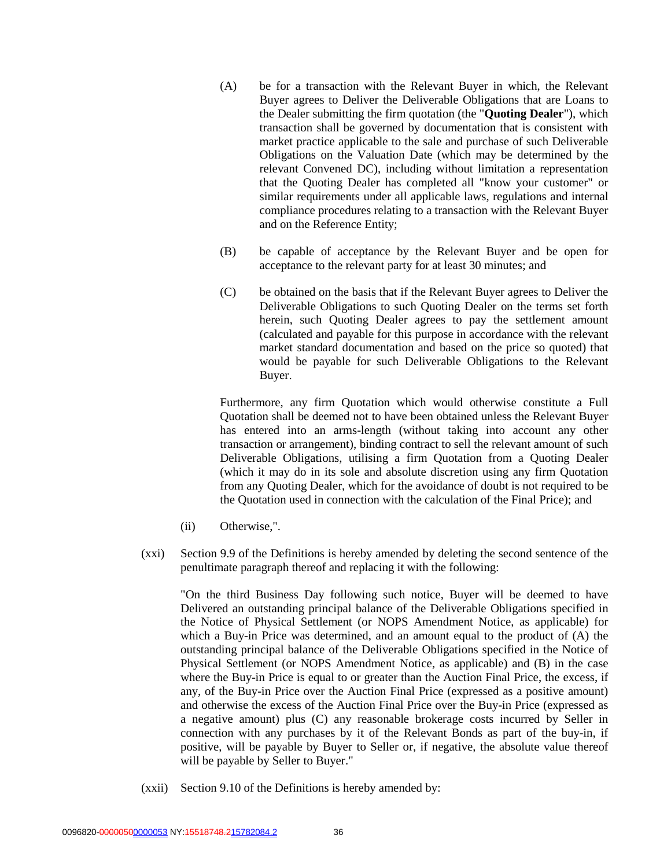- (A) be for a transaction with the Relevant Buyer in which, the Relevant Buyer agrees to Deliver the Deliverable Obligations that are Loans to the Dealer submitting the firm quotation (the "**Quoting Dealer**"), which transaction shall be governed by documentation that is consistent with market practice applicable to the sale and purchase of such Deliverable Obligations on the Valuation Date (which may be determined by the relevant Convened DC), including without limitation a representation that the Quoting Dealer has completed all "know your customer" or similar requirements under all applicable laws, regulations and internal compliance procedures relating to a transaction with the Relevant Buyer and on the Reference Entity;
- (B) be capable of acceptance by the Relevant Buyer and be open for acceptance to the relevant party for at least 30 minutes; and
- (C) be obtained on the basis that if the Relevant Buyer agrees to Deliver the Deliverable Obligations to such Quoting Dealer on the terms set forth herein, such Quoting Dealer agrees to pay the settlement amount (calculated and payable for this purpose in accordance with the relevant market standard documentation and based on the price so quoted) that would be payable for such Deliverable Obligations to the Relevant Buyer.

Furthermore, any firm Quotation which would otherwise constitute a Full Quotation shall be deemed not to have been obtained unless the Relevant Buyer has entered into an arms-length (without taking into account any other transaction or arrangement), binding contract to sell the relevant amount of such Deliverable Obligations, utilising a firm Quotation from a Quoting Dealer (which it may do in its sole and absolute discretion using any firm Quotation from any Quoting Dealer, which for the avoidance of doubt is not required to be the Quotation used in connection with the calculation of the Final Price); and

- (ii) Otherwise,".
- (xxi) Section 9.9 of the Definitions is hereby amended by deleting the second sentence of the penultimate paragraph thereof and replacing it with the following:

"On the third Business Day following such notice, Buyer will be deemed to have Delivered an outstanding principal balance of the Deliverable Obligations specified in the Notice of Physical Settlement (or NOPS Amendment Notice, as applicable) for which a Buy-in Price was determined, and an amount equal to the product of (A) the outstanding principal balance of the Deliverable Obligations specified in the Notice of Physical Settlement (or NOPS Amendment Notice, as applicable) and (B) in the case where the Buy-in Price is equal to or greater than the Auction Final Price, the excess, if any, of the Buy-in Price over the Auction Final Price (expressed as a positive amount) and otherwise the excess of the Auction Final Price over the Buy-in Price (expressed as a negative amount) plus (C) any reasonable brokerage costs incurred by Seller in connection with any purchases by it of the Relevant Bonds as part of the buy-in, if positive, will be payable by Buyer to Seller or, if negative, the absolute value thereof will be payable by Seller to Buyer."

(xxii) Section 9.10 of the Definitions is hereby amended by: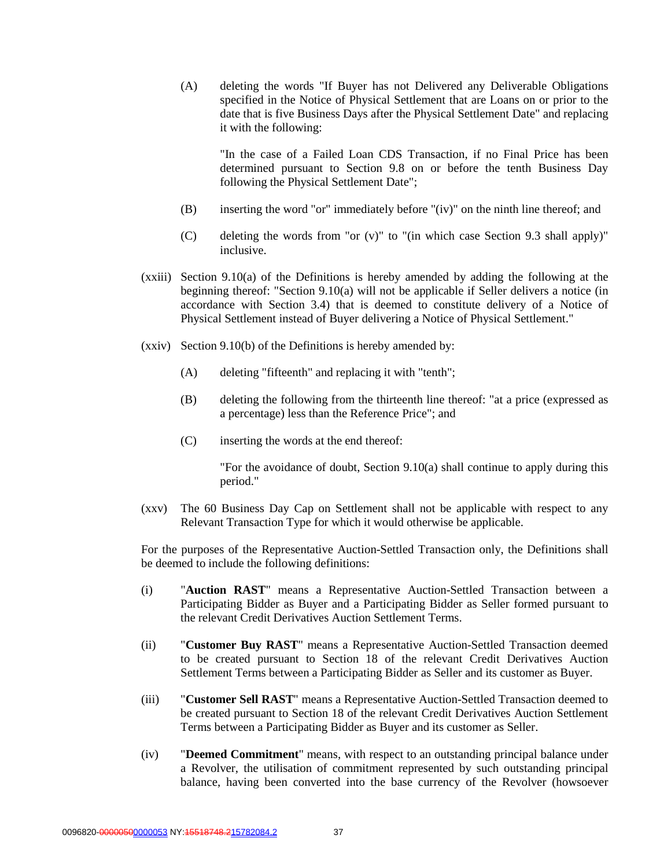(A) deleting the words "If Buyer has not Delivered any Deliverable Obligations specified in the Notice of Physical Settlement that are Loans on or prior to the date that is five Business Days after the Physical Settlement Date" and replacing it with the following:

"In the case of a Failed Loan CDS Transaction, if no Final Price has been determined pursuant to Section 9.8 on or before the tenth Business Day following the Physical Settlement Date";

- (B) inserting the word "or" immediately before "(iv)" on the ninth line thereof; and
- (C) deleting the words from "or  $(v)$ " to "(in which case Section 9.3 shall apply)" inclusive.
- (xxiii) Section 9.10(a) of the Definitions is hereby amended by adding the following at the beginning thereof: "Section 9.10(a) will not be applicable if Seller delivers a notice (in accordance with Section 3.4) that is deemed to constitute delivery of a Notice of Physical Settlement instead of Buyer delivering a Notice of Physical Settlement."
- (xxiv) Section 9.10(b) of the Definitions is hereby amended by:
	- (A) deleting "fifteenth" and replacing it with "tenth";
	- (B) deleting the following from the thirteenth line thereof: "at a price (expressed as a percentage) less than the Reference Price"; and
	- (C) inserting the words at the end thereof:

"For the avoidance of doubt, Section 9.10(a) shall continue to apply during this period."

(xxv) The 60 Business Day Cap on Settlement shall not be applicable with respect to any Relevant Transaction Type for which it would otherwise be applicable.

For the purposes of the Representative Auction-Settled Transaction only, the Definitions shall be deemed to include the following definitions:

- (i) "**Auction RAST**" means a Representative Auction-Settled Transaction between a Participating Bidder as Buyer and a Participating Bidder as Seller formed pursuant to the relevant Credit Derivatives Auction Settlement Terms.
- (ii) "**Customer Buy RAST**" means a Representative Auction-Settled Transaction deemed to be created pursuant to Section 18 of the relevant Credit Derivatives Auction Settlement Terms between a Participating Bidder as Seller and its customer as Buyer.
- (iii) "**Customer Sell RAST**" means a Representative Auction-Settled Transaction deemed to be created pursuant to Section 18 of the relevant Credit Derivatives Auction Settlement Terms between a Participating Bidder as Buyer and its customer as Seller.
- (iv) "**Deemed Commitment**" means, with respect to an outstanding principal balance under a Revolver, the utilisation of commitment represented by such outstanding principal balance, having been converted into the base currency of the Revolver (howsoever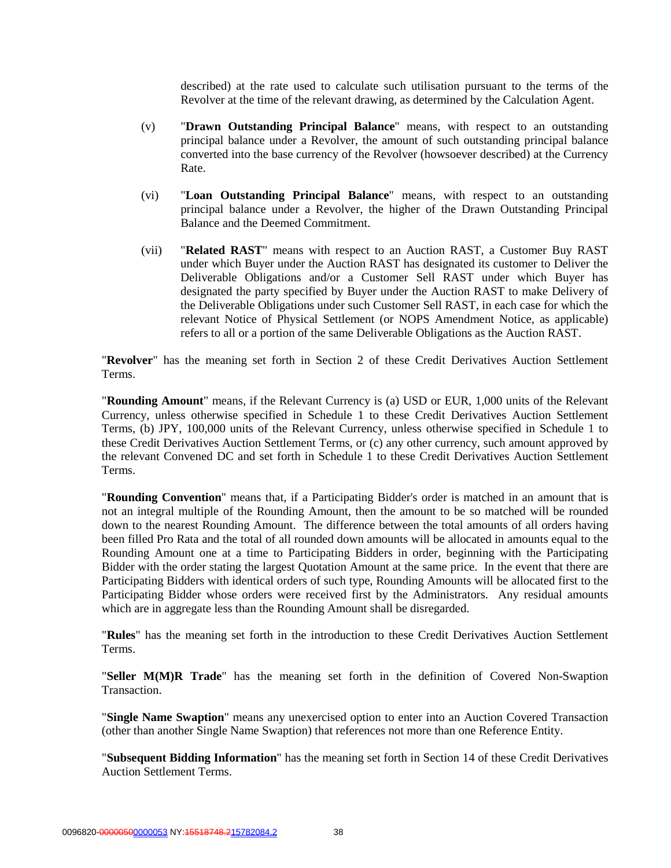described) at the rate used to calculate such utilisation pursuant to the terms of the Revolver at the time of the relevant drawing, as determined by the Calculation Agent.

- (v) "**Drawn Outstanding Principal Balance**" means, with respect to an outstanding principal balance under a Revolver, the amount of such outstanding principal balance converted into the base currency of the Revolver (howsoever described) at the Currency Rate.
- (vi) "**Loan Outstanding Principal Balance**" means, with respect to an outstanding principal balance under a Revolver, the higher of the Drawn Outstanding Principal Balance and the Deemed Commitment.
- (vii) "**Related RAST**" means with respect to an Auction RAST, a Customer Buy RAST under which Buyer under the Auction RAST has designated its customer to Deliver the Deliverable Obligations and/or a Customer Sell RAST under which Buyer has designated the party specified by Buyer under the Auction RAST to make Delivery of the Deliverable Obligations under such Customer Sell RAST, in each case for which the relevant Notice of Physical Settlement (or NOPS Amendment Notice, as applicable) refers to all or a portion of the same Deliverable Obligations as the Auction RAST.

"**Revolver**" has the meaning set forth in Section 2 of these Credit Derivatives Auction Settlement Terms.

"**Rounding Amount**" means, if the Relevant Currency is (a) USD or EUR, 1,000 units of the Relevant Currency, unless otherwise specified in Schedule 1 to these Credit Derivatives Auction Settlement Terms, (b) JPY, 100,000 units of the Relevant Currency, unless otherwise specified in Schedule 1 to these Credit Derivatives Auction Settlement Terms, or (c) any other currency, such amount approved by the relevant Convened DC and set forth in Schedule 1 to these Credit Derivatives Auction Settlement Terms.

"**Rounding Convention**" means that, if a Participating Bidder's order is matched in an amount that is not an integral multiple of the Rounding Amount, then the amount to be so matched will be rounded down to the nearest Rounding Amount. The difference between the total amounts of all orders having been filled Pro Rata and the total of all rounded down amounts will be allocated in amounts equal to the Rounding Amount one at a time to Participating Bidders in order, beginning with the Participating Bidder with the order stating the largest Quotation Amount at the same price. In the event that there are Participating Bidders with identical orders of such type, Rounding Amounts will be allocated first to the Participating Bidder whose orders were received first by the Administrators. Any residual amounts which are in aggregate less than the Rounding Amount shall be disregarded.

"**Rules**" has the meaning set forth in the introduction to these Credit Derivatives Auction Settlement Terms.

"**Seller M(M)R Trade**" has the meaning set forth in the definition of Covered Non-Swaption **Transaction** 

"**Single Name Swaption**" means any unexercised option to enter into an Auction Covered Transaction (other than another Single Name Swaption) that references not more than one Reference Entity.

"**Subsequent Bidding Information**" has the meaning set forth in Section 14 of these Credit Derivatives Auction Settlement Terms.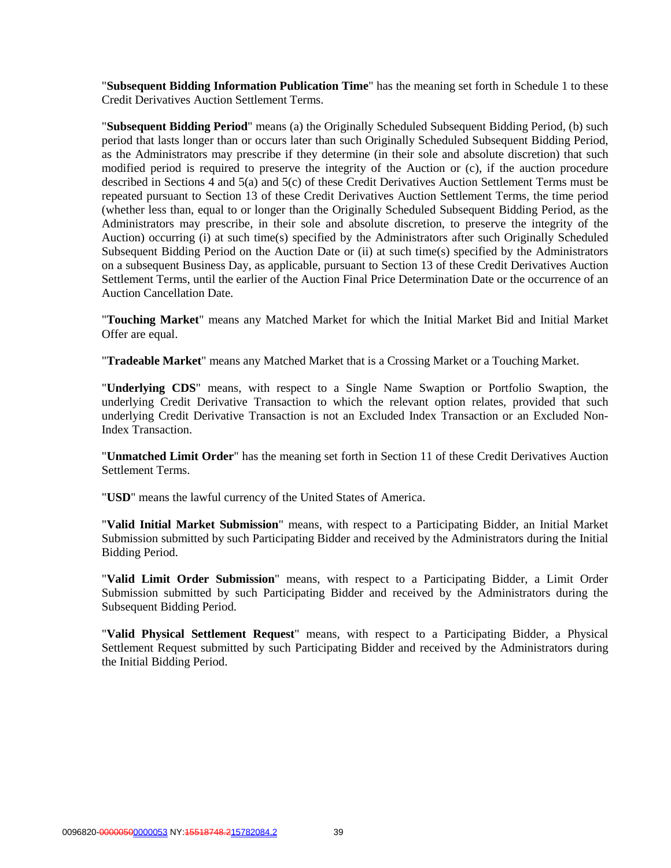"**Subsequent Bidding Information Publication Time**" has the meaning set forth in Schedule 1 to these Credit Derivatives Auction Settlement Terms.

"**Subsequent Bidding Period**" means (a) the Originally Scheduled Subsequent Bidding Period, (b) such period that lasts longer than or occurs later than such Originally Scheduled Subsequent Bidding Period, as the Administrators may prescribe if they determine (in their sole and absolute discretion) that such modified period is required to preserve the integrity of the Auction or (c), if the auction procedure described in Sections 4 and 5(a) and 5(c) of these Credit Derivatives Auction Settlement Terms must be repeated pursuant to Section 13 of these Credit Derivatives Auction Settlement Terms, the time period (whether less than, equal to or longer than the Originally Scheduled Subsequent Bidding Period, as the Administrators may prescribe, in their sole and absolute discretion, to preserve the integrity of the Auction) occurring (i) at such time(s) specified by the Administrators after such Originally Scheduled Subsequent Bidding Period on the Auction Date or (ii) at such time(s) specified by the Administrators on a subsequent Business Day, as applicable, pursuant to Section 13 of these Credit Derivatives Auction Settlement Terms, until the earlier of the Auction Final Price Determination Date or the occurrence of an Auction Cancellation Date.

"**Touching Market**" means any Matched Market for which the Initial Market Bid and Initial Market Offer are equal.

"**Tradeable Market**" means any Matched Market that is a Crossing Market or a Touching Market.

"**Underlying CDS**" means, with respect to a Single Name Swaption or Portfolio Swaption, the underlying Credit Derivative Transaction to which the relevant option relates, provided that such underlying Credit Derivative Transaction is not an Excluded Index Transaction or an Excluded Non-Index Transaction.

"**Unmatched Limit Order**" has the meaning set forth in Section 11 of these Credit Derivatives Auction Settlement Terms.

"**USD**" means the lawful currency of the United States of America.

"**Valid Initial Market Submission**" means, with respect to a Participating Bidder, an Initial Market Submission submitted by such Participating Bidder and received by the Administrators during the Initial Bidding Period.

"**Valid Limit Order Submission**" means, with respect to a Participating Bidder, a Limit Order Submission submitted by such Participating Bidder and received by the Administrators during the Subsequent Bidding Period.

"**Valid Physical Settlement Request**" means, with respect to a Participating Bidder, a Physical Settlement Request submitted by such Participating Bidder and received by the Administrators during the Initial Bidding Period.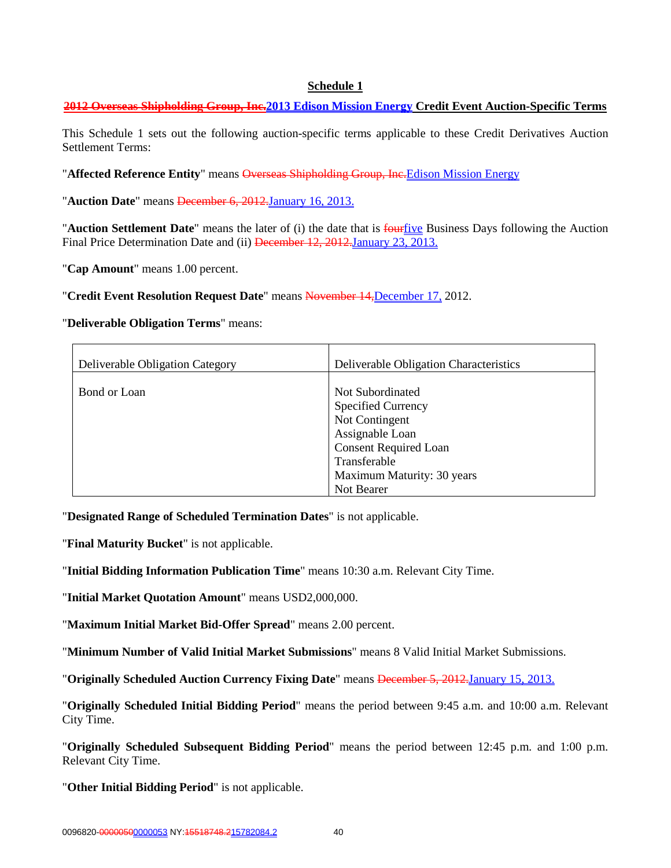#### **Schedule 1**

## **2012 Overseas Shipholding Group, Inc.2013 Edison Mission Energy Credit Event Auction-Specific Terms**

This Schedule 1 sets out the following auction-specific terms applicable to these Credit Derivatives Auction Settlement Terms:

"**Affected Reference Entity**" means Overseas Shipholding Group, Inc.Edison Mission Energy

"**Auction Date**" means December 6, 2012.January 16, 2013.

"**Auction Settlement Date**" means the later of (i) the date that is fourfive Business Days following the Auction Final Price Determination Date and (ii) December 12, 2012. January 23, 2013.

"**Cap Amount**" means 1.00 percent.

"**Credit Event Resolution Request Date**" means November 14,December 17, 2012.

#### "**Deliverable Obligation Terms**" means:

| Deliverable Obligation Category | Deliverable Obligation Characteristics        |
|---------------------------------|-----------------------------------------------|
| Bond or Loan                    | Not Subordinated<br><b>Specified Currency</b> |
|                                 | Not Contingent                                |
|                                 | Assignable Loan                               |
|                                 | <b>Consent Required Loan</b>                  |
|                                 | Transferable                                  |
|                                 | Maximum Maturity: 30 years                    |
|                                 | Not Bearer                                    |

"**Designated Range of Scheduled Termination Dates**" is not applicable.

"**Final Maturity Bucket**" is not applicable.

"**Initial Bidding Information Publication Time**" means 10:30 a.m. Relevant City Time.

"**Initial Market Quotation Amount**" means USD2,000,000.

"**Maximum Initial Market Bid-Offer Spread**" means 2.00 percent.

"**Minimum Number of Valid Initial Market Submissions**" means 8 Valid Initial Market Submissions.

"**Originally Scheduled Auction Currency Fixing Date**" means December 5, 2012.January 15, 2013.

"**Originally Scheduled Initial Bidding Period**" means the period between 9:45 a.m. and 10:00 a.m. Relevant City Time.

"**Originally Scheduled Subsequent Bidding Period**" means the period between 12:45 p.m. and 1:00 p.m. Relevant City Time.

"**Other Initial Bidding Period**" is not applicable.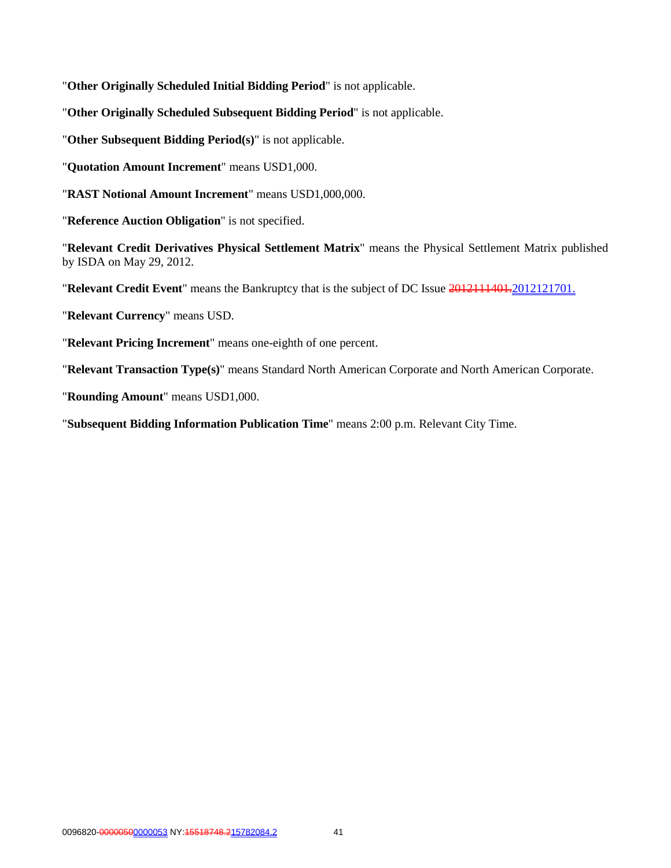"**Other Originally Scheduled Initial Bidding Period**" is not applicable.

"**Other Originally Scheduled Subsequent Bidding Period**" is not applicable.

"**Other Subsequent Bidding Period(s)**" is not applicable.

"**Quotation Amount Increment**" means USD1,000.

"**RAST Notional Amount Increment**" means USD1,000,000.

"**Reference Auction Obligation**" is not specified.

"**Relevant Credit Derivatives Physical Settlement Matrix**" means the Physical Settlement Matrix published by ISDA on May 29, 2012.

"**Relevant Credit Event**" means the Bankruptcy that is the subject of DC Issue 2012111401.2012121701.

"**Relevant Currency**" means USD.

"**Relevant Pricing Increment**" means one-eighth of one percent.

"**Relevant Transaction Type(s)**" means Standard North American Corporate and North American Corporate.

"**Rounding Amount**" means USD1,000.

"**Subsequent Bidding Information Publication Time**" means 2:00 p.m. Relevant City Time.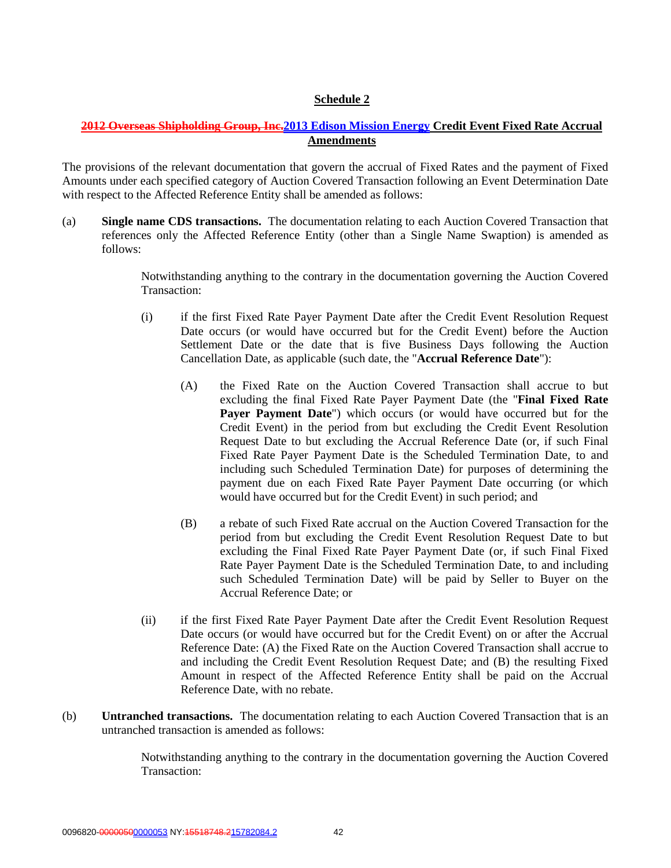# **Schedule 2**

# **2012 Overseas Shipholding Group, Inc.2013 Edison Mission Energy Credit Event Fixed Rate Accrual Amendments**

The provisions of the relevant documentation that govern the accrual of Fixed Rates and the payment of Fixed Amounts under each specified category of Auction Covered Transaction following an Event Determination Date with respect to the Affected Reference Entity shall be amended as follows:

(a) **Single name CDS transactions.** The documentation relating to each Auction Covered Transaction that references only the Affected Reference Entity (other than a Single Name Swaption) is amended as follows:

> Notwithstanding anything to the contrary in the documentation governing the Auction Covered Transaction:

- (i) if the first Fixed Rate Payer Payment Date after the Credit Event Resolution Request Date occurs (or would have occurred but for the Credit Event) before the Auction Settlement Date or the date that is five Business Days following the Auction Cancellation Date, as applicable (such date, the "**Accrual Reference Date**"):
	- (A) the Fixed Rate on the Auction Covered Transaction shall accrue to but excluding the final Fixed Rate Payer Payment Date (the "**Final Fixed Rate Payer Payment Date**") which occurs (or would have occurred but for the Credit Event) in the period from but excluding the Credit Event Resolution Request Date to but excluding the Accrual Reference Date (or, if such Final Fixed Rate Payer Payment Date is the Scheduled Termination Date, to and including such Scheduled Termination Date) for purposes of determining the payment due on each Fixed Rate Payer Payment Date occurring (or which would have occurred but for the Credit Event) in such period; and
	- (B) a rebate of such Fixed Rate accrual on the Auction Covered Transaction for the period from but excluding the Credit Event Resolution Request Date to but excluding the Final Fixed Rate Payer Payment Date (or, if such Final Fixed Rate Payer Payment Date is the Scheduled Termination Date, to and including such Scheduled Termination Date) will be paid by Seller to Buyer on the Accrual Reference Date; or
- (ii) if the first Fixed Rate Payer Payment Date after the Credit Event Resolution Request Date occurs (or would have occurred but for the Credit Event) on or after the Accrual Reference Date: (A) the Fixed Rate on the Auction Covered Transaction shall accrue to and including the Credit Event Resolution Request Date; and (B) the resulting Fixed Amount in respect of the Affected Reference Entity shall be paid on the Accrual Reference Date, with no rebate.
- (b) **Untranched transactions.** The documentation relating to each Auction Covered Transaction that is an untranched transaction is amended as follows:

Notwithstanding anything to the contrary in the documentation governing the Auction Covered Transaction: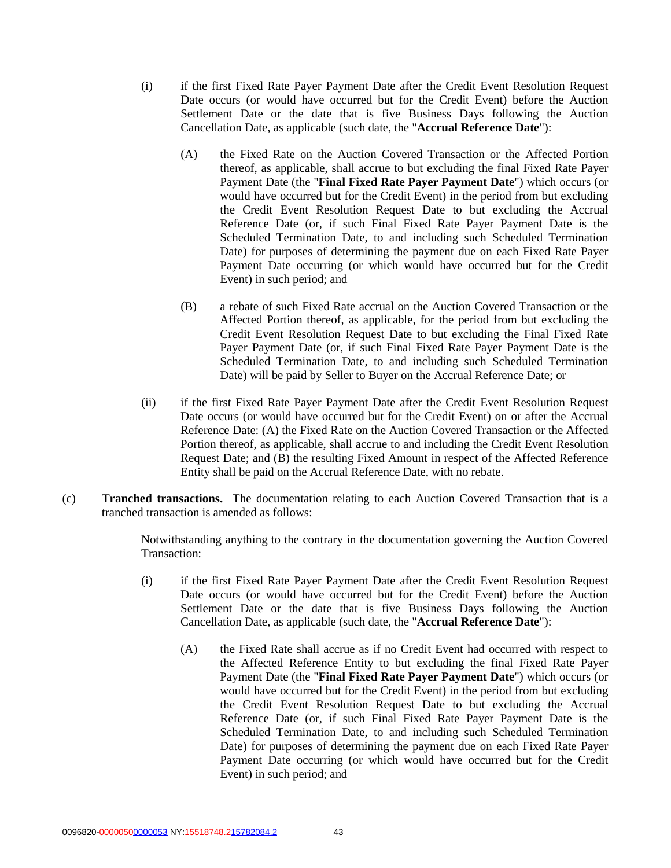- (i) if the first Fixed Rate Payer Payment Date after the Credit Event Resolution Request Date occurs (or would have occurred but for the Credit Event) before the Auction Settlement Date or the date that is five Business Days following the Auction Cancellation Date, as applicable (such date, the "**Accrual Reference Date**"):
	- (A) the Fixed Rate on the Auction Covered Transaction or the Affected Portion thereof, as applicable, shall accrue to but excluding the final Fixed Rate Payer Payment Date (the "**Final Fixed Rate Payer Payment Date**") which occurs (or would have occurred but for the Credit Event) in the period from but excluding the Credit Event Resolution Request Date to but excluding the Accrual Reference Date (or, if such Final Fixed Rate Payer Payment Date is the Scheduled Termination Date, to and including such Scheduled Termination Date) for purposes of determining the payment due on each Fixed Rate Payer Payment Date occurring (or which would have occurred but for the Credit Event) in such period; and
	- (B) a rebate of such Fixed Rate accrual on the Auction Covered Transaction or the Affected Portion thereof, as applicable, for the period from but excluding the Credit Event Resolution Request Date to but excluding the Final Fixed Rate Payer Payment Date (or, if such Final Fixed Rate Payer Payment Date is the Scheduled Termination Date, to and including such Scheduled Termination Date) will be paid by Seller to Buyer on the Accrual Reference Date; or
- (ii) if the first Fixed Rate Payer Payment Date after the Credit Event Resolution Request Date occurs (or would have occurred but for the Credit Event) on or after the Accrual Reference Date: (A) the Fixed Rate on the Auction Covered Transaction or the Affected Portion thereof, as applicable, shall accrue to and including the Credit Event Resolution Request Date; and (B) the resulting Fixed Amount in respect of the Affected Reference Entity shall be paid on the Accrual Reference Date, with no rebate.
- (c) **Tranched transactions.** The documentation relating to each Auction Covered Transaction that is a tranched transaction is amended as follows:

Notwithstanding anything to the contrary in the documentation governing the Auction Covered Transaction:

- (i) if the first Fixed Rate Payer Payment Date after the Credit Event Resolution Request Date occurs (or would have occurred but for the Credit Event) before the Auction Settlement Date or the date that is five Business Days following the Auction Cancellation Date, as applicable (such date, the "**Accrual Reference Date**"):
	- (A) the Fixed Rate shall accrue as if no Credit Event had occurred with respect to the Affected Reference Entity to but excluding the final Fixed Rate Payer Payment Date (the "**Final Fixed Rate Payer Payment Date**") which occurs (or would have occurred but for the Credit Event) in the period from but excluding the Credit Event Resolution Request Date to but excluding the Accrual Reference Date (or, if such Final Fixed Rate Payer Payment Date is the Scheduled Termination Date, to and including such Scheduled Termination Date) for purposes of determining the payment due on each Fixed Rate Payer Payment Date occurring (or which would have occurred but for the Credit Event) in such period; and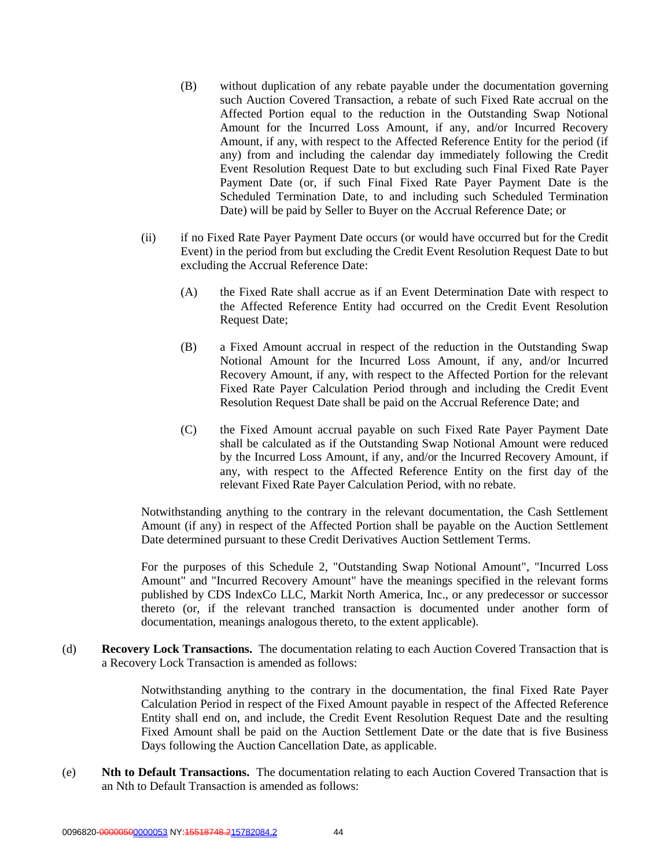- (B) without duplication of any rebate payable under the documentation governing such Auction Covered Transaction, a rebate of such Fixed Rate accrual on the Affected Portion equal to the reduction in the Outstanding Swap Notional Amount for the Incurred Loss Amount, if any, and/or Incurred Recovery Amount, if any, with respect to the Affected Reference Entity for the period (if any) from and including the calendar day immediately following the Credit Event Resolution Request Date to but excluding such Final Fixed Rate Payer Payment Date (or, if such Final Fixed Rate Payer Payment Date is the Scheduled Termination Date, to and including such Scheduled Termination Date) will be paid by Seller to Buyer on the Accrual Reference Date; or
- (ii) if no Fixed Rate Payer Payment Date occurs (or would have occurred but for the Credit Event) in the period from but excluding the Credit Event Resolution Request Date to but excluding the Accrual Reference Date:
	- (A) the Fixed Rate shall accrue as if an Event Determination Date with respect to the Affected Reference Entity had occurred on the Credit Event Resolution Request Date;
	- (B) a Fixed Amount accrual in respect of the reduction in the Outstanding Swap Notional Amount for the Incurred Loss Amount, if any, and/or Incurred Recovery Amount, if any, with respect to the Affected Portion for the relevant Fixed Rate Payer Calculation Period through and including the Credit Event Resolution Request Date shall be paid on the Accrual Reference Date; and
	- (C) the Fixed Amount accrual payable on such Fixed Rate Payer Payment Date shall be calculated as if the Outstanding Swap Notional Amount were reduced by the Incurred Loss Amount, if any, and/or the Incurred Recovery Amount, if any, with respect to the Affected Reference Entity on the first day of the relevant Fixed Rate Payer Calculation Period, with no rebate.

Notwithstanding anything to the contrary in the relevant documentation, the Cash Settlement Amount (if any) in respect of the Affected Portion shall be payable on the Auction Settlement Date determined pursuant to these Credit Derivatives Auction Settlement Terms.

For the purposes of this Schedule 2, "Outstanding Swap Notional Amount", "Incurred Loss Amount" and "Incurred Recovery Amount" have the meanings specified in the relevant forms published by CDS IndexCo LLC, Markit North America, Inc., or any predecessor or successor thereto (or, if the relevant tranched transaction is documented under another form of documentation, meanings analogous thereto, to the extent applicable).

(d) **Recovery Lock Transactions.** The documentation relating to each Auction Covered Transaction that is a Recovery Lock Transaction is amended as follows:

> Notwithstanding anything to the contrary in the documentation, the final Fixed Rate Payer Calculation Period in respect of the Fixed Amount payable in respect of the Affected Reference Entity shall end on, and include, the Credit Event Resolution Request Date and the resulting Fixed Amount shall be paid on the Auction Settlement Date or the date that is five Business Days following the Auction Cancellation Date, as applicable.

(e) **Nth to Default Transactions.** The documentation relating to each Auction Covered Transaction that is an Nth to Default Transaction is amended as follows: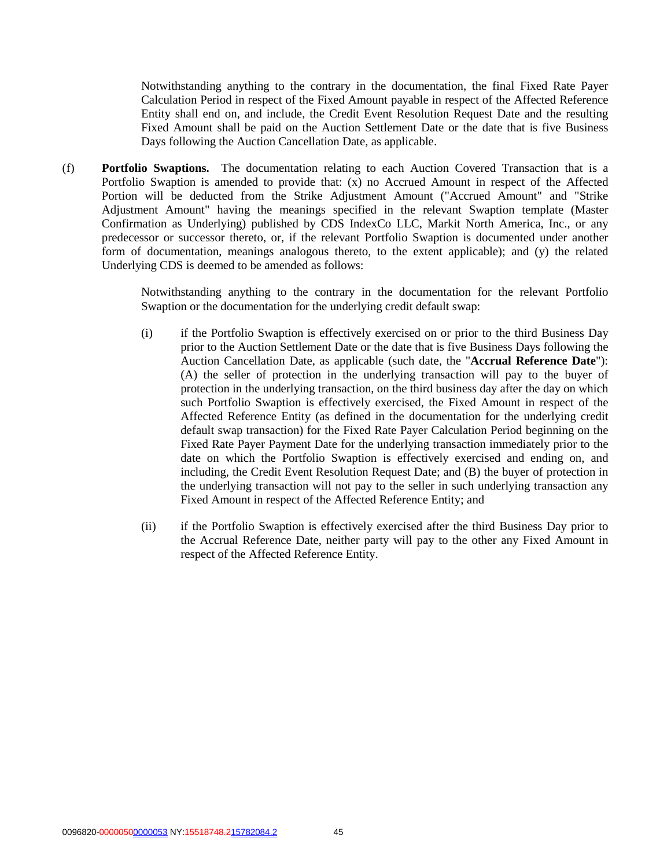Notwithstanding anything to the contrary in the documentation, the final Fixed Rate Payer Calculation Period in respect of the Fixed Amount payable in respect of the Affected Reference Entity shall end on, and include, the Credit Event Resolution Request Date and the resulting Fixed Amount shall be paid on the Auction Settlement Date or the date that is five Business Days following the Auction Cancellation Date, as applicable.

(f) **Portfolio Swaptions.** The documentation relating to each Auction Covered Transaction that is a Portfolio Swaption is amended to provide that: (x) no Accrued Amount in respect of the Affected Portion will be deducted from the Strike Adjustment Amount ("Accrued Amount" and "Strike Adjustment Amount" having the meanings specified in the relevant Swaption template (Master Confirmation as Underlying) published by CDS IndexCo LLC, Markit North America, Inc., or any predecessor or successor thereto, or, if the relevant Portfolio Swaption is documented under another form of documentation, meanings analogous thereto, to the extent applicable); and (y) the related Underlying CDS is deemed to be amended as follows:

> Notwithstanding anything to the contrary in the documentation for the relevant Portfolio Swaption or the documentation for the underlying credit default swap:

- (i) if the Portfolio Swaption is effectively exercised on or prior to the third Business Day prior to the Auction Settlement Date or the date that is five Business Days following the Auction Cancellation Date, as applicable (such date, the "**Accrual Reference Date**"): (A) the seller of protection in the underlying transaction will pay to the buyer of protection in the underlying transaction, on the third business day after the day on which such Portfolio Swaption is effectively exercised, the Fixed Amount in respect of the Affected Reference Entity (as defined in the documentation for the underlying credit default swap transaction) for the Fixed Rate Payer Calculation Period beginning on the Fixed Rate Payer Payment Date for the underlying transaction immediately prior to the date on which the Portfolio Swaption is effectively exercised and ending on, and including, the Credit Event Resolution Request Date; and (B) the buyer of protection in the underlying transaction will not pay to the seller in such underlying transaction any Fixed Amount in respect of the Affected Reference Entity; and
- (ii) if the Portfolio Swaption is effectively exercised after the third Business Day prior to the Accrual Reference Date, neither party will pay to the other any Fixed Amount in respect of the Affected Reference Entity.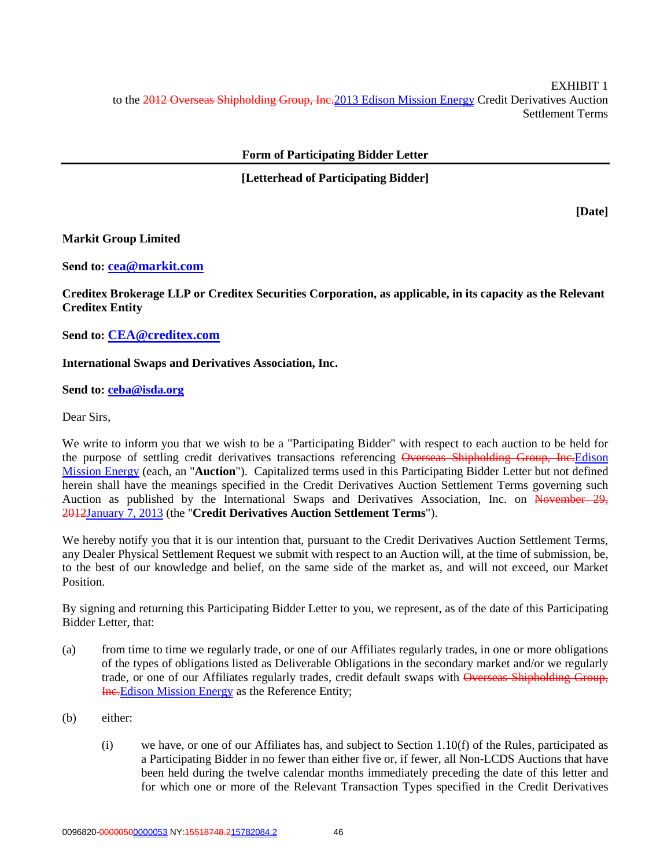EXHIBIT 1 to the 2012 Overseas Shipholding Group, Inc. 2013 Edison Mission Energy Credit Derivatives Auction Settlement Terms

# **Form of Participating Bidder Letter**

# **[Letterhead of Participating Bidder]**

**[Date]**

#### **Markit Group Limited**

**Send to: cea@markit.com**

**Creditex Brokerage LLP or Creditex Securities Corporation, as applicable, in its capacity as the Relevant Creditex Entity**

**Send to: CEA@creditex.com**

#### **International Swaps and Derivatives Association, Inc.**

#### **Send to: ceba@isda.org**

Dear Sirs,

We write to inform you that we wish to be a "Participating Bidder" with respect to each auction to be held for the purpose of settling credit derivatives transactions referencing Overseas Shipholding Group, Inc. Edison Mission Energy (each, an "**Auction**"). Capitalized terms used in this Participating Bidder Letter but not defined herein shall have the meanings specified in the Credit Derivatives Auction Settlement Terms governing such Auction as published by the International Swaps and Derivatives Association, Inc. on November 29, 2012January 7, 2013 (the "**Credit Derivatives Auction Settlement Terms**").

We hereby notify you that it is our intention that, pursuant to the Credit Derivatives Auction Settlement Terms, any Dealer Physical Settlement Request we submit with respect to an Auction will, at the time of submission, be, to the best of our knowledge and belief, on the same side of the market as, and will not exceed, our Market Position.

By signing and returning this Participating Bidder Letter to you, we represent, as of the date of this Participating Bidder Letter, that:

- (a) from time to time we regularly trade, or one of our Affiliates regularly trades, in one or more obligations of the types of obligations listed as Deliverable Obligations in the secondary market and/or we regularly trade, or one of our Affiliates regularly trades, credit default swaps with Overseas Shipholding Group, **Ine.** Edison Mission Energy as the Reference Entity;
- (b) either:
	- (i) we have, or one of our Affiliates has, and subject to Section 1.10(f) of the Rules, participated as a Participating Bidder in no fewer than either five or, if fewer, all Non-LCDS Auctions that have been held during the twelve calendar months immediately preceding the date of this letter and for which one or more of the Relevant Transaction Types specified in the Credit Derivatives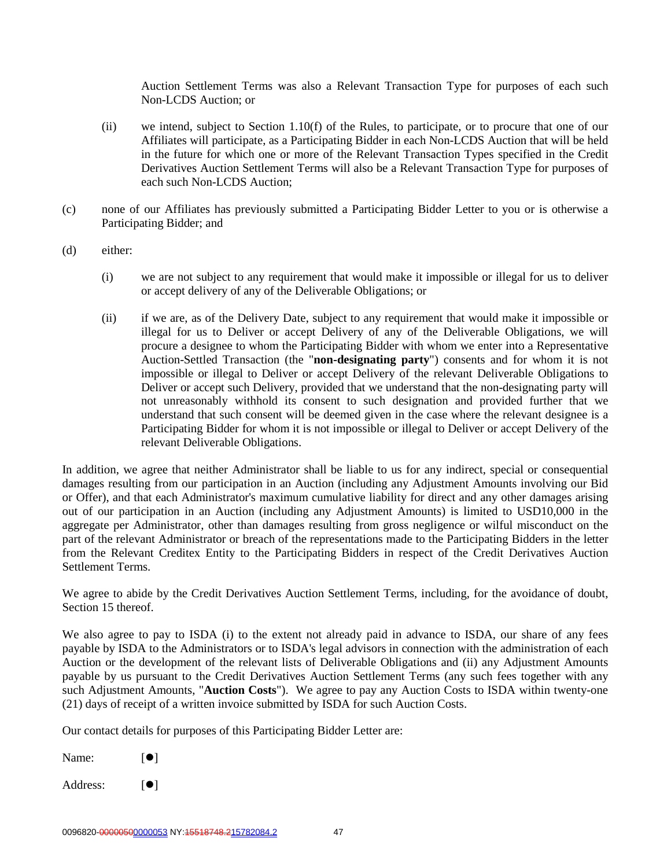Auction Settlement Terms was also a Relevant Transaction Type for purposes of each such Non-LCDS Auction; or

- (ii) we intend, subject to Section 1.10(f) of the Rules, to participate, or to procure that one of our Affiliates will participate, as a Participating Bidder in each Non-LCDS Auction that will be held in the future for which one or more of the Relevant Transaction Types specified in the Credit Derivatives Auction Settlement Terms will also be a Relevant Transaction Type for purposes of each such Non-LCDS Auction;
- (c) none of our Affiliates has previously submitted a Participating Bidder Letter to you or is otherwise a Participating Bidder; and
- (d) either:
	- (i) we are not subject to any requirement that would make it impossible or illegal for us to deliver or accept delivery of any of the Deliverable Obligations; or
	- (ii) if we are, as of the Delivery Date, subject to any requirement that would make it impossible or illegal for us to Deliver or accept Delivery of any of the Deliverable Obligations, we will procure a designee to whom the Participating Bidder with whom we enter into a Representative Auction-Settled Transaction (the "**non-designating party**") consents and for whom it is not impossible or illegal to Deliver or accept Delivery of the relevant Deliverable Obligations to Deliver or accept such Delivery, provided that we understand that the non-designating party will not unreasonably withhold its consent to such designation and provided further that we understand that such consent will be deemed given in the case where the relevant designee is a Participating Bidder for whom it is not impossible or illegal to Deliver or accept Delivery of the relevant Deliverable Obligations.

In addition, we agree that neither Administrator shall be liable to us for any indirect, special or consequential damages resulting from our participation in an Auction (including any Adjustment Amounts involving our Bid or Offer), and that each Administrator's maximum cumulative liability for direct and any other damages arising out of our participation in an Auction (including any Adjustment Amounts) is limited to USD10,000 in the aggregate per Administrator, other than damages resulting from gross negligence or wilful misconduct on the part of the relevant Administrator or breach of the representations made to the Participating Bidders in the letter from the Relevant Creditex Entity to the Participating Bidders in respect of the Credit Derivatives Auction Settlement Terms.

We agree to abide by the Credit Derivatives Auction Settlement Terms, including, for the avoidance of doubt, Section 15 thereof.

We also agree to pay to ISDA (i) to the extent not already paid in advance to ISDA, our share of any fees payable by ISDA to the Administrators or to ISDA's legal advisors in connection with the administration of each Auction or the development of the relevant lists of Deliverable Obligations and (ii) any Adjustment Amounts payable by us pursuant to the Credit Derivatives Auction Settlement Terms (any such fees together with any such Adjustment Amounts, "**Auction Costs**"). We agree to pay any Auction Costs to ISDA within twenty-one (21) days of receipt of a written invoice submitted by ISDA for such Auction Costs.

Our contact details for purposes of this Participating Bidder Letter are:

Name:  $[\bullet]$ 

Address:  $[•]$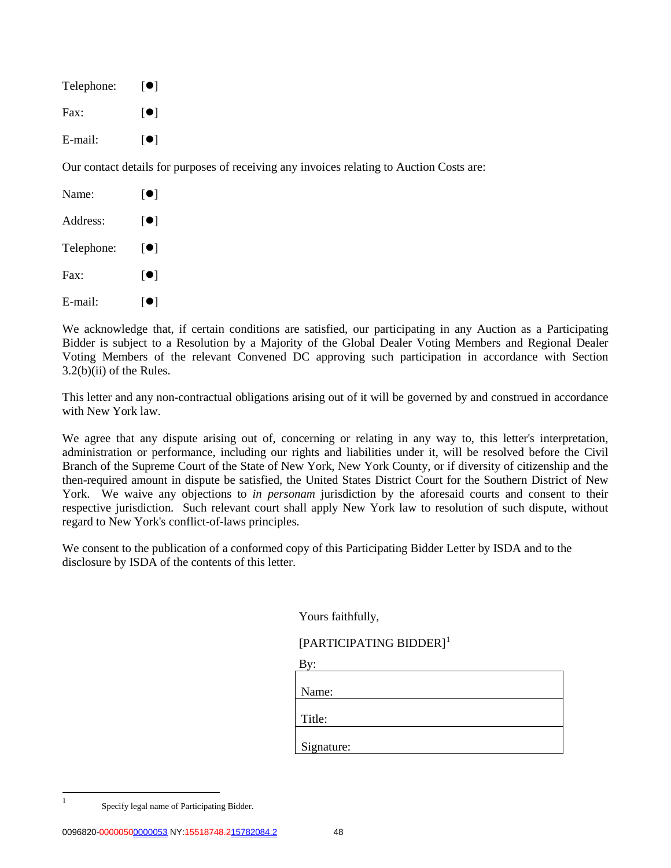| Telephone: | $\lceil \bullet \rceil$                                                                   |
|------------|-------------------------------------------------------------------------------------------|
| Fax:       | $\blacksquare$                                                                            |
| E-mail:    | $\blacksquare$                                                                            |
|            | Our contact details for purposes of receiving any invoices relating to Auction Costs are: |
| Name:      | $\blacksquare$                                                                            |
|            |                                                                                           |

Address:  $[•]$ Telephone:  $[\bullet]$ Fax:  $\lceil \bullet \rceil$ E-mail:  $[\bullet]$ 

We acknowledge that, if certain conditions are satisfied, our participating in any Auction as a Participating Bidder is subject to a Resolution by a Majority of the Global Dealer Voting Members and Regional Dealer Voting Members of the relevant Convened DC approving such participation in accordance with Section 3.2(b)(ii) of the Rules.

This letter and any non-contractual obligations arising out of it will be governed by and construed in accordance with New York law.

We agree that any dispute arising out of, concerning or relating in any way to, this letter's interpretation, administration or performance, including our rights and liabilities under it, will be resolved before the Civil Branch of the Supreme Court of the State of New York, New York County, or if diversity of citizenship and the then-required amount in dispute be satisfied, the United States District Court for the Southern District of New York. We waive any objections to *in personam* jurisdiction by the aforesaid courts and consent to their respective jurisdiction. Such relevant court shall apply New York law to resolution of such dispute, without regard to New York's conflict-of-laws principles.

We consent to the publication of a conformed copy of this Participating Bidder Letter by ISDA and to the disclosure by ISDA of the contents of this letter.

 $\mathbf{D}$ 

|  |  | Yours faithfully, |
|--|--|-------------------|
|--|--|-------------------|

[PARTICIPATING BIDDER]<sup>[1](#page-47-0)</sup>

| ву         |  |  |
|------------|--|--|
|            |  |  |
| Name:      |  |  |
|            |  |  |
| Title:     |  |  |
|            |  |  |
| Signature: |  |  |
|            |  |  |

<span id="page-47-0"></span>

 <sup>1</sup> Specify legal name of Participating Bidder.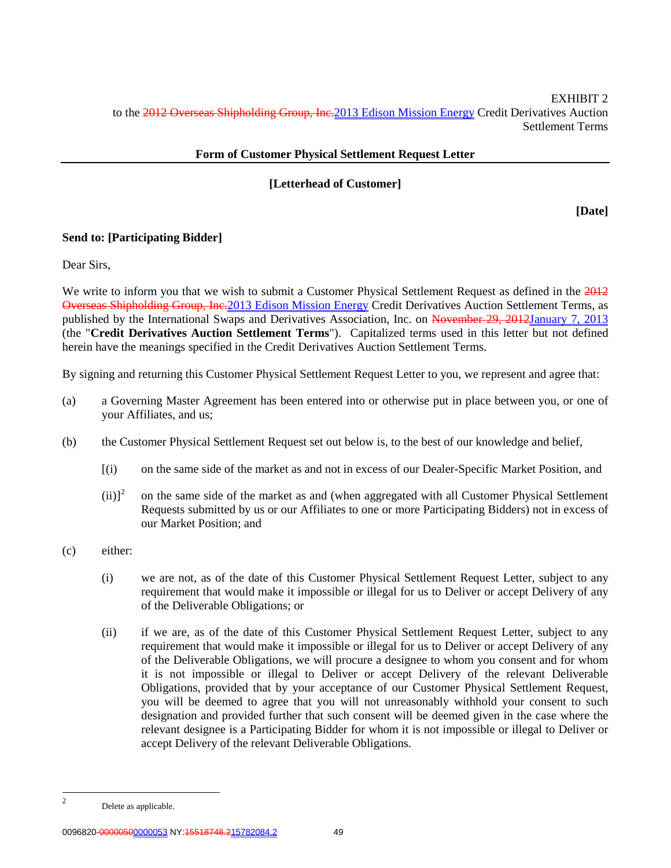EXHIBIT 2 to the 2012 Overseas Shipholding Group, Inc. 2013 Edison Mission Energy Credit Derivatives Auction Settlement Terms

# **Form of Customer Physical Settlement Request Letter**

# **[Letterhead of Customer]**

**[Date]**

# **Send to: [Participating Bidder]**

Dear Sirs,

We write to inform you that we wish to submit a Customer Physical Settlement Request as defined in the 2012 Overseas Shipholding Group, Inc.2013 Edison Mission Energy Credit Derivatives Auction Settlement Terms, as published by the International Swaps and Derivatives Association, Inc. on November 29, 2012January 7, 2013 (the "**Credit Derivatives Auction Settlement Terms**"). Capitalized terms used in this letter but not defined herein have the meanings specified in the Credit Derivatives Auction Settlement Terms.

By signing and returning this Customer Physical Settlement Request Letter to you, we represent and agree that:

- (a) a Governing Master Agreement has been entered into or otherwise put in place between you, or one of your Affiliates, and us;
- (b) the Customer Physical Settlement Request set out below is, to the best of our knowledge and belief,
	- [(i) on the same side of the market as and not in excess of our Dealer-Specific Market Position, and
	- $(iii)^2$  $(iii)^2$  on the same side of the market as and (when aggregated with all Customer Physical Settlement Requests submitted by us or our Affiliates to one or more Participating Bidders) not in excess of our Market Position; and
- (c) either:
	- (i) we are not, as of the date of this Customer Physical Settlement Request Letter, subject to any requirement that would make it impossible or illegal for us to Deliver or accept Delivery of any of the Deliverable Obligations; or
	- (ii) if we are, as of the date of this Customer Physical Settlement Request Letter, subject to any requirement that would make it impossible or illegal for us to Deliver or accept Delivery of any of the Deliverable Obligations, we will procure a designee to whom you consent and for whom it is not impossible or illegal to Deliver or accept Delivery of the relevant Deliverable Obligations, provided that by your acceptance of our Customer Physical Settlement Request, you will be deemed to agree that you will not unreasonably withhold your consent to such designation and provided further that such consent will be deemed given in the case where the relevant designee is a Participating Bidder for whom it is not impossible or illegal to Deliver or accept Delivery of the relevant Deliverable Obligations.

<span id="page-48-0"></span> <sup>2</sup> Delete as applicable.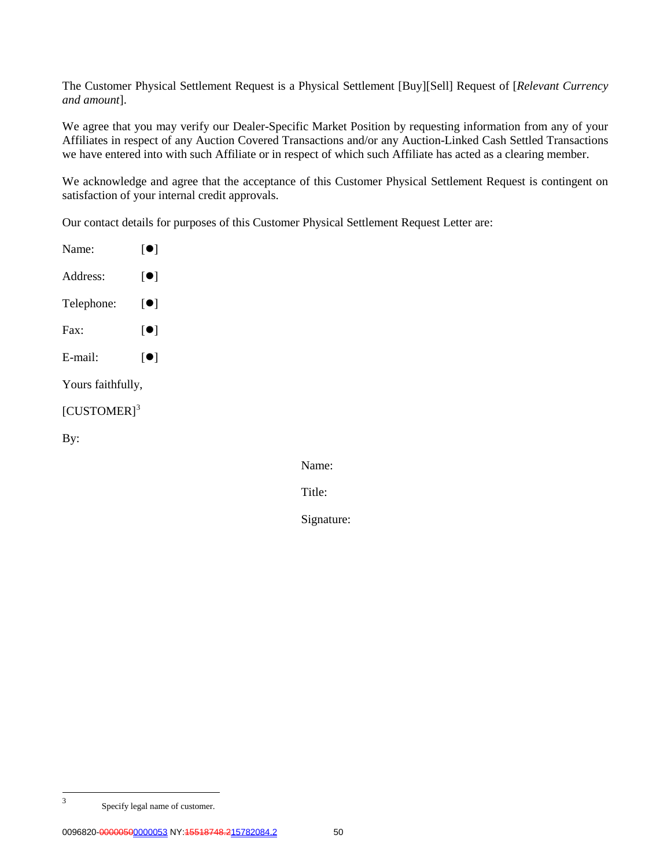The Customer Physical Settlement Request is a Physical Settlement [Buy][Sell] Request of [*Relevant Currency and amount*].

We agree that you may verify our Dealer-Specific Market Position by requesting information from any of your Affiliates in respect of any Auction Covered Transactions and/or any Auction-Linked Cash Settled Transactions we have entered into with such Affiliate or in respect of which such Affiliate has acted as a clearing member.

We acknowledge and agree that the acceptance of this Customer Physical Settlement Request is contingent on satisfaction of your internal credit approvals.

Our contact details for purposes of this Customer Physical Settlement Request Letter are:

| Name:                   | $\lceil \bullet \rceil$ |
|-------------------------|-------------------------|
| Address:                | $\lceil \bullet \rceil$ |
| Telephone:              | $\lceil \bullet \rceil$ |
| $\text{Fax}:$           | $\lceil \bullet \rceil$ |
| E-mail:                 | $\lceil \bullet \rceil$ |
| Yours faithfully,       |                         |
| [CUSTOMER] <sup>3</sup> |                         |
| By:                     |                         |
|                         |                         |

Name:

Title:

Signature:

<span id="page-49-0"></span> <sup>3</sup> Specify legal name of customer.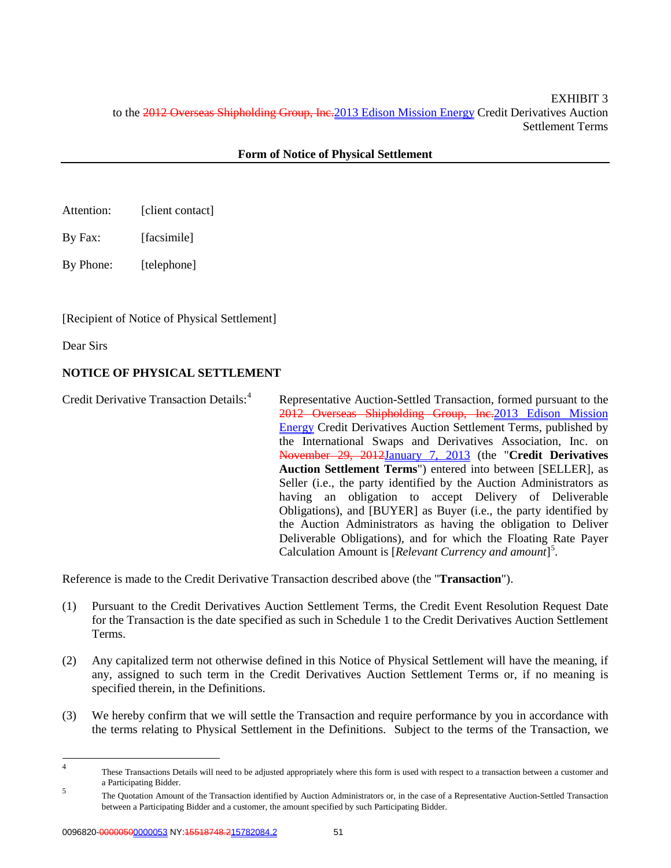EXHIBIT 3 to the 2012 Overseas Shipholding Group, Inc.2013 Edison Mission Energy Credit Derivatives Auction Settlement Terms

# **Form of Notice of Physical Settlement**

- Attention: [client contact]
- By Fax: [facsimile]

By Phone: [telephone]

[Recipient of Notice of Physical Settlement]

Dear Sirs

# **NOTICE OF PHYSICAL SETTLEMENT**

Credit Derivative Transaction Details:<sup>[4](#page-50-0)</sup> Representative Auction-Settled Transaction, formed pursuant to the 2012 Overseas Shipholding Group, Inc.2013 Edison Mission Energy Credit Derivatives Auction Settlement Terms, published by the International Swaps and Derivatives Association, Inc. on November 29, 2012January 7, 2013 (the "**Credit Derivatives Auction Settlement Terms**") entered into between [SELLER], as Seller (i.e., the party identified by the Auction Administrators as having an obligation to accept Delivery of Deliverable Obligations), and [BUYER] as Buyer (i.e., the party identified by the Auction Administrators as having the obligation to Deliver Deliverable Obligations), and for which the Floating Rate Payer Calculation Amount is [*Relevant Currency and amount*] [5](#page-50-1) .

Reference is made to the Credit Derivative Transaction described above (the "**Transaction**").

- (1) Pursuant to the Credit Derivatives Auction Settlement Terms, the Credit Event Resolution Request Date for the Transaction is the date specified as such in Schedule 1 to the Credit Derivatives Auction Settlement Terms.
- (2) Any capitalized term not otherwise defined in this Notice of Physical Settlement will have the meaning, if any, assigned to such term in the Credit Derivatives Auction Settlement Terms or, if no meaning is specified therein, in the Definitions.
- (3) We hereby confirm that we will settle the Transaction and require performance by you in accordance with the terms relating to Physical Settlement in the Definitions. Subject to the terms of the Transaction, we

<span id="page-50-0"></span><sup>&</sup>lt;sup>4</sup> These Transactions Details will need to be adjusted appropriately where this form is used with respect to a transaction between a customer and a Participating Bidder.

<span id="page-50-1"></span><sup>&</sup>lt;sup>5</sup><br>The Quotation Amount of the Transaction identified by Auction Administrators or, in the case of a Representative Auction-Settled Transaction between a Participating Bidder and a customer, the amount specified by such Participating Bidder.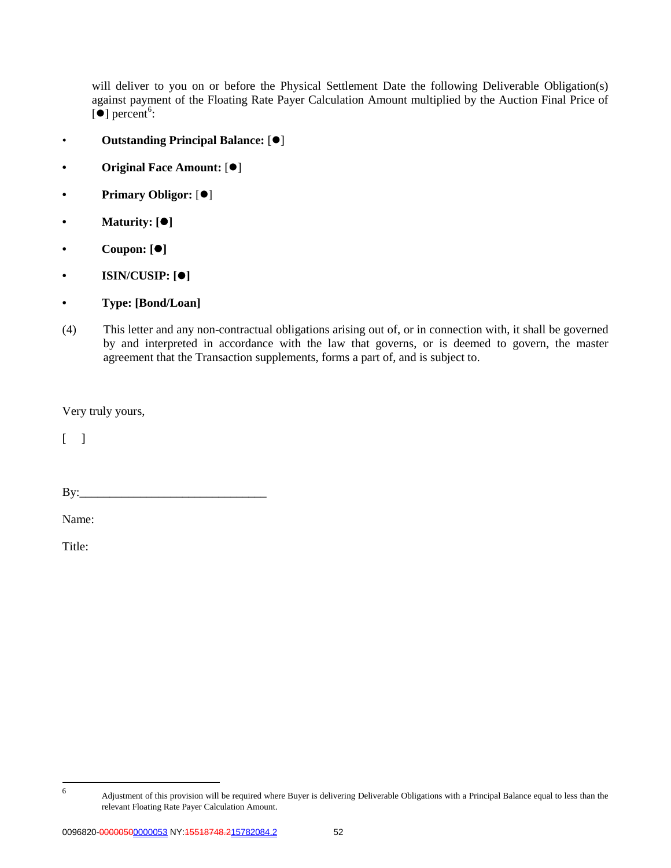will deliver to you on or before the Physical Settlement Date the following Deliverable Obligation(s) against payment of the Floating Rate Payer Calculation Amount multiplied by the Auction Final Price of  $\left[ \bullet \right]$  percent<sup>[6](#page-51-0)</sup>:

- Outstanding Principal Balance:  $[①]$
- **Original Face Amount:** [ $\bullet$ ]
- **Primary Obligor:** [ $\bullet$ ]
- **• Maturity: []**
- **• Coupon: []**
- **• ISIN/CUSIP: []**
- **• Type: [Bond/Loan]**
- (4) This letter and any non-contractual obligations arising out of, or in connection with, it shall be governed by and interpreted in accordance with the law that governs, or is deemed to govern, the master agreement that the Transaction supplements, forms a part of, and is subject to.

Very truly yours,

 $\lceil \ \ \rceil$ 

By:\_\_\_\_\_\_\_\_\_\_\_\_\_\_\_\_\_\_\_\_\_\_\_\_\_\_\_\_\_\_\_

Name:

Title:

<span id="page-51-0"></span>

 <sup>6</sup> Adjustment of this provision will be required where Buyer is delivering Deliverable Obligations with a Principal Balance equal to less than the relevant Floating Rate Payer Calculation Amount.